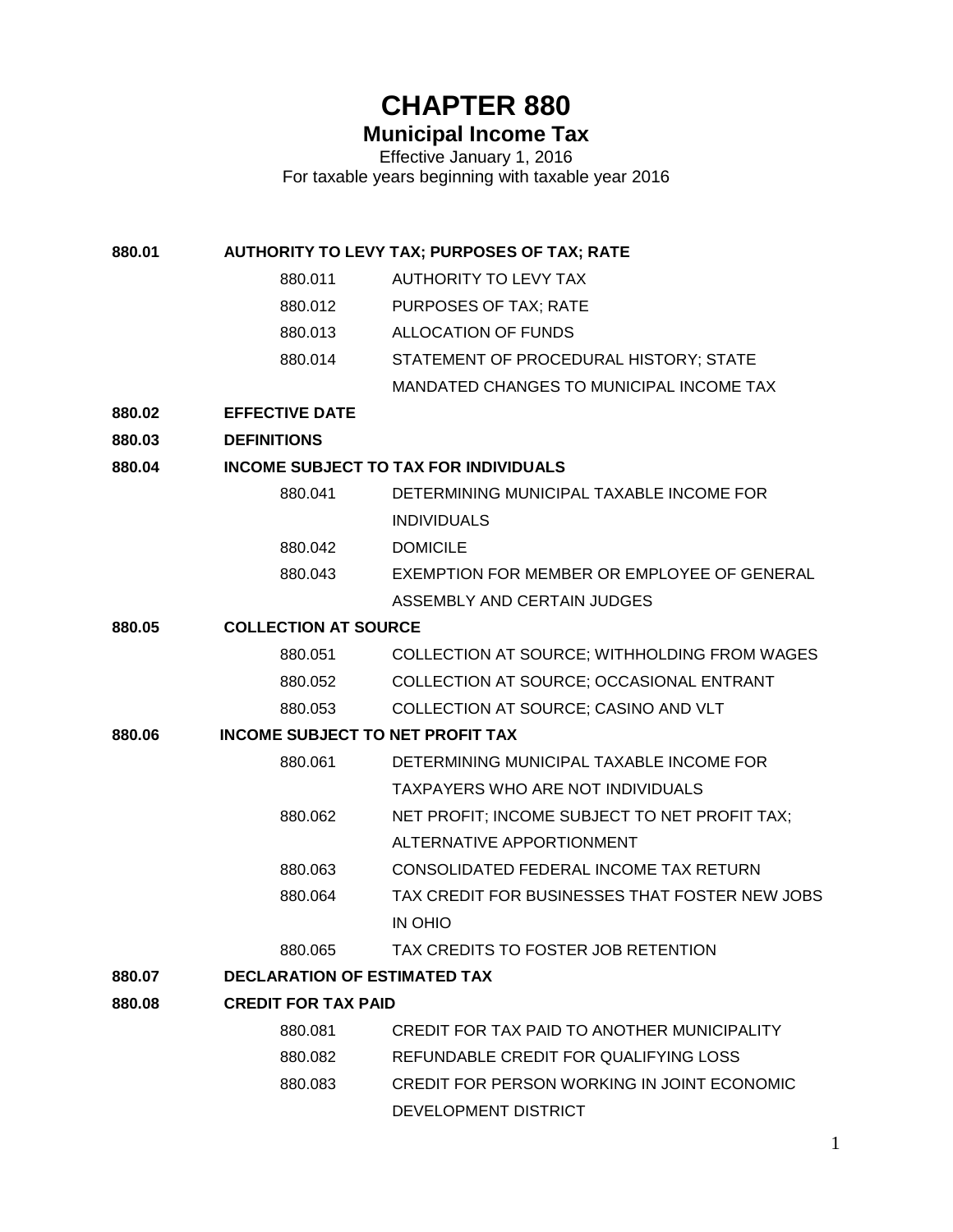# **CHAPTER 880**

# **Municipal Income Tax**

Effective January 1, 2016 For taxable years beginning with taxable year 2016

**880.01 AUTHORITY TO LEVY TAX; PURPOSES OF TAX; RATE**

- 880.011 AUTHORITY TO LEVY TAX
- 880.012 PURPOSES OF TAX; RATE
- 880.013 ALLOCATION OF FUNDS
- 880.014 STATEMENT OF PROCEDURAL HISTORY; STATE
	- MANDATED CHANGES TO MUNICIPAL INCOME TAX
- **880.02 EFFECTIVE DATE**
- **880.03 DEFINITIONS**

#### **880.04 INCOME SUBJECT TO TAX FOR INDIVIDUALS**

- 880.041 DETERMINING MUNICIPAL TAXABLE INCOME FOR INDIVIDUALS
- 880.042 DOMICILE
- 880.043 EXEMPTION FOR MEMBER OR EMPLOYEE OF GENERAL ASSEMBLY AND CERTAIN JUDGES

#### **880.05 COLLECTION AT SOURCE**

| 880.051 | COLLECTION AT SOURCE: WITHHOLDING FROM WAGES |
|---------|----------------------------------------------|
| 880.052 | COLLECTION AT SOURCE; OCCASIONAL ENTRANT     |
| 880.053 | COLLECTION AT SOURCE: CASINO AND VLT         |

#### **880.06 INCOME SUBJECT TO NET PROFIT TAX**

- 880.061 DETERMINING MUNICIPAL TAXABLE INCOME FOR TAXPAYERS WHO ARE NOT INDIVIDUALS
- 880.062 NET PROFIT; INCOME SUBJECT TO NET PROFIT TAX; ALTERNATIVE APPORTIONMENT
- 880.063 CONSOLIDATED FEDERAL INCOME TAX RETURN
- 880.064 TAX CREDIT FOR BUSINESSES THAT FOSTER NEW JOBS IN OHIO
- 880.065 TAX CREDITS TO FOSTER JOB RETENTION

#### **880.07 DECLARATION OF ESTIMATED TAX**

#### **880.08 CREDIT FOR TAX PAID**

| 880.081 | CREDIT FOR TAX PAID TO ANOTHER MUNICIPALITY |
|---------|---------------------------------------------|
| 880.082 | REFUNDABLE CREDIT FOR QUALIFYING LOSS       |
| 880.083 | CREDIT FOR PERSON WORKING IN JOINT ECONOMIC |
|         | DEVELOPMENT DISTRICT                        |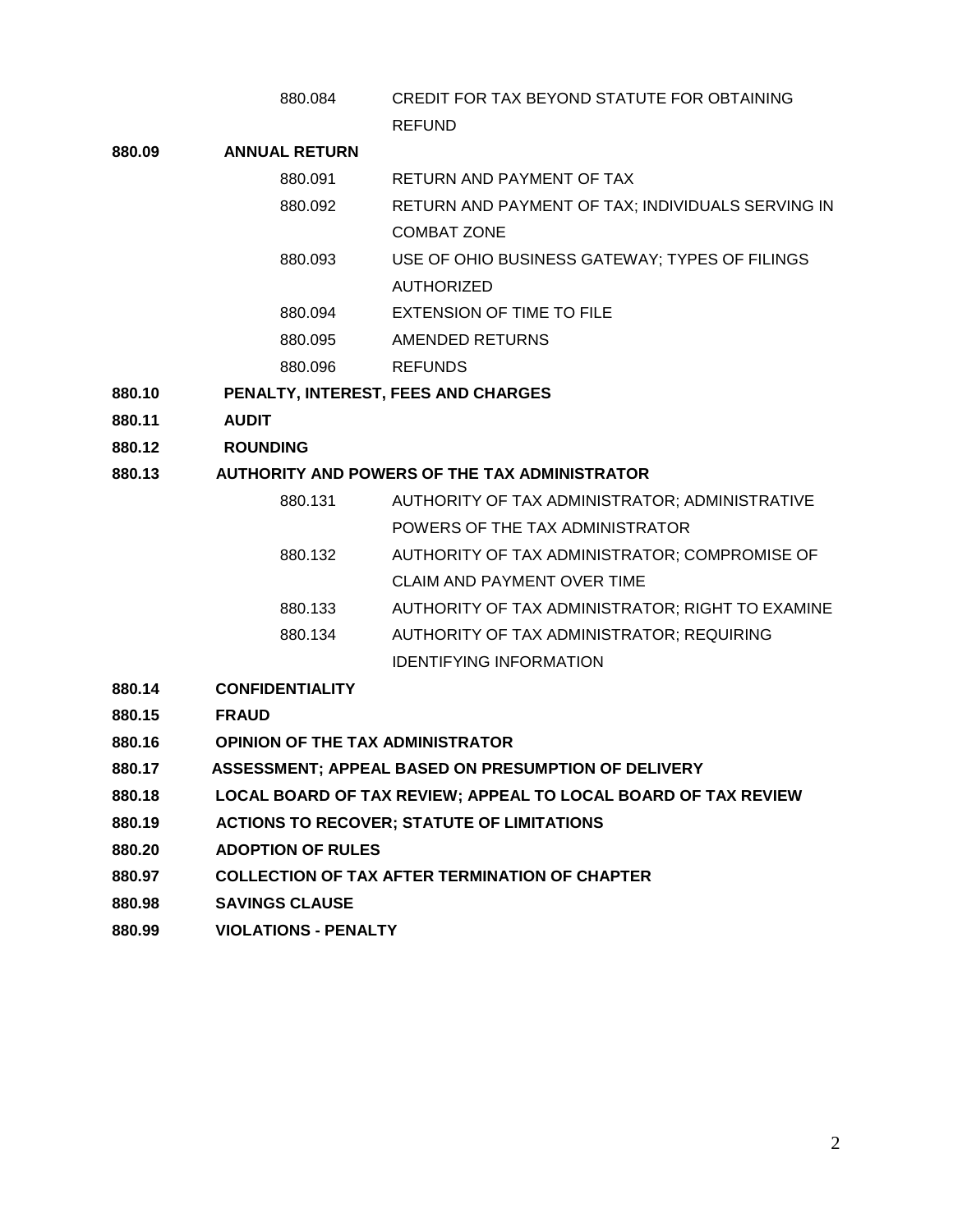880.084 CREDIT FOR TAX BEYOND STATUTE FOR OBTAINING REFUND

#### **880.09 ANNUAL RETURN**

- 880.091 RETURN AND PAYMENT OF TAX
	- 880.092 RETURN AND PAYMENT OF TAX; INDIVIDUALS SERVING IN COMBAT ZONE
	- 880.093 USE OF OHIO BUSINESS GATEWAY; TYPES OF FILINGS AUTHORIZED
	- 880.094 EXTENSION OF TIME TO FILE
	- 880.095 AMENDED RETURNS
	- 880.096 REFUNDS
- **880.10 PENALTY, INTEREST, FEES AND CHARGES**
- **880.11 AUDIT**
- **880.12 ROUNDING**

#### **880.13 AUTHORITY AND POWERS OF THE TAX ADMINISTRATOR**

- 880.131 AUTHORITY OF TAX ADMINISTRATOR; ADMINISTRATIVE POWERS OF THE TAX ADMINISTRATOR 880.132 AUTHORITY OF TAX ADMINISTRATOR; COMPROMISE OF CLAIM AND PAYMENT OVER TIME 880.133 AUTHORITY OF TAX ADMINISTRATOR; RIGHT TO EXAMINE 880.134 AUTHORITY OF TAX ADMINISTRATOR; REQUIRING
- **880.14 CONFIDENTIALITY**
- **880.15 FRAUD**
- **880.16 OPINION OF THE TAX ADMINISTRATOR**
- **880.17 ASSESSMENT; APPEAL BASED ON PRESUMPTION OF DELIVERY**
- **880.18 LOCAL BOARD OF TAX REVIEW; APPEAL TO LOCAL BOARD OF TAX REVIEW**

IDENTIFYING INFORMATION

- **880.19 ACTIONS TO RECOVER; STATUTE OF LIMITATIONS**
- **880.20 ADOPTION OF RULES**
- **880.97 COLLECTION OF TAX AFTER TERMINATION OF CHAPTER**
- **880.98 SAVINGS CLAUSE**
- **880.99 VIOLATIONS - PENALTY**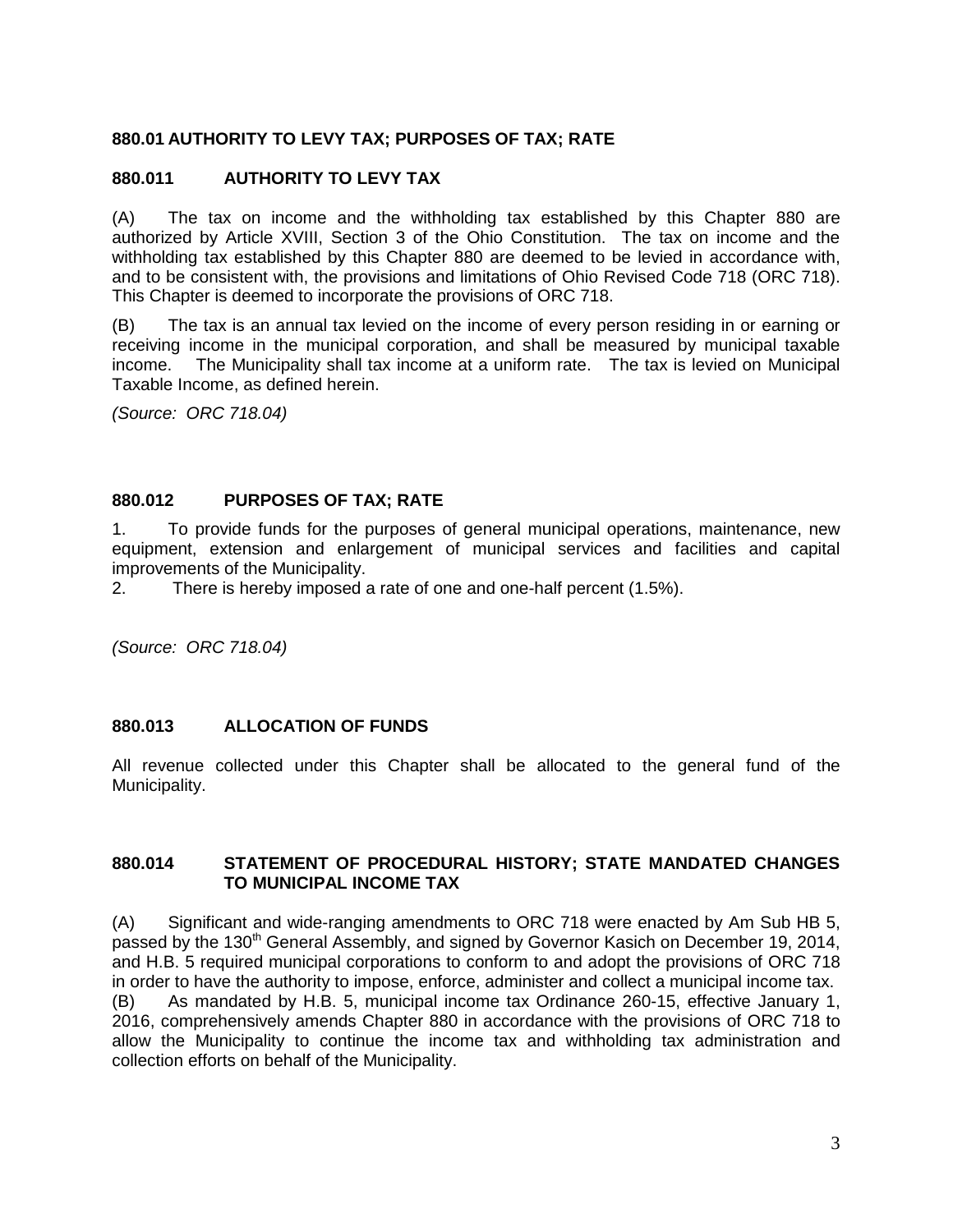#### **880.01 AUTHORITY TO LEVY TAX; PURPOSES OF TAX; RATE**

#### **880.011 AUTHORITY TO LEVY TAX**

(A) The tax on income and the withholding tax established by this Chapter 880 are authorized by Article XVIII, Section 3 of the Ohio Constitution. The tax on income and the withholding tax established by this Chapter 880 are deemed to be levied in accordance with, and to be consistent with, the provisions and limitations of Ohio Revised Code 718 (ORC 718). This Chapter is deemed to incorporate the provisions of ORC 718.

(B) The tax is an annual tax levied on the income of every person residing in or earning or receiving income in the municipal corporation, and shall be measured by municipal taxable income. The Municipality shall tax income at a uniform rate. The tax is levied on Municipal Taxable Income, as defined herein.

*(Source: ORC 718.04)*

#### **880.012 PURPOSES OF TAX; RATE**

1. To provide funds for the purposes of general municipal operations, maintenance, new equipment, extension and enlargement of municipal services and facilities and capital improvements of the Municipality.

2. There is hereby imposed a rate of one and one-half percent (1.5%).

*(Source: ORC 718.04)*

#### **880.013 ALLOCATION OF FUNDS**

All revenue collected under this Chapter shall be allocated to the general fund of the Municipality.

#### **880.014 STATEMENT OF PROCEDURAL HISTORY; STATE MANDATED CHANGES TO MUNICIPAL INCOME TAX**

(A) Significant and wide-ranging amendments to ORC 718 were enacted by Am Sub HB 5, passed by the 130<sup>th</sup> General Assembly, and signed by Governor Kasich on December 19, 2014, and H.B. 5 required municipal corporations to conform to and adopt the provisions of ORC 718 in order to have the authority to impose, enforce, administer and collect a municipal income tax. (B) As mandated by H.B. 5, municipal income tax Ordinance 260-15, effective January 1, 2016, comprehensively amends Chapter 880 in accordance with the provisions of ORC 718 to allow the Municipality to continue the income tax and withholding tax administration and collection efforts on behalf of the Municipality.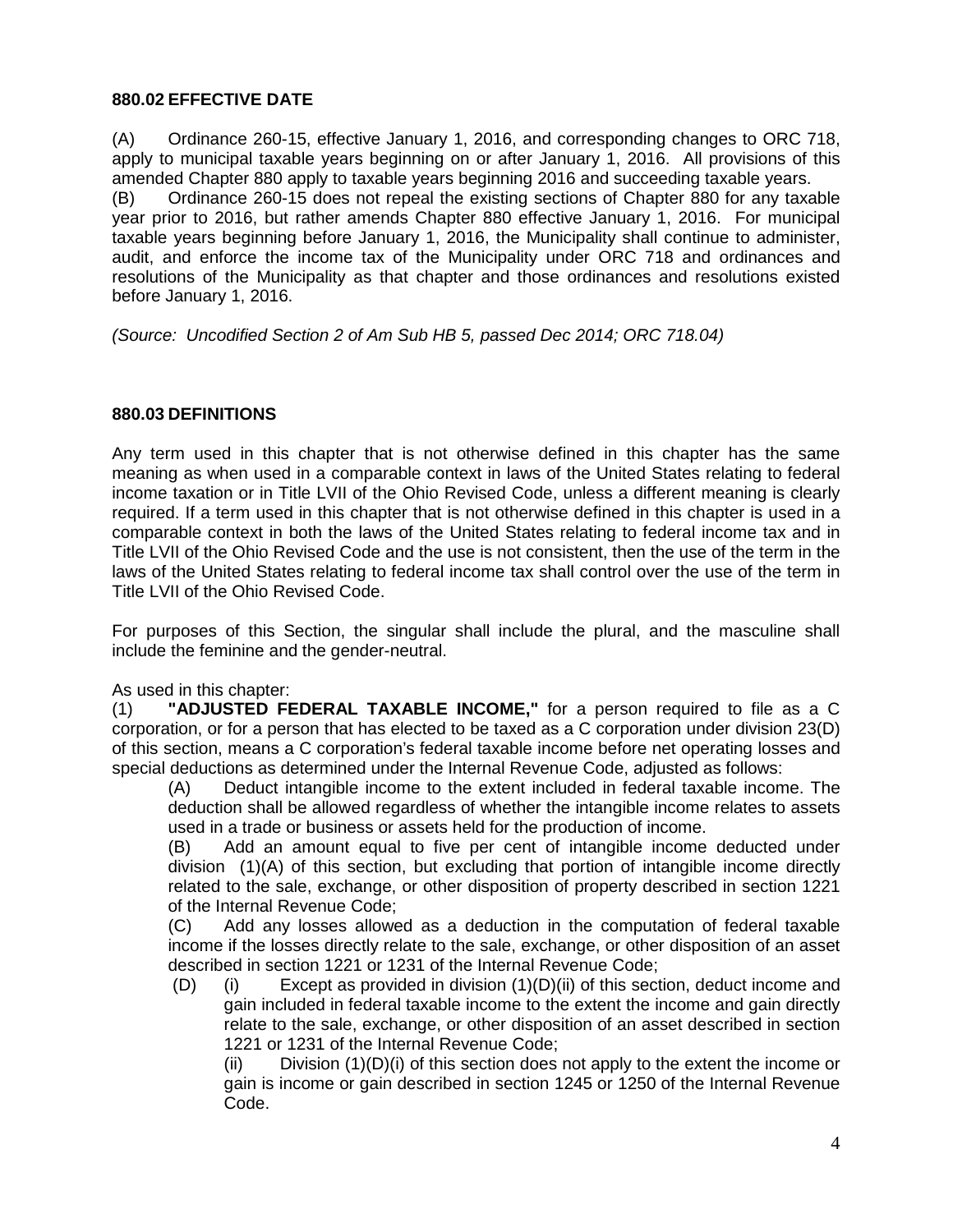#### **880.02 EFFECTIVE DATE**

(A) Ordinance 260-15, effective January 1, 2016, and corresponding changes to ORC 718, apply to municipal taxable years beginning on or after January 1, 2016. All provisions of this amended Chapter 880 apply to taxable years beginning 2016 and succeeding taxable years.

(B) Ordinance 260-15 does not repeal the existing sections of Chapter 880 for any taxable year prior to 2016, but rather amends Chapter 880 effective January 1, 2016. For municipal taxable years beginning before January 1, 2016, the Municipality shall continue to administer, audit, and enforce the income tax of the Municipality under ORC 718 and ordinances and resolutions of the Municipality as that chapter and those ordinances and resolutions existed before January 1, 2016.

*(Source: Uncodified Section 2 of Am Sub HB 5, passed Dec 2014; ORC 718.04)*

#### **880.03 DEFINITIONS**

Any term used in this chapter that is not otherwise defined in this chapter has the same meaning as when used in a comparable context in laws of the United States relating to federal income taxation or in Title LVII of the Ohio Revised Code, unless a different meaning is clearly required. If a term used in this chapter that is not otherwise defined in this chapter is used in a comparable context in both the laws of the United States relating to federal income tax and in Title LVII of the Ohio Revised Code and the use is not consistent, then the use of the term in the laws of the United States relating to federal income tax shall control over the use of the term in Title LVII of the Ohio Revised Code.

For purposes of this Section, the singular shall include the plural, and the masculine shall include the feminine and the gender-neutral.

As used in this chapter:

(1) **"ADJUSTED FEDERAL TAXABLE INCOME,"** for a person required to file as a C corporation, or for a person that has elected to be taxed as a C corporation under division 23(D) of this section, means a C corporation's federal taxable income before net operating losses and special deductions as determined under the Internal Revenue Code, adjusted as follows:

(A) Deduct intangible income to the extent included in federal taxable income. The deduction shall be allowed regardless of whether the intangible income relates to assets used in a trade or business or assets held for the production of income.

(B) Add an amount equal to five per cent of intangible income deducted under division (1)(A) of this section, but excluding that portion of intangible income directly related to the sale, exchange, or other disposition of property described in section 1221 of the Internal Revenue Code;

(C) Add any losses allowed as a deduction in the computation of federal taxable income if the losses directly relate to the sale, exchange, or other disposition of an asset described in section 1221 or 1231 of the Internal Revenue Code;

(D) (i) Except as provided in division (1)(D)(ii) of this section, deduct income and gain included in federal taxable income to the extent the income and gain directly relate to the sale, exchange, or other disposition of an asset described in section 1221 or 1231 of the Internal Revenue Code;

(ii) Division (1)(D)(i) of this section does not apply to the extent the income or gain is income or gain described in section 1245 or 1250 of the Internal Revenue Code.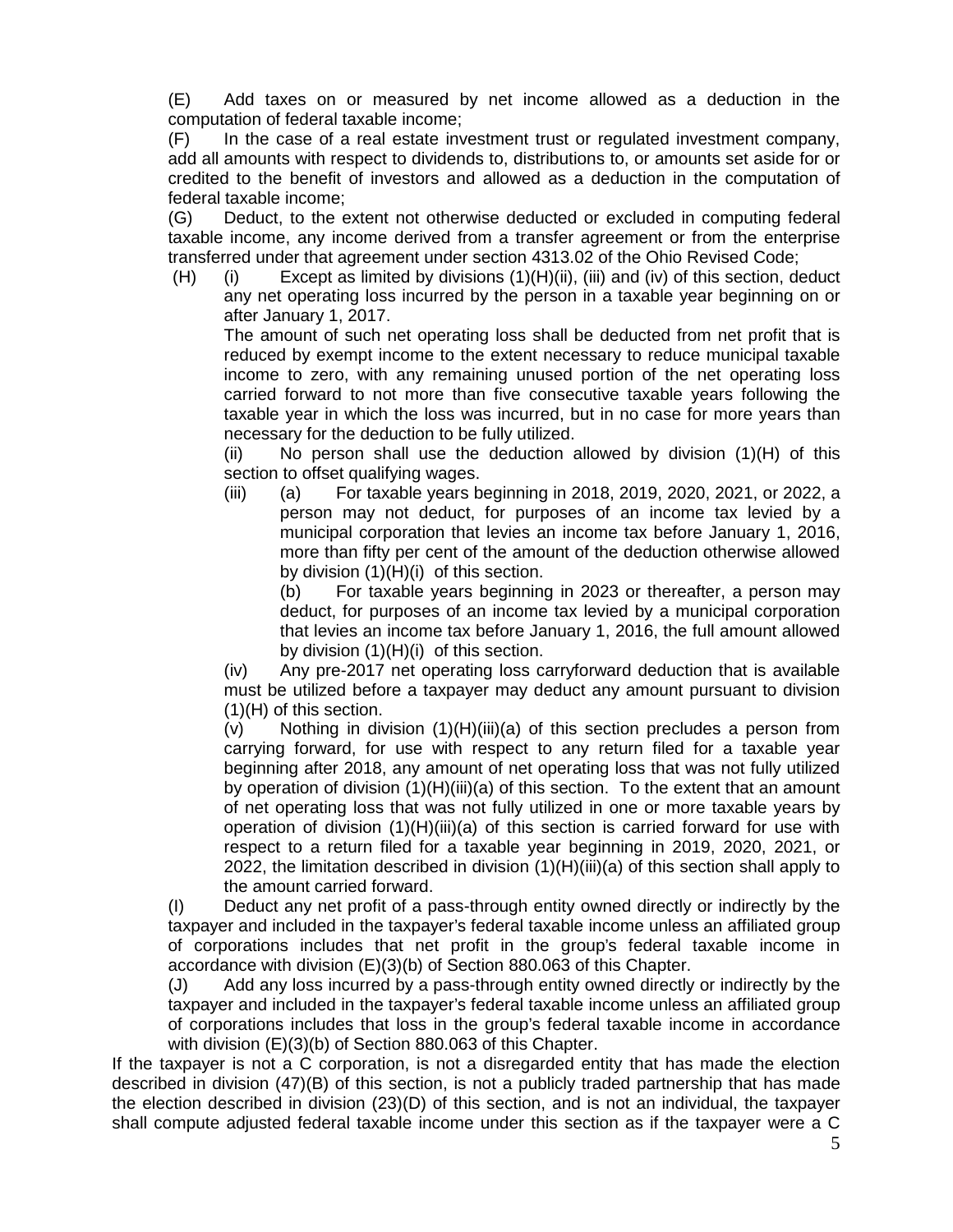(E) Add taxes on or measured by net income allowed as a deduction in the computation of federal taxable income;

(F) In the case of a real estate investment trust or regulated investment company, add all amounts with respect to dividends to, distributions to, or amounts set aside for or credited to the benefit of investors and allowed as a deduction in the computation of federal taxable income;

(G) Deduct, to the extent not otherwise deducted or excluded in computing federal taxable income, any income derived from a transfer agreement or from the enterprise transferred under that agreement under section 4313.02 of the Ohio Revised Code;

(H) (i) Except as limited by divisions (1)(H)(ii), (iii) and (iv) of this section, deduct any net operating loss incurred by the person in a taxable year beginning on or after January 1, 2017.

The amount of such net operating loss shall be deducted from net profit that is reduced by exempt income to the extent necessary to reduce municipal taxable income to zero, with any remaining unused portion of the net operating loss carried forward to not more than five consecutive taxable years following the taxable year in which the loss was incurred, but in no case for more years than necessary for the deduction to be fully utilized.

(ii) No person shall use the deduction allowed by division (1)(H) of this section to offset qualifying wages.

(iii) (a) For taxable years beginning in 2018, 2019, 2020, 2021, or 2022, a person may not deduct, for purposes of an income tax levied by a municipal corporation that levies an income tax before January 1, 2016, more than fifty per cent of the amount of the deduction otherwise allowed by division (1)(H)(i) of this section.

(b) For taxable years beginning in 2023 or thereafter, a person may deduct, for purposes of an income tax levied by a municipal corporation that levies an income tax before January 1, 2016, the full amount allowed by division (1)(H)(i) of this section.

(iv) Any pre-2017 net operating loss carryforward deduction that is available must be utilized before a taxpayer may deduct any amount pursuant to division (1)(H) of this section.

 $(v)$  Nothing in division  $(1)(H)(iii)(a)$  of this section precludes a person from carrying forward, for use with respect to any return filed for a taxable year beginning after 2018, any amount of net operating loss that was not fully utilized by operation of division (1)(H)(iii)(a) of this section. To the extent that an amount of net operating loss that was not fully utilized in one or more taxable years by operation of division  $(1)(H)(iii)(a)$  of this section is carried forward for use with respect to a return filed for a taxable year beginning in 2019, 2020, 2021, or 2022, the limitation described in division  $(1)(H)(iii)(a)$  of this section shall apply to the amount carried forward.

(I) Deduct any net profit of a pass-through entity owned directly or indirectly by the taxpayer and included in the taxpayer's federal taxable income unless an affiliated group of corporations includes that net profit in the group's federal taxable income in accordance with division (E)(3)(b) of Section 880.063 of this Chapter.

(J) Add any loss incurred by a pass-through entity owned directly or indirectly by the taxpayer and included in the taxpayer's federal taxable income unless an affiliated group of corporations includes that loss in the group's federal taxable income in accordance with division (E)(3)(b) of Section 880.063 of this Chapter.

If the taxpayer is not a C corporation, is not a disregarded entity that has made the election described in division (47)(B) of this section, is not a publicly traded partnership that has made the election described in division (23)(D) of this section, and is not an individual, the taxpayer shall compute adjusted federal taxable income under this section as if the taxpayer were a C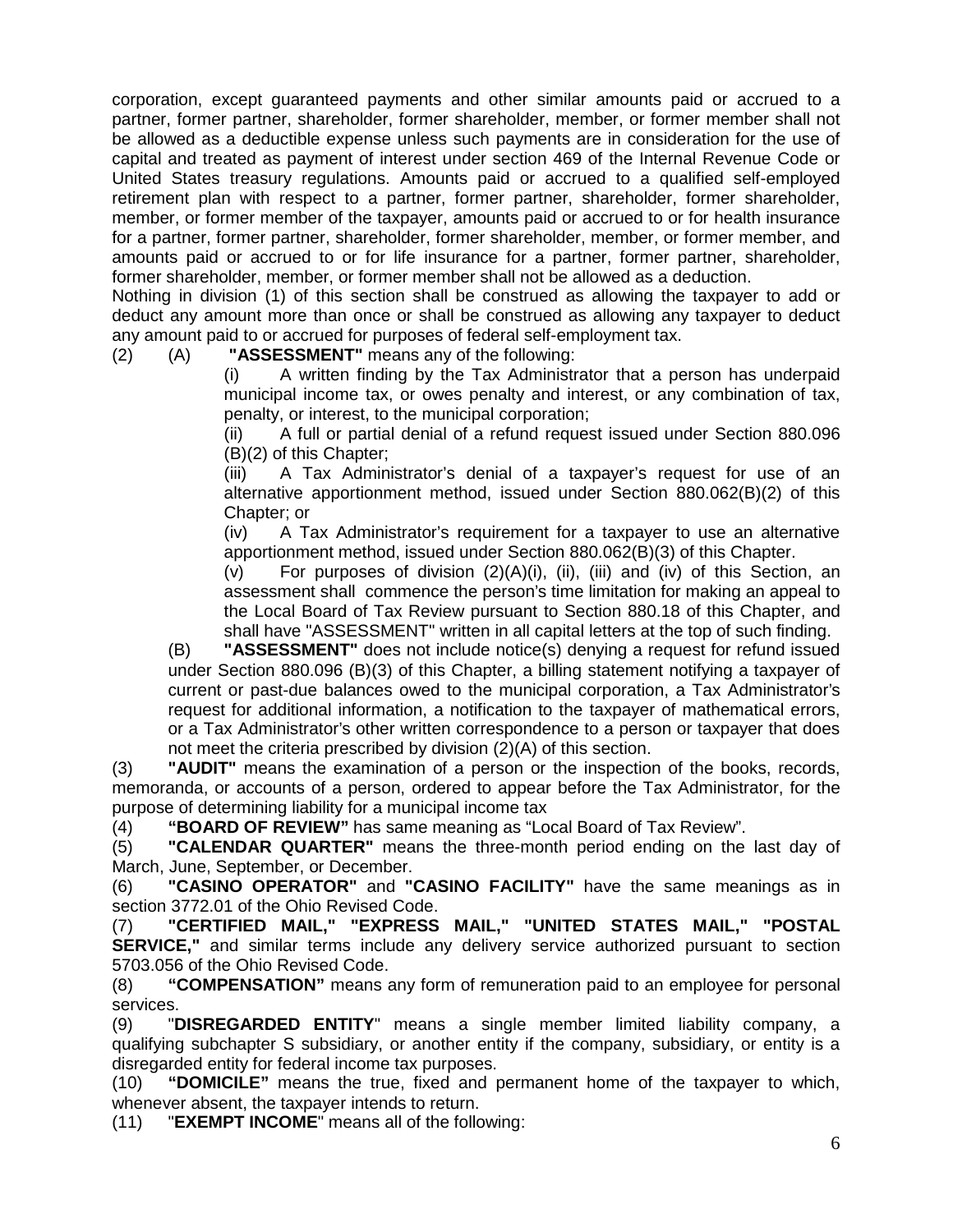corporation, except guaranteed payments and other similar amounts paid or accrued to a partner, former partner, shareholder, former shareholder, member, or former member shall not be allowed as a deductible expense unless such payments are in consideration for the use of capital and treated as payment of interest under section 469 of the Internal Revenue Code or United States treasury regulations. Amounts paid or accrued to a qualified self-employed retirement plan with respect to a partner, former partner, shareholder, former shareholder, member, or former member of the taxpayer, amounts paid or accrued to or for health insurance for a partner, former partner, shareholder, former shareholder, member, or former member, and amounts paid or accrued to or for life insurance for a partner, former partner, shareholder, former shareholder, member, or former member shall not be allowed as a deduction.

Nothing in division (1) of this section shall be construed as allowing the taxpayer to add or deduct any amount more than once or shall be construed as allowing any taxpayer to deduct any amount paid to or accrued for purposes of federal self-employment tax.

(2) (A) **"ASSESSMENT"** means any of the following:

(i) A written finding by the Tax Administrator that a person has underpaid municipal income tax, or owes penalty and interest, or any combination of tax, penalty, or interest, to the municipal corporation;

(ii) A full or partial denial of a refund request issued under Section 880.096 (B)(2) of this Chapter;

(iii) A Tax Administrator's denial of a taxpayer's request for use of an alternative apportionment method, issued under Section 880.062(B)(2) of this Chapter; or

(iv) A Tax Administrator's requirement for a taxpayer to use an alternative apportionment method, issued under Section 880.062(B)(3) of this Chapter.

(v) For purposes of division  $(2)(A)(i)$ ,  $(ii)$ ,  $(iii)$  and  $(iv)$  of this Section, an assessment shall commence the person's time limitation for making an appeal to the Local Board of Tax Review pursuant to Section 880.18 of this Chapter, and shall have "ASSESSMENT" written in all capital letters at the top of such finding.

(B) **"ASSESSMENT"** does not include notice(s) denying a request for refund issued under Section 880.096 (B)(3) of this Chapter, a billing statement notifying a taxpayer of current or past-due balances owed to the municipal corporation, a Tax Administrator's request for additional information, a notification to the taxpayer of mathematical errors, or a Tax Administrator's other written correspondence to a person or taxpayer that does not meet the criteria prescribed by division (2)(A) of this section.

(3) **"AUDIT"** means the examination of a person or the inspection of the books, records, memoranda, or accounts of a person, ordered to appear before the Tax Administrator, for the purpose of determining liability for a municipal income tax

(4) **"BOARD OF REVIEW"** has same meaning as "Local Board of Tax Review".

(5) **"CALENDAR QUARTER"** means the three-month period ending on the last day of March, June, September, or December.

(6) **"CASINO OPERATOR"** and **"CASINO FACILITY"** have the same meanings as in section 3772.01 of the Ohio Revised Code.

(7) **"CERTIFIED MAIL," "EXPRESS MAIL," "UNITED STATES MAIL," "POSTAL SERVICE,"** and similar terms include any delivery service authorized pursuant to section 5703.056 of the Ohio Revised Code.

(8) **"COMPENSATION"** means any form of remuneration paid to an employee for personal services.

(9) "**DISREGARDED ENTITY**" means a single member limited liability company, a qualifying subchapter S subsidiary, or another entity if the company, subsidiary, or entity is a disregarded entity for federal income tax purposes.

(10) **"DOMICILE"** means the true, fixed and permanent home of the taxpayer to which, whenever absent, the taxpayer intends to return.

(11) "**EXEMPT INCOME**" means all of the following: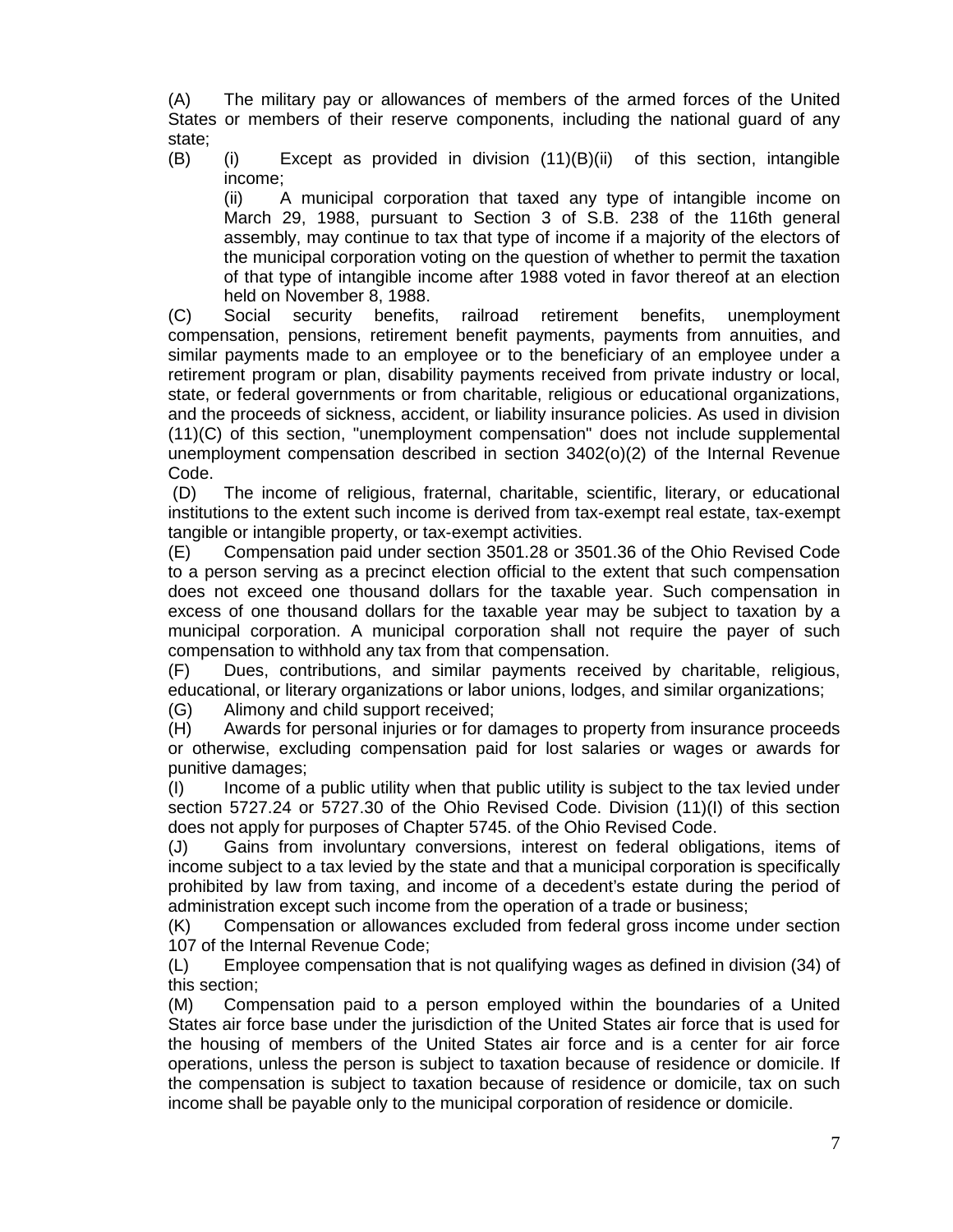(A) The military pay or allowances of members of the armed forces of the United States or members of their reserve components, including the national guard of any state;

(B) (i) Except as provided in division (11)(B)(ii) of this section, intangible income;

(ii) A municipal corporation that taxed any type of intangible income on March 29, 1988, pursuant to Section 3 of S.B. 238 of the 116th general assembly, may continue to tax that type of income if a majority of the electors of the municipal corporation voting on the question of whether to permit the taxation of that type of intangible income after 1988 voted in favor thereof at an election held on November 8, 1988.

(C) Social security benefits, railroad retirement benefits, unemployment compensation, pensions, retirement benefit payments, payments from annuities, and similar payments made to an employee or to the beneficiary of an employee under a retirement program or plan, disability payments received from private industry or local, state, or federal governments or from charitable, religious or educational organizations, and the proceeds of sickness, accident, or liability insurance policies. As used in division (11)(C) of this section, "unemployment compensation" does not include supplemental unemployment compensation described in section 3402(o)(2) of the Internal Revenue Code.

(D) The income of religious, fraternal, charitable, scientific, literary, or educational institutions to the extent such income is derived from tax-exempt real estate, tax-exempt tangible or intangible property, or tax-exempt activities.<br>(E) Compensation paid under section 3501.28 or 3

(E) Compensation paid under section 3501.28 or 3501.36 of the Ohio Revised Code to a person serving as a precinct election official to the extent that such compensation does not exceed one thousand dollars for the taxable year. Such compensation in excess of one thousand dollars for the taxable year may be subject to taxation by a municipal corporation. A municipal corporation shall not require the payer of such compensation to withhold any tax from that compensation.

(F) Dues, contributions, and similar payments received by charitable, religious, educational, or literary organizations or labor unions, lodges, and similar organizations;

(G) Alimony and child support received;

(H) Awards for personal injuries or for damages to property from insurance proceeds or otherwise, excluding compensation paid for lost salaries or wages or awards for punitive damages;

(I) Income of a public utility when that public utility is subject to the tax levied under section 5727.24 or 5727.30 of the Ohio Revised Code. Division (11)(I) of this section does not apply for purposes of Chapter 5745. of the Ohio Revised Code.

(J) Gains from involuntary conversions, interest on federal obligations, items of income subject to a tax levied by the state and that a municipal corporation is specifically prohibited by law from taxing, and income of a decedent's estate during the period of administration except such income from the operation of a trade or business;

(K) Compensation or allowances excluded from federal gross income under section 107 of the Internal Revenue Code;

(L) Employee compensation that is not qualifying wages as defined in division (34) of this section;

(M) Compensation paid to a person employed within the boundaries of a United States air force base under the jurisdiction of the United States air force that is used for the housing of members of the United States air force and is a center for air force operations, unless the person is subject to taxation because of residence or domicile. If the compensation is subject to taxation because of residence or domicile, tax on such income shall be payable only to the municipal corporation of residence or domicile.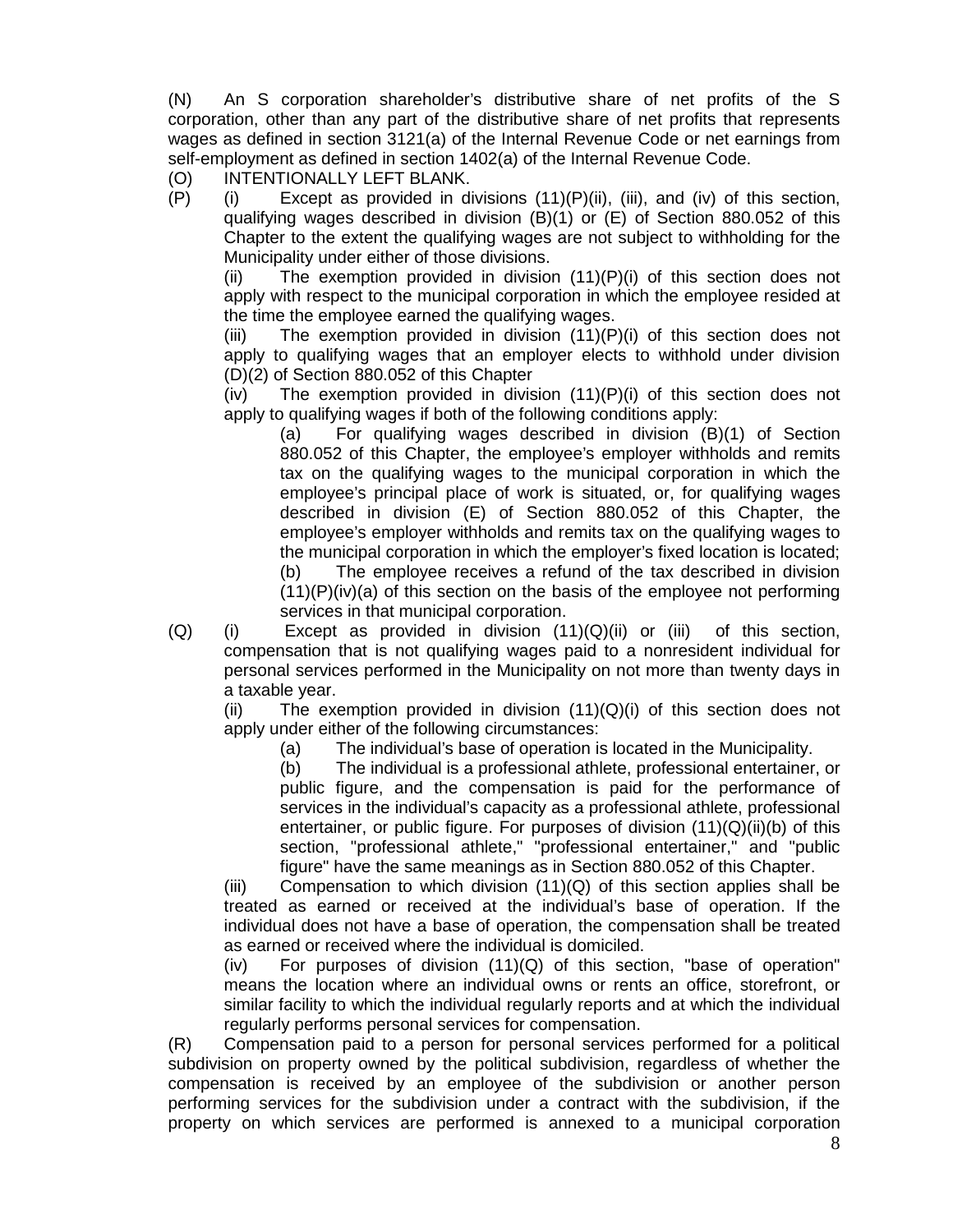(N) An S corporation shareholder's distributive share of net profits of the S corporation, other than any part of the distributive share of net profits that represents wages as defined in section 3121(a) of the Internal Revenue Code or net earnings from self-employment as defined in section 1402(a) of the Internal Revenue Code.

(O) INTENTIONALLY LEFT BLANK.

 $(P)$  (i) Except as provided in divisions  $(11)(P)(iii)$ , (iii), and (iv) of this section, qualifying wages described in division (B)(1) or (E) of Section 880.052 of this Chapter to the extent the qualifying wages are not subject to withholding for the Municipality under either of those divisions.

(ii) The exemption provided in division  $(11)(P)(i)$  of this section does not apply with respect to the municipal corporation in which the employee resided at the time the employee earned the qualifying wages.

(iii) The exemption provided in division  $(11)(P)(i)$  of this section does not apply to qualifying wages that an employer elects to withhold under division (D)(2) of Section 880.052 of this Chapter

 $(iv)$  The exemption provided in division  $(11)(P)(i)$  of this section does not apply to qualifying wages if both of the following conditions apply:

(a) For qualifying wages described in division (B)(1) of Section 880.052 of this Chapter, the employee's employer withholds and remits tax on the qualifying wages to the municipal corporation in which the employee's principal place of work is situated, or, for qualifying wages described in division (E) of Section 880.052 of this Chapter, the employee's employer withholds and remits tax on the qualifying wages to the municipal corporation in which the employer's fixed location is located;

(b) The employee receives a refund of the tax described in division  $(11)(P)(iv)(a)$  of this section on the basis of the employee not performing services in that municipal corporation.

 $(Q)$  (i) Except as provided in division  $(11)(Q)(ii)$  or (iii) of this section, compensation that is not qualifying wages paid to a nonresident individual for personal services performed in the Municipality on not more than twenty days in a taxable year.

(ii) The exemption provided in division  $(11)(Q)(i)$  of this section does not apply under either of the following circumstances:

(a) The individual's base of operation is located in the Municipality.

(b) The individual is a professional athlete, professional entertainer, or public figure, and the compensation is paid for the performance of services in the individual's capacity as a professional athlete, professional entertainer, or public figure. For purposes of division  $(11)(Q)(ii)(b)$  of this section, "professional athlete," "professional entertainer," and "public figure" have the same meanings as in Section 880.052 of this Chapter.

(iii) Compensation to which division  $(11)(Q)$  of this section applies shall be treated as earned or received at the individual's base of operation. If the individual does not have a base of operation, the compensation shall be treated as earned or received where the individual is domiciled.

 $(iv)$  For purposes of division  $(11)(Q)$  of this section, "base of operation" means the location where an individual owns or rents an office, storefront, or similar facility to which the individual regularly reports and at which the individual regularly performs personal services for compensation.

(R) Compensation paid to a person for personal services performed for a political subdivision on property owned by the political subdivision, regardless of whether the compensation is received by an employee of the subdivision or another person performing services for the subdivision under a contract with the subdivision, if the property on which services are performed is annexed to a municipal corporation

8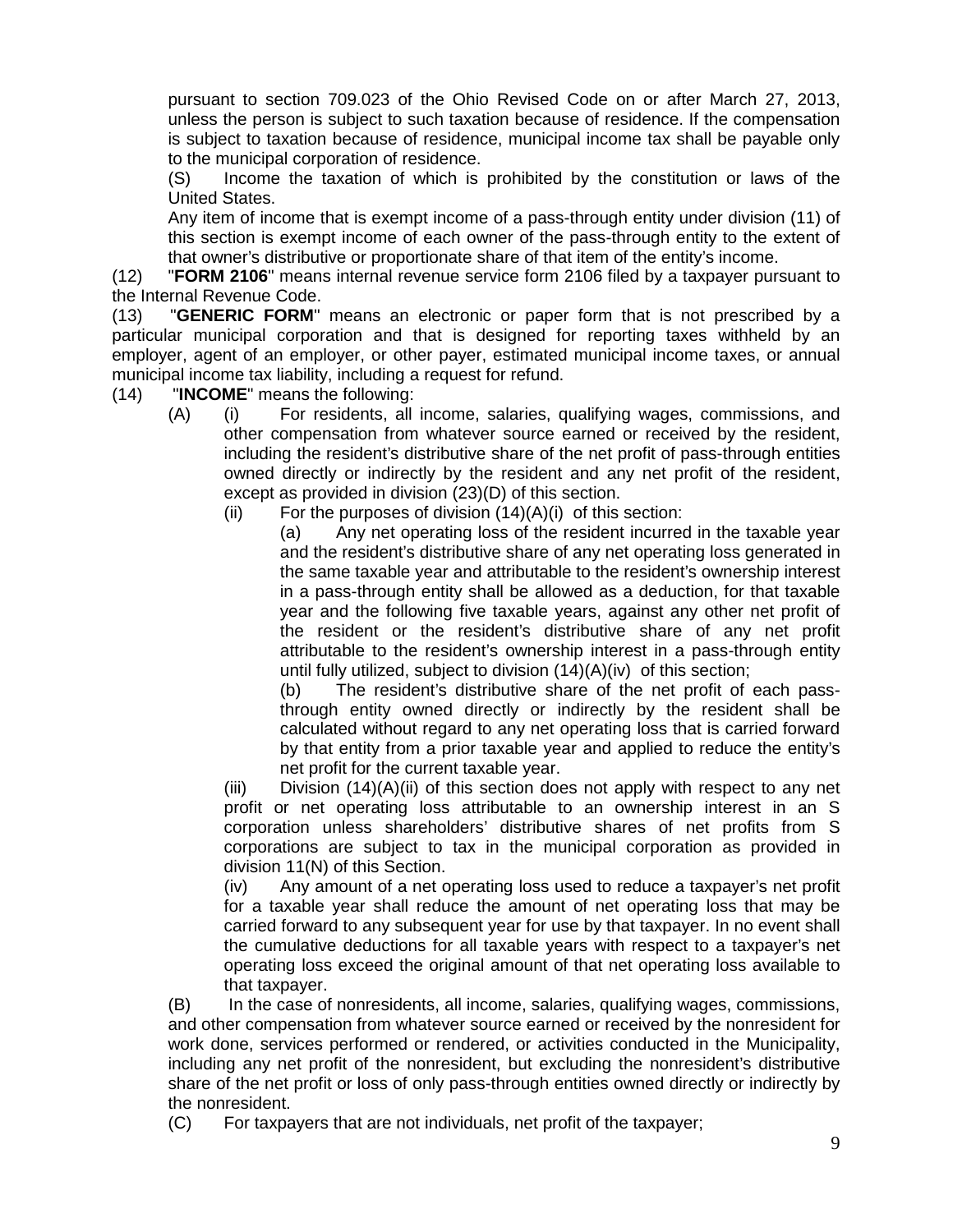pursuant to section 709.023 of the Ohio Revised Code on or after March 27, 2013, unless the person is subject to such taxation because of residence. If the compensation is subject to taxation because of residence, municipal income tax shall be payable only to the municipal corporation of residence.

(S) Income the taxation of which is prohibited by the constitution or laws of the United States.

Any item of income that is exempt income of a pass-through entity under division (11) of this section is exempt income of each owner of the pass-through entity to the extent of that owner's distributive or proportionate share of that item of the entity's income.

(12) "**FORM 2106**" means internal revenue service form 2106 filed by a taxpayer pursuant to the Internal Revenue Code.

(13) "**GENERIC FORM**" means an electronic or paper form that is not prescribed by a particular municipal corporation and that is designed for reporting taxes withheld by an employer, agent of an employer, or other payer, estimated municipal income taxes, or annual municipal income tax liability, including a request for refund.

- (14) "**INCOME**" means the following:
	- (A) (i) For residents, all income, salaries, qualifying wages, commissions, and other compensation from whatever source earned or received by the resident, including the resident's distributive share of the net profit of pass-through entities owned directly or indirectly by the resident and any net profit of the resident, except as provided in division (23)(D) of this section.
		- (ii) For the purposes of division  $(14)(A)(i)$  of this section:

(a) Any net operating loss of the resident incurred in the taxable year and the resident's distributive share of any net operating loss generated in the same taxable year and attributable to the resident's ownership interest in a pass-through entity shall be allowed as a deduction, for that taxable year and the following five taxable years, against any other net profit of the resident or the resident's distributive share of any net profit attributable to the resident's ownership interest in a pass-through entity until fully utilized, subject to division (14)(A)(iv) of this section;

(b) The resident's distributive share of the net profit of each passthrough entity owned directly or indirectly by the resident shall be calculated without regard to any net operating loss that is carried forward by that entity from a prior taxable year and applied to reduce the entity's net profit for the current taxable year.

(iii) Division  $(14)(A)(ii)$  of this section does not apply with respect to any net profit or net operating loss attributable to an ownership interest in an S corporation unless shareholders' distributive shares of net profits from S corporations are subject to tax in the municipal corporation as provided in division 11(N) of this Section.

(iv) Any amount of a net operating loss used to reduce a taxpayer's net profit for a taxable year shall reduce the amount of net operating loss that may be carried forward to any subsequent year for use by that taxpayer. In no event shall the cumulative deductions for all taxable years with respect to a taxpayer's net operating loss exceed the original amount of that net operating loss available to that taxpayer.

(B) In the case of nonresidents, all income, salaries, qualifying wages, commissions, and other compensation from whatever source earned or received by the nonresident for work done, services performed or rendered, or activities conducted in the Municipality, including any net profit of the nonresident, but excluding the nonresident's distributive share of the net profit or loss of only pass-through entities owned directly or indirectly by the nonresident.

(C) For taxpayers that are not individuals, net profit of the taxpayer;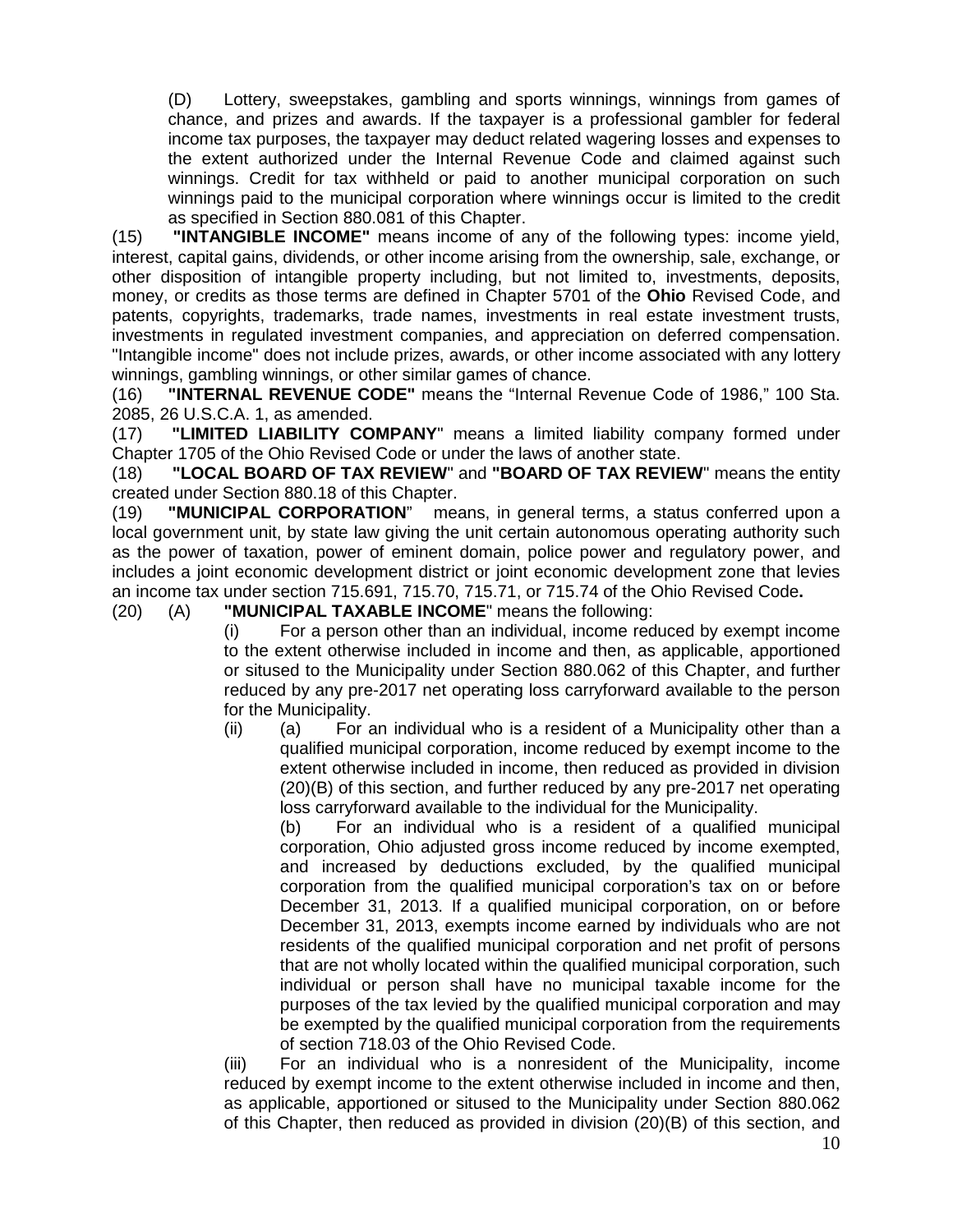(D) Lottery, sweepstakes, gambling and sports winnings, winnings from games of chance, and prizes and awards. If the taxpayer is a professional gambler for federal income tax purposes, the taxpayer may deduct related wagering losses and expenses to the extent authorized under the Internal Revenue Code and claimed against such winnings. Credit for tax withheld or paid to another municipal corporation on such winnings paid to the municipal corporation where winnings occur is limited to the credit as specified in Section 880.081 of this Chapter.

(15) **"INTANGIBLE INCOME"** means income of any of the following types: income yield, interest, capital gains, dividends, or other income arising from the ownership, sale, exchange, or other disposition of intangible property including, but not limited to, investments, deposits, money, or credits as those terms are defined in Chapter 5701 of the **Ohio** Revised Code, and patents, copyrights, trademarks, trade names, investments in real estate investment trusts, investments in regulated investment companies, and appreciation on deferred compensation. "Intangible income" does not include prizes, awards, or other income associated with any lottery winnings, gambling winnings, or other similar games of chance.

(16) **"INTERNAL REVENUE CODE"** means the "Internal Revenue Code of 1986," 100 Sta. 2085, 26 U.S.C.A. 1, as amended.

(17) **"LIMITED LIABILITY COMPANY**" means a limited liability company formed under Chapter 1705 of the Ohio Revised Code or under the laws of another state.

(18) **"LOCAL BOARD OF TAX REVIEW**" and **"BOARD OF TAX REVIEW**" means the entity created under Section 880.18 of this Chapter.

(19) **"MUNICIPAL CORPORATION**" means, in general terms, a status conferred upon a local government unit, by state law giving the unit certain autonomous operating authority such as the power of taxation, power of eminent domain, police power and regulatory power, and includes a joint economic development district or joint economic development zone that levies an income tax under section 715.691, 715.70, 715.71, or 715.74 of the Ohio Revised Code**.**

(20) (A) **"MUNICIPAL TAXABLE INCOME**" means the following:

(i) For a person other than an individual, income reduced by exempt income to the extent otherwise included in income and then, as applicable, apportioned or sitused to the Municipality under Section 880.062 of this Chapter, and further reduced by any pre-2017 net operating loss carryforward available to the person for the Municipality.

(ii) (a) For an individual who is a resident of a Municipality other than a qualified municipal corporation, income reduced by exempt income to the extent otherwise included in income, then reduced as provided in division (20)(B) of this section, and further reduced by any pre-2017 net operating loss carryforward available to the individual for the Municipality.

(b) For an individual who is a resident of a qualified municipal corporation, Ohio adjusted gross income reduced by income exempted, and increased by deductions excluded, by the qualified municipal corporation from the qualified municipal corporation's tax on or before December 31, 2013. If a qualified municipal corporation, on or before December 31, 2013, exempts income earned by individuals who are not residents of the qualified municipal corporation and net profit of persons that are not wholly located within the qualified municipal corporation, such individual or person shall have no municipal taxable income for the purposes of the tax levied by the qualified municipal corporation and may be exempted by the qualified municipal corporation from the requirements of section 718.03 of the Ohio Revised Code.

(iii) For an individual who is a nonresident of the Municipality, income reduced by exempt income to the extent otherwise included in income and then, as applicable, apportioned or sitused to the Municipality under Section 880.062 of this Chapter, then reduced as provided in division (20)(B) of this section, and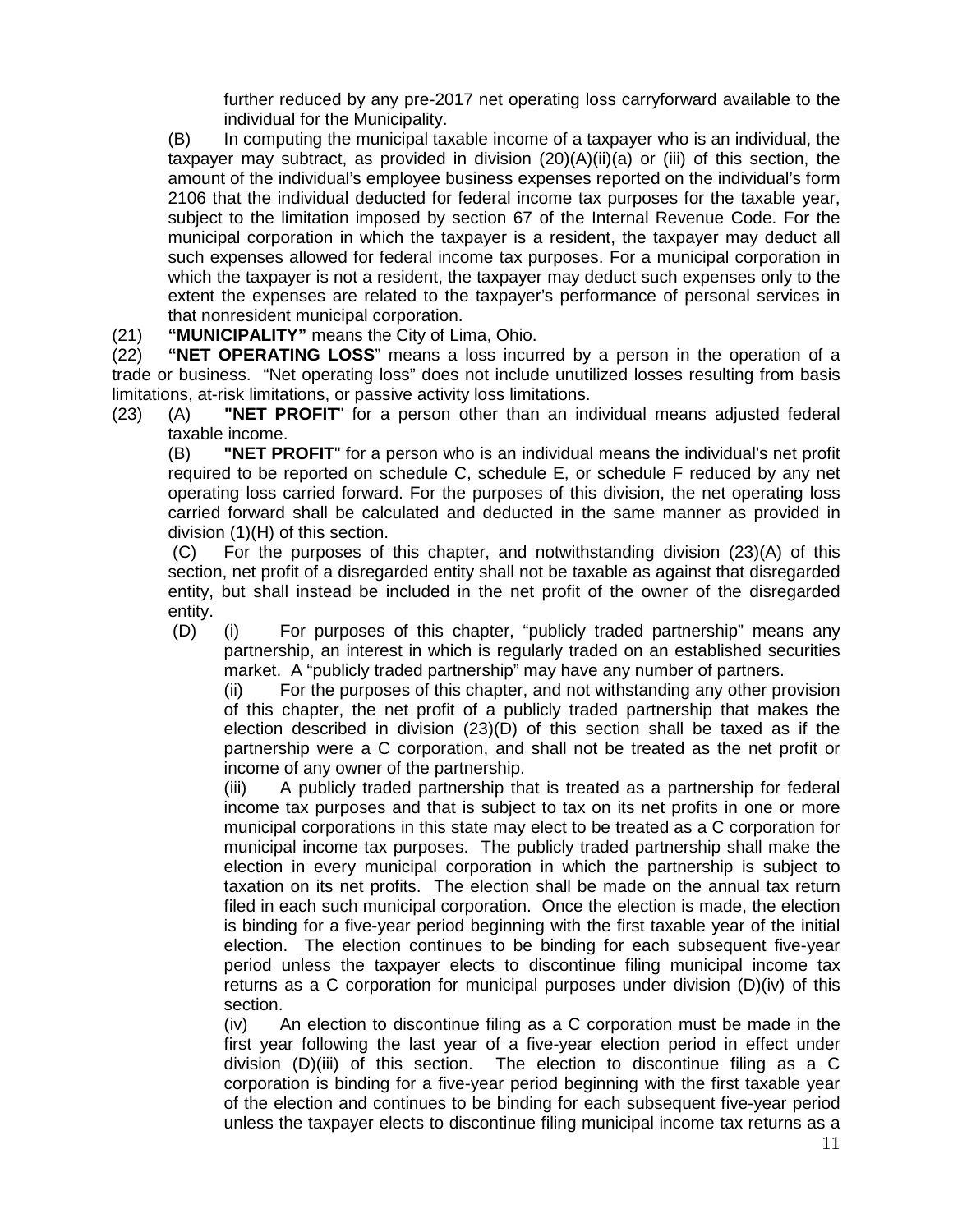further reduced by any pre-2017 net operating loss carryforward available to the individual for the Municipality.

(B) In computing the municipal taxable income of a taxpayer who is an individual, the taxpayer may subtract, as provided in division  $(20)(A)(ii)(a)$  or (iii) of this section, the amount of the individual's employee business expenses reported on the individual's form 2106 that the individual deducted for federal income tax purposes for the taxable year, subject to the limitation imposed by section 67 of the Internal Revenue Code. For the municipal corporation in which the taxpayer is a resident, the taxpayer may deduct all such expenses allowed for federal income tax purposes. For a municipal corporation in which the taxpayer is not a resident, the taxpayer may deduct such expenses only to the extent the expenses are related to the taxpayer's performance of personal services in that nonresident municipal corporation.

(21) **"MUNICIPALITY"** means the City of Lima, Ohio.

(22) **"NET OPERATING LOSS**" means a loss incurred by a person in the operation of a trade or business. "Net operating loss" does not include unutilized losses resulting from basis limitations, at-risk limitations, or passive activity loss limitations.

(23) (A) **"NET PROFIT**" for a person other than an individual means adjusted federal taxable income.

(B) **"NET PROFIT**" for a person who is an individual means the individual's net profit required to be reported on schedule C, schedule E, or schedule F reduced by any net operating loss carried forward. For the purposes of this division, the net operating loss carried forward shall be calculated and deducted in the same manner as provided in division (1)(H) of this section.

(C) For the purposes of this chapter, and notwithstanding division (23)(A) of this section, net profit of a disregarded entity shall not be taxable as against that disregarded entity, but shall instead be included in the net profit of the owner of the disregarded entity.

(D) (i) For purposes of this chapter, "publicly traded partnership" means any partnership, an interest in which is regularly traded on an established securities market. A "publicly traded partnership" may have any number of partners.

(ii) For the purposes of this chapter, and not withstanding any other provision of this chapter, the net profit of a publicly traded partnership that makes the election described in division  $(23)(D)$  of this section shall be taxed as if the partnership were a C corporation, and shall not be treated as the net profit or income of any owner of the partnership.

(iii) A publicly traded partnership that is treated as a partnership for federal income tax purposes and that is subject to tax on its net profits in one or more municipal corporations in this state may elect to be treated as a C corporation for municipal income tax purposes. The publicly traded partnership shall make the election in every municipal corporation in which the partnership is subject to taxation on its net profits. The election shall be made on the annual tax return filed in each such municipal corporation. Once the election is made, the election is binding for a five-year period beginning with the first taxable year of the initial election. The election continues to be binding for each subsequent five-year period unless the taxpayer elects to discontinue filing municipal income tax returns as a C corporation for municipal purposes under division (D)(iv) of this section.

(iv) An election to discontinue filing as a C corporation must be made in the first year following the last year of a five-year election period in effect under division (D)(iii) of this section. The election to discontinue filing as a C corporation is binding for a five-year period beginning with the first taxable year of the election and continues to be binding for each subsequent five-year period unless the taxpayer elects to discontinue filing municipal income tax returns as a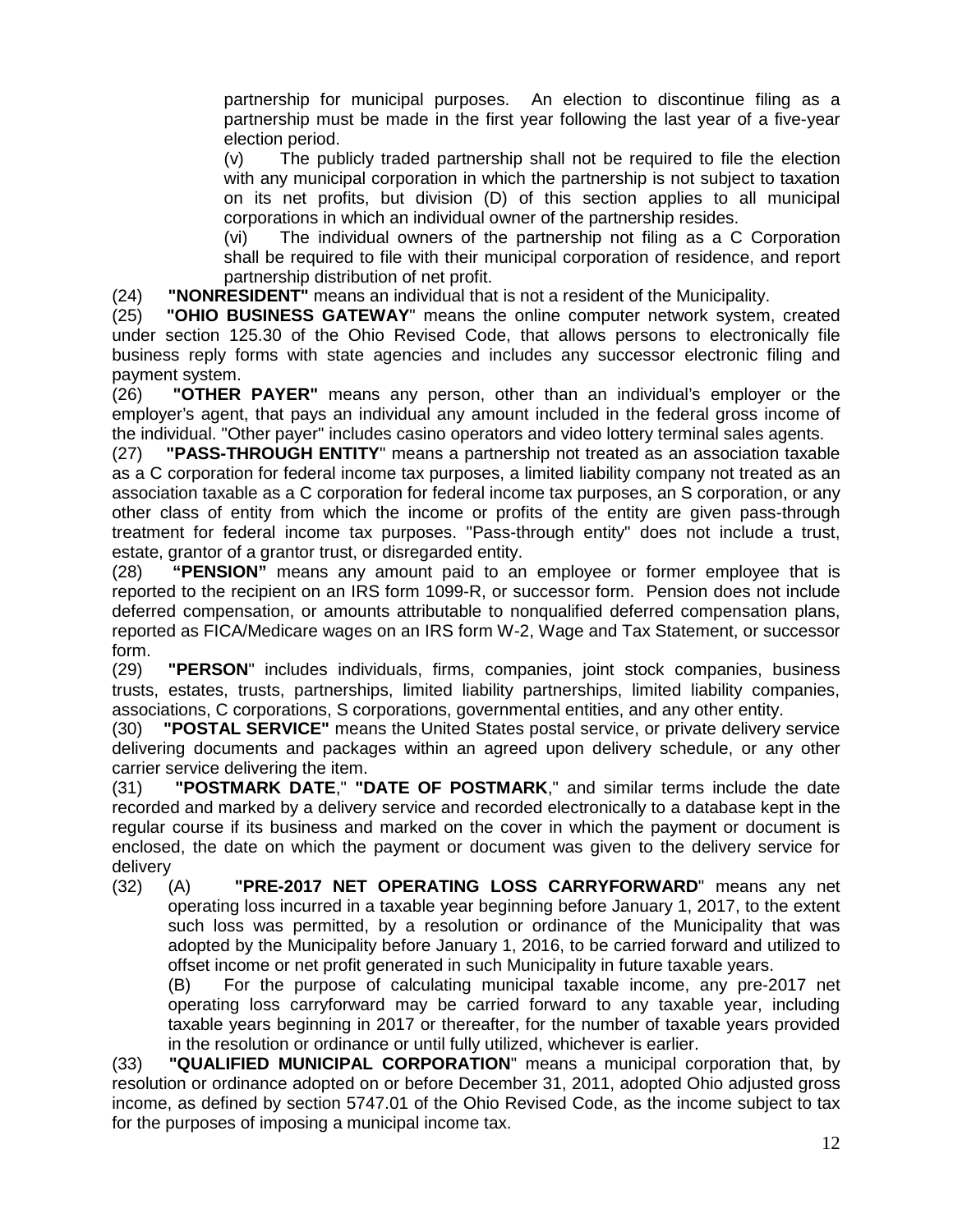partnership for municipal purposes. An election to discontinue filing as a partnership must be made in the first year following the last year of a five-year election period.

(v) The publicly traded partnership shall not be required to file the election with any municipal corporation in which the partnership is not subject to taxation on its net profits, but division (D) of this section applies to all municipal corporations in which an individual owner of the partnership resides.

(vi) The individual owners of the partnership not filing as a C Corporation shall be required to file with their municipal corporation of residence, and report partnership distribution of net profit.

(24) **"NONRESIDENT"** means an individual that is not a resident of the Municipality.

(25) **"OHIO BUSINESS GATEWAY**" means the online computer network system, created under section 125.30 of the Ohio Revised Code, that allows persons to electronically file business reply forms with state agencies and includes any successor electronic filing and payment system.

(26) **"OTHER PAYER"** means any person, other than an individual's employer or the employer's agent, that pays an individual any amount included in the federal gross income of the individual. "Other payer" includes casino operators and video lottery terminal sales agents.

(27) **"PASS-THROUGH ENTITY**" means a partnership not treated as an association taxable as a C corporation for federal income tax purposes, a limited liability company not treated as an association taxable as a C corporation for federal income tax purposes, an S corporation, or any other class of entity from which the income or profits of the entity are given pass-through treatment for federal income tax purposes. "Pass-through entity" does not include a trust, estate, grantor of a grantor trust, or disregarded entity.

(28) **"PENSION"** means any amount paid to an employee or former employee that is reported to the recipient on an IRS form 1099-R, or successor form. Pension does not include deferred compensation, or amounts attributable to nonqualified deferred compensation plans, reported as FICA/Medicare wages on an IRS form W-2, Wage and Tax Statement, or successor form.

(29) **"PERSON**" includes individuals, firms, companies, joint stock companies, business trusts, estates, trusts, partnerships, limited liability partnerships, limited liability companies, associations, C corporations, S corporations, governmental entities, and any other entity.

(30) **"POSTAL SERVICE"** means the United States postal service, or private delivery service delivering documents and packages within an agreed upon delivery schedule, or any other carrier service delivering the item.

(31) **"POSTMARK DATE**," **"DATE OF POSTMARK**," and similar terms include the date recorded and marked by a delivery service and recorded electronically to a database kept in the regular course if its business and marked on the cover in which the payment or document is enclosed, the date on which the payment or document was given to the delivery service for delivery

(32) (A) **"PRE-2017 NET OPERATING LOSS CARRYFORWARD**" means any net operating loss incurred in a taxable year beginning before January 1, 2017, to the extent such loss was permitted, by a resolution or ordinance of the Municipality that was adopted by the Municipality before January 1, 2016, to be carried forward and utilized to offset income or net profit generated in such Municipality in future taxable years.

(B) For the purpose of calculating municipal taxable income, any pre-2017 net operating loss carryforward may be carried forward to any taxable year, including taxable years beginning in 2017 or thereafter, for the number of taxable years provided in the resolution or ordinance or until fully utilized, whichever is earlier.

(33) **"QUALIFIED MUNICIPAL CORPORATION**" means a municipal corporation that, by resolution or ordinance adopted on or before December 31, 2011, adopted Ohio adjusted gross income, as defined by section 5747.01 of the Ohio Revised Code, as the income subject to tax for the purposes of imposing a municipal income tax.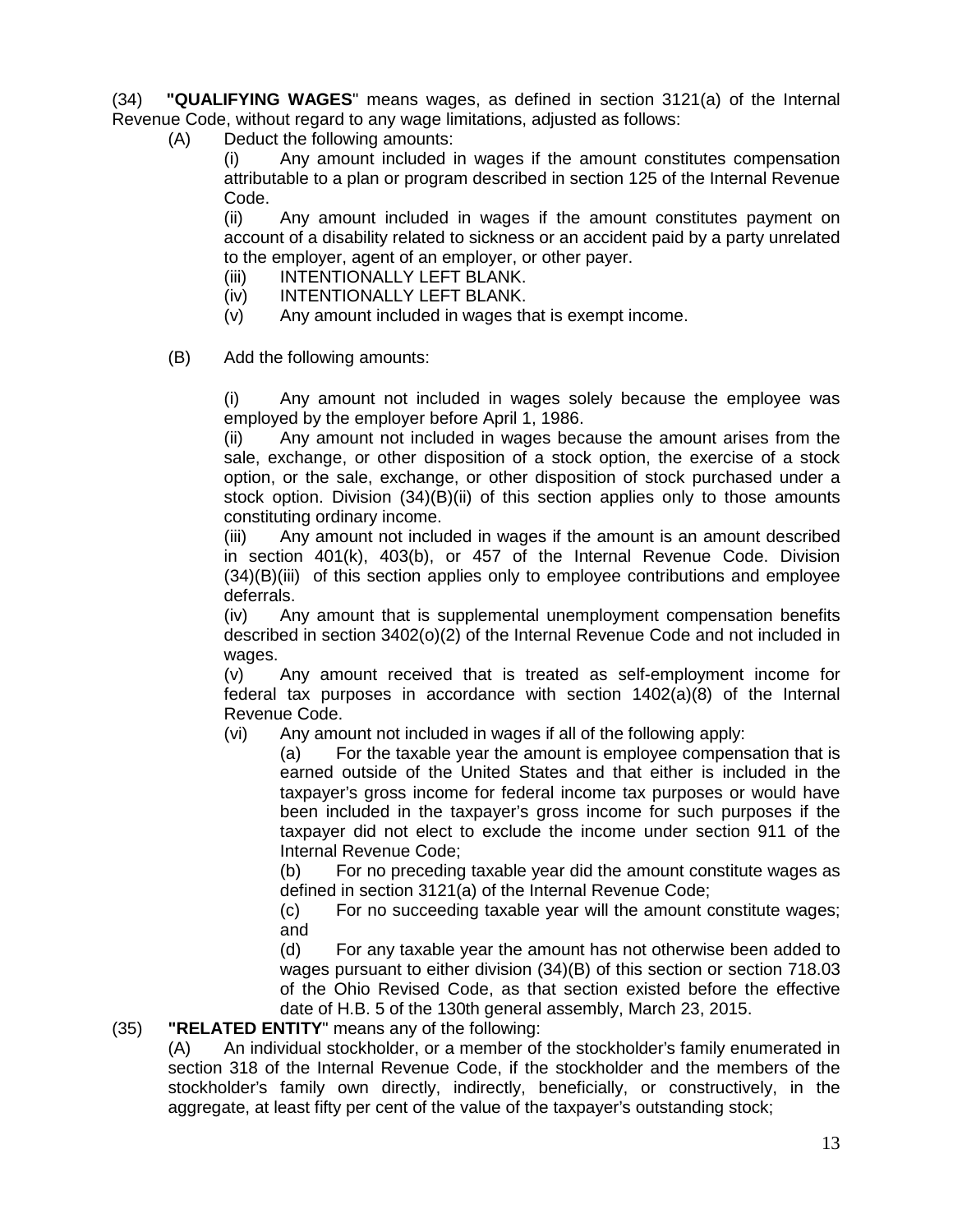(34) **"QUALIFYING WAGES**" means wages, as defined in section 3121(a) of the Internal Revenue Code, without regard to any wage limitations, adjusted as follows:

(A) Deduct the following amounts:

(i) Any amount included in wages if the amount constitutes compensation attributable to a plan or program described in section 125 of the Internal Revenue Code.

(ii) Any amount included in wages if the amount constitutes payment on account of a disability related to sickness or an accident paid by a party unrelated to the employer, agent of an employer, or other payer.

- (iii) INTENTIONALLY LEFT BLANK.
- (iv) INTENTIONALLY LEFT BLANK.
- (v) Any amount included in wages that is exempt income.
- (B) Add the following amounts:

(i) Any amount not included in wages solely because the employee was employed by the employer before April 1, 1986.

(ii) Any amount not included in wages because the amount arises from the sale, exchange, or other disposition of a stock option, the exercise of a stock option, or the sale, exchange, or other disposition of stock purchased under a stock option. Division (34)(B)(ii) of this section applies only to those amounts constituting ordinary income.

(iii) Any amount not included in wages if the amount is an amount described in section 401(k), 403(b), or 457 of the Internal Revenue Code. Division (34)(B)(iii) of this section applies only to employee contributions and employee deferrals.

(iv) Any amount that is supplemental unemployment compensation benefits described in section 3402(o)(2) of the Internal Revenue Code and not included in wages.

(v) Any amount received that is treated as self-employment income for federal tax purposes in accordance with section 1402(a)(8) of the Internal Revenue Code.

(vi) Any amount not included in wages if all of the following apply:

(a) For the taxable year the amount is employee compensation that is earned outside of the United States and that either is included in the taxpayer's gross income for federal income tax purposes or would have been included in the taxpayer's gross income for such purposes if the taxpayer did not elect to exclude the income under section 911 of the Internal Revenue Code;

(b) For no preceding taxable year did the amount constitute wages as defined in section 3121(a) of the Internal Revenue Code;

(c) For no succeeding taxable year will the amount constitute wages; and

(d) For any taxable year the amount has not otherwise been added to wages pursuant to either division (34)(B) of this section or section 718.03 of the Ohio Revised Code, as that section existed before the effective date of H.B. 5 of the 130th general assembly, March 23, 2015.

#### (35) **"RELATED ENTITY**" means any of the following:

(A) An individual stockholder, or a member of the stockholder's family enumerated in section 318 of the Internal Revenue Code, if the stockholder and the members of the stockholder's family own directly, indirectly, beneficially, or constructively, in the aggregate, at least fifty per cent of the value of the taxpayer's outstanding stock;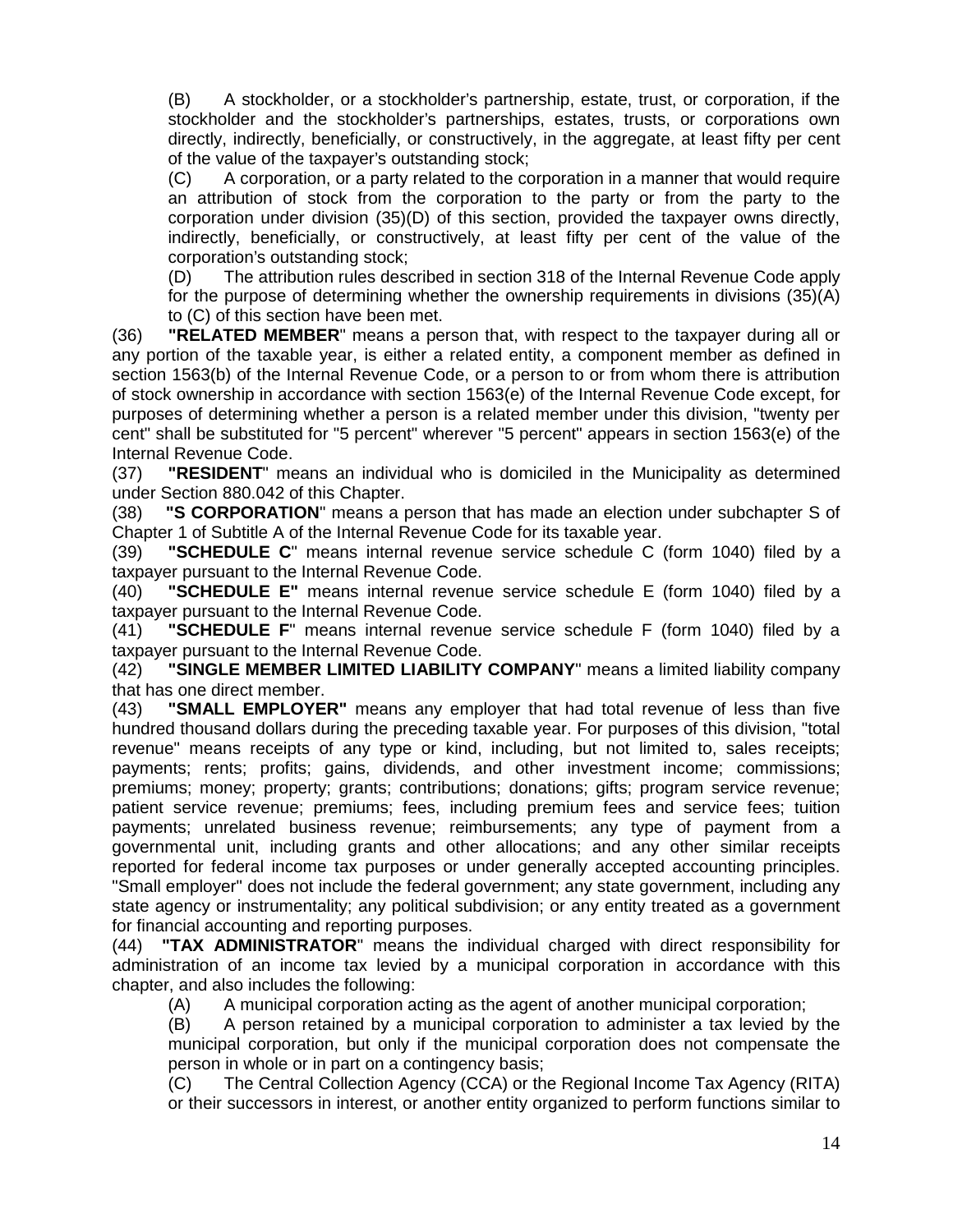(B) A stockholder, or a stockholder's partnership, estate, trust, or corporation, if the stockholder and the stockholder's partnerships, estates, trusts, or corporations own directly, indirectly, beneficially, or constructively, in the aggregate, at least fifty per cent of the value of the taxpayer's outstanding stock;

(C) A corporation, or a party related to the corporation in a manner that would require an attribution of stock from the corporation to the party or from the party to the corporation under division (35)(D) of this section, provided the taxpayer owns directly, indirectly, beneficially, or constructively, at least fifty per cent of the value of the corporation's outstanding stock;

(D) The attribution rules described in section 318 of the Internal Revenue Code apply for the purpose of determining whether the ownership requirements in divisions (35)(A) to (C) of this section have been met.

(36) **"RELATED MEMBER**" means a person that, with respect to the taxpayer during all or any portion of the taxable year, is either a related entity, a component member as defined in section 1563(b) of the Internal Revenue Code, or a person to or from whom there is attribution of stock ownership in accordance with section 1563(e) of the Internal Revenue Code except, for purposes of determining whether a person is a related member under this division, "twenty per cent" shall be substituted for "5 percent" wherever "5 percent" appears in section 1563(e) of the Internal Revenue Code.

(37) **"RESIDENT**" means an individual who is domiciled in the Municipality as determined under Section 880.042 of this Chapter.

(38) **"S CORPORATION**" means a person that has made an election under subchapter S of Chapter 1 of Subtitle A of the Internal Revenue Code for its taxable year.

(39) **"SCHEDULE C**" means internal revenue service schedule C (form 1040) filed by a taxpayer pursuant to the Internal Revenue Code.

(40) **"SCHEDULE E"** means internal revenue service schedule E (form 1040) filed by a taxpayer pursuant to the Internal Revenue Code.

(41) **"SCHEDULE F**" means internal revenue service schedule F (form 1040) filed by a taxpayer pursuant to the Internal Revenue Code.

(42) **"SINGLE MEMBER LIMITED LIABILITY COMPANY**" means a limited liability company that has one direct member.

(43) **"SMALL EMPLOYER"** means any employer that had total revenue of less than five hundred thousand dollars during the preceding taxable year. For purposes of this division, "total revenue" means receipts of any type or kind, including, but not limited to, sales receipts; payments; rents; profits; gains, dividends, and other investment income; commissions; premiums; money; property; grants; contributions; donations; gifts; program service revenue; patient service revenue; premiums; fees, including premium fees and service fees; tuition payments; unrelated business revenue; reimbursements; any type of payment from a governmental unit, including grants and other allocations; and any other similar receipts reported for federal income tax purposes or under generally accepted accounting principles. "Small employer" does not include the federal government; any state government, including any state agency or instrumentality; any political subdivision; or any entity treated as a government for financial accounting and reporting purposes.

(44) **"TAX ADMINISTRATOR**" means the individual charged with direct responsibility for administration of an income tax levied by a municipal corporation in accordance with this chapter, and also includes the following:

(A) A municipal corporation acting as the agent of another municipal corporation;

(B) A person retained by a municipal corporation to administer a tax levied by the municipal corporation, but only if the municipal corporation does not compensate the person in whole or in part on a contingency basis;

(C) The Central Collection Agency (CCA) or the Regional Income Tax Agency (RITA) or their successors in interest, or another entity organized to perform functions similar to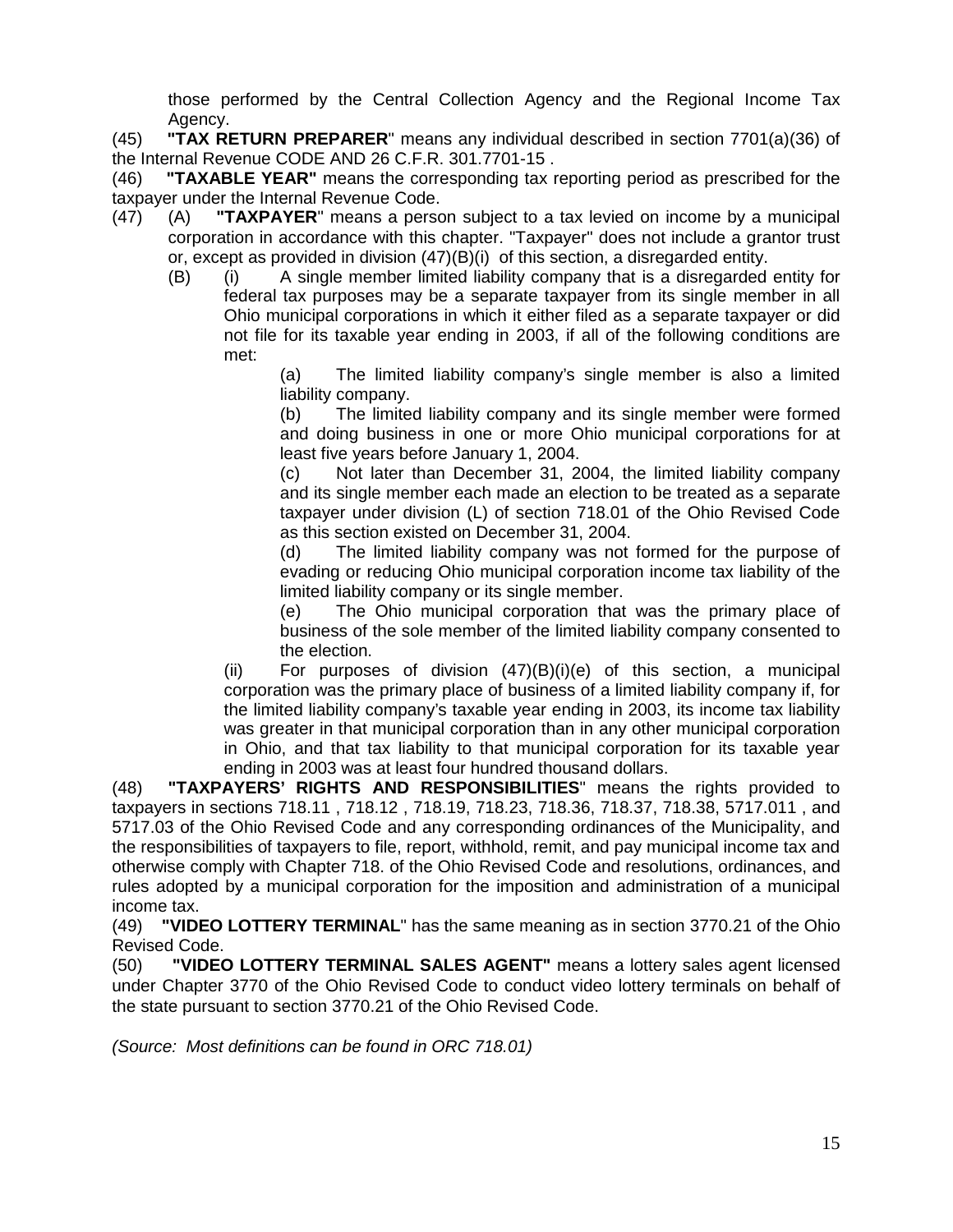those performed by the Central Collection Agency and the Regional Income Tax Agency.

(45) **"TAX RETURN PREPARER**" means any individual described in section 7701(a)(36) of the Internal Revenue CODE AND 26 C.F.R. 301.7701-15 .

(46) **"TAXABLE YEAR"** means the corresponding tax reporting period as prescribed for the taxpayer under the Internal Revenue Code.

- (47) (A) **"TAXPAYER**" means a person subject to a tax levied on income by a municipal corporation in accordance with this chapter. "Taxpayer" does not include a grantor trust or, except as provided in division (47)(B)(i) of this section, a disregarded entity.
	- (B) (i) A single member limited liability company that is a disregarded entity for federal tax purposes may be a separate taxpayer from its single member in all Ohio municipal corporations in which it either filed as a separate taxpayer or did not file for its taxable year ending in 2003, if all of the following conditions are met:

(a) The limited liability company's single member is also a limited liability company.

(b) The limited liability company and its single member were formed and doing business in one or more Ohio municipal corporations for at least five years before January 1, 2004.

(c) Not later than December 31, 2004, the limited liability company and its single member each made an election to be treated as a separate taxpayer under division (L) of section 718.01 of the Ohio Revised Code as this section existed on December 31, 2004.

(d) The limited liability company was not formed for the purpose of evading or reducing Ohio municipal corporation income tax liability of the limited liability company or its single member.

(e) The Ohio municipal corporation that was the primary place of business of the sole member of the limited liability company consented to the election.

(ii) For purposes of division  $(47)(B)(i)(e)$  of this section, a municipal corporation was the primary place of business of a limited liability company if, for the limited liability company's taxable year ending in 2003, its income tax liability was greater in that municipal corporation than in any other municipal corporation in Ohio, and that tax liability to that municipal corporation for its taxable year ending in 2003 was at least four hundred thousand dollars.

(48) **"TAXPAYERS' RIGHTS AND RESPONSIBILITIES**" means the rights provided to taxpayers in sections 718.11 , 718.12 , 718.19, 718.23, 718.36, 718.37, 718.38, 5717.011 , and 5717.03 of the Ohio Revised Code and any corresponding ordinances of the Municipality, and the responsibilities of taxpayers to file, report, withhold, remit, and pay municipal income tax and otherwise comply with Chapter 718. of the Ohio Revised Code and resolutions, ordinances, and rules adopted by a municipal corporation for the imposition and administration of a municipal income tax.

(49) **"VIDEO LOTTERY TERMINAL**" has the same meaning as in section 3770.21 of the Ohio Revised Code.

(50) **"VIDEO LOTTERY TERMINAL SALES AGENT"** means a lottery sales agent licensed under Chapter 3770 of the Ohio Revised Code to conduct video lottery terminals on behalf of the state pursuant to section 3770.21 of the Ohio Revised Code.

*(Source: Most definitions can be found in ORC 718.01)*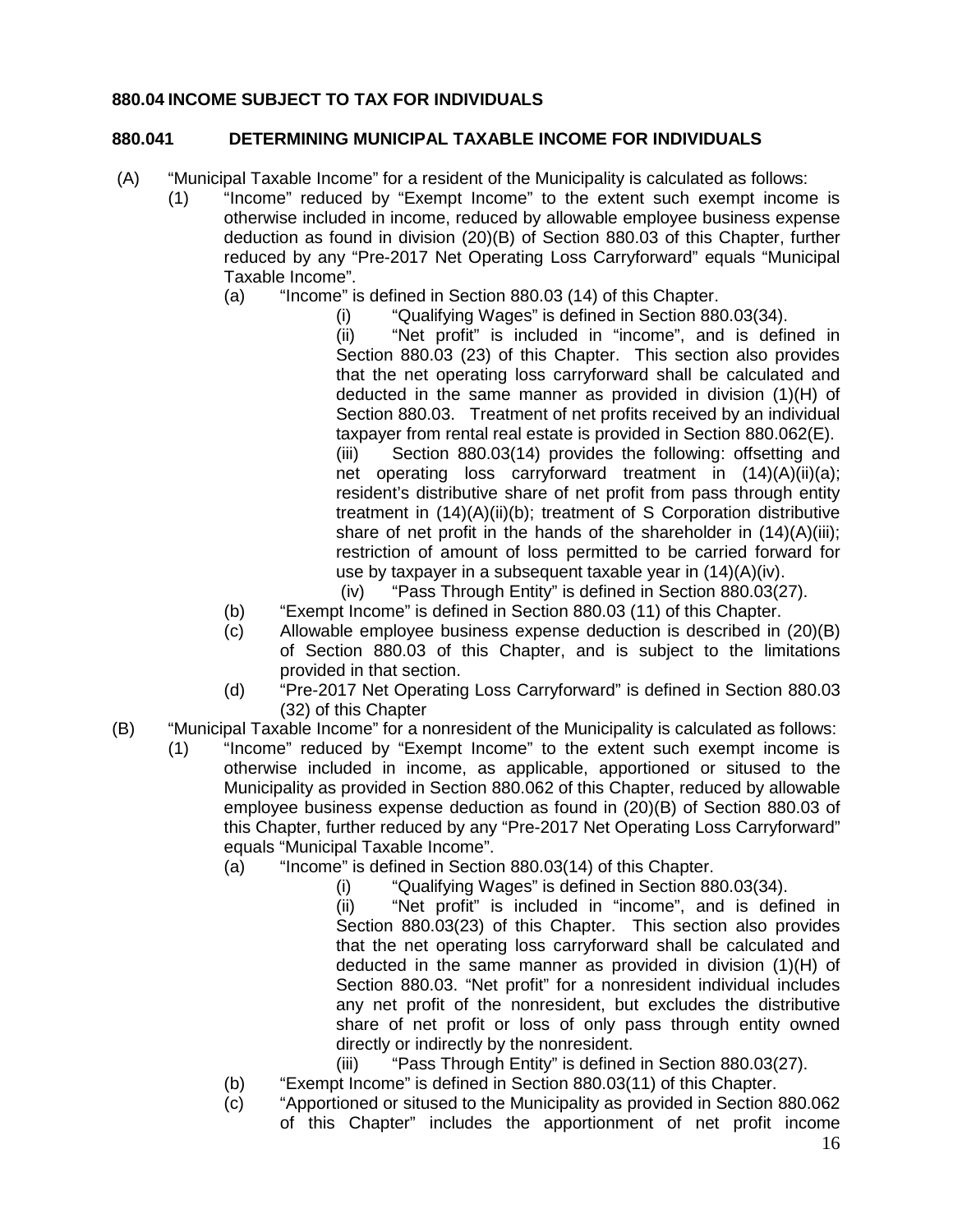# **880.04 INCOME SUBJECT TO TAX FOR INDIVIDUALS**

# **880.041 DETERMINING MUNICIPAL TAXABLE INCOME FOR INDIVIDUALS**

- (A) "Municipal Taxable Income" for a resident of the Municipality is calculated as follows:
	- (1) "Income" reduced by "Exempt Income" to the extent such exempt income is otherwise included in income, reduced by allowable employee business expense deduction as found in division (20)(B) of Section 880.03 of this Chapter, further reduced by any "Pre-2017 Net Operating Loss Carryforward" equals "Municipal Taxable Income".
		- (a) "Income" is defined in Section 880.03 (14) of this Chapter.
			- (i) "Qualifying Wages" is defined in Section 880.03(34).

(ii) "Net profit" is included in "income", and is defined in Section 880.03 (23) of this Chapter. This section also provides that the net operating loss carryforward shall be calculated and deducted in the same manner as provided in division (1)(H) of Section 880.03. Treatment of net profits received by an individual taxpayer from rental real estate is provided in Section 880.062(E). (iii) Section 880.03(14) provides the following: offsetting and net operating loss carryforward treatment in (14)(A)(ii)(a); resident's distributive share of net profit from pass through entity treatment in (14)(A)(ii)(b); treatment of S Corporation distributive share of net profit in the hands of the shareholder in  $(14)(A)(iii)$ ; restriction of amount of loss permitted to be carried forward for

use by taxpayer in a subsequent taxable year in (14)(A)(iv).

- (iv) "Pass Through Entity" is defined in Section 880.03(27).
- (b) "Exempt Income" is defined in Section 880.03 (11) of this Chapter.
- (c) Allowable employee business expense deduction is described in (20)(B) of Section 880.03 of this Chapter, and is subject to the limitations provided in that section.
- (d) "Pre-2017 Net Operating Loss Carryforward" is defined in Section 880.03 (32) of this Chapter
- (B) "Municipal Taxable Income" for a nonresident of the Municipality is calculated as follows:
	- (1) "Income" reduced by "Exempt Income" to the extent such exempt income is otherwise included in income, as applicable, apportioned or sitused to the Municipality as provided in Section 880.062 of this Chapter, reduced by allowable employee business expense deduction as found in (20)(B) of Section 880.03 of this Chapter, further reduced by any "Pre-2017 Net Operating Loss Carryforward" equals "Municipal Taxable Income".
		- (a) "Income" is defined in Section 880.03(14) of this Chapter.
			- (i) "Qualifying Wages" is defined in Section 880.03(34).

(ii) "Net profit" is included in "income", and is defined in Section 880.03(23) of this Chapter. This section also provides that the net operating loss carryforward shall be calculated and deducted in the same manner as provided in division (1)(H) of Section 880.03. "Net profit" for a nonresident individual includes any net profit of the nonresident, but excludes the distributive share of net profit or loss of only pass through entity owned directly or indirectly by the nonresident.

- (iii) "Pass Through Entity" is defined in Section 880.03(27).
- (b) "Exempt Income" is defined in Section 880.03(11) of this Chapter.
- (c) "Apportioned or sitused to the Municipality as provided in Section 880.062 of this Chapter" includes the apportionment of net profit income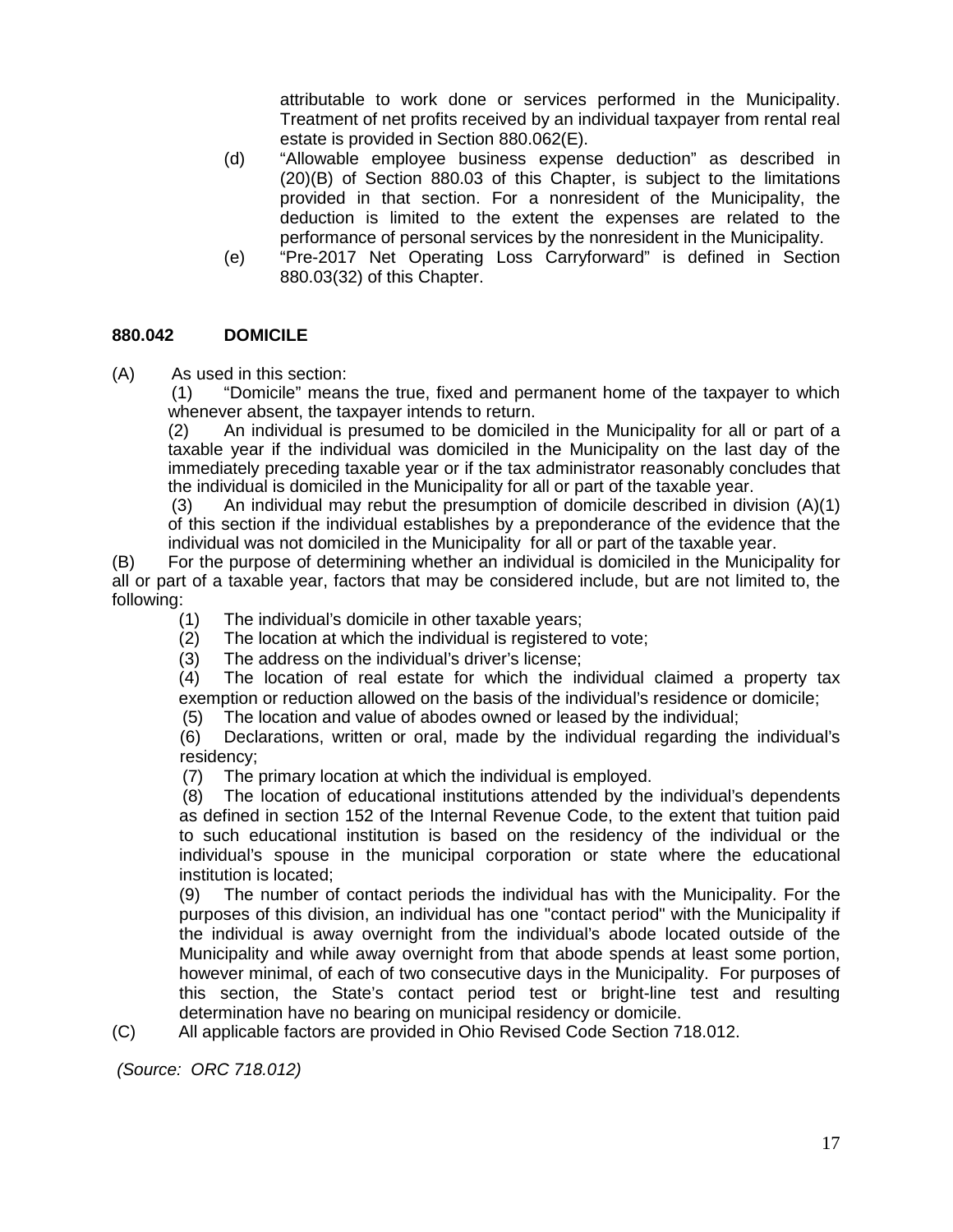attributable to work done or services performed in the Municipality. Treatment of net profits received by an individual taxpayer from rental real estate is provided in Section 880.062(E).

- (d) "Allowable employee business expense deduction" as described in (20)(B) of Section 880.03 of this Chapter, is subject to the limitations provided in that section. For a nonresident of the Municipality, the deduction is limited to the extent the expenses are related to the performance of personal services by the nonresident in the Municipality.
- (e) "Pre-2017 Net Operating Loss Carryforward" is defined in Section 880.03(32) of this Chapter.

#### **880.042 DOMICILE**

(A) As used in this section:<br>(1) "Domicile" mean

"Domicile" means the true, fixed and permanent home of the taxpayer to which whenever absent, the taxpayer intends to return.

(2) An individual is presumed to be domiciled in the Municipality for all or part of a taxable year if the individual was domiciled in the Municipality on the last day of the immediately preceding taxable year or if the tax administrator reasonably concludes that the individual is domiciled in the Municipality for all or part of the taxable year.

(3) An individual may rebut the presumption of domicile described in division (A)(1) of this section if the individual establishes by a preponderance of the evidence that the individual was not domiciled in the Municipality for all or part of the taxable year.

(B) For the purpose of determining whether an individual is domiciled in the Municipality for all or part of a taxable year, factors that may be considered include, but are not limited to, the following:

- (1) The individual's domicile in other taxable years;
- (2) The location at which the individual is registered to vote;
- (3) The address on the individual's driver's license;

(4) The location of real estate for which the individual claimed a property tax exemption or reduction allowed on the basis of the individual's residence or domicile;

(5) The location and value of abodes owned or leased by the individual;

(6) Declarations, written or oral, made by the individual regarding the individual's residency;

(7) The primary location at which the individual is employed.

(8) The location of educational institutions attended by the individual's dependents as defined in section 152 of the Internal Revenue Code, to the extent that tuition paid to such educational institution is based on the residency of the individual or the individual's spouse in the municipal corporation or state where the educational institution is located;

(9) The number of contact periods the individual has with the Municipality. For the purposes of this division, an individual has one "contact period" with the Municipality if the individual is away overnight from the individual's abode located outside of the Municipality and while away overnight from that abode spends at least some portion, however minimal, of each of two consecutive days in the Municipality. For purposes of this section, the State's contact period test or bright-line test and resulting determination have no bearing on municipal residency or domicile.

(C) All applicable factors are provided in Ohio Revised Code Section 718.012.

*(Source: ORC 718.012)*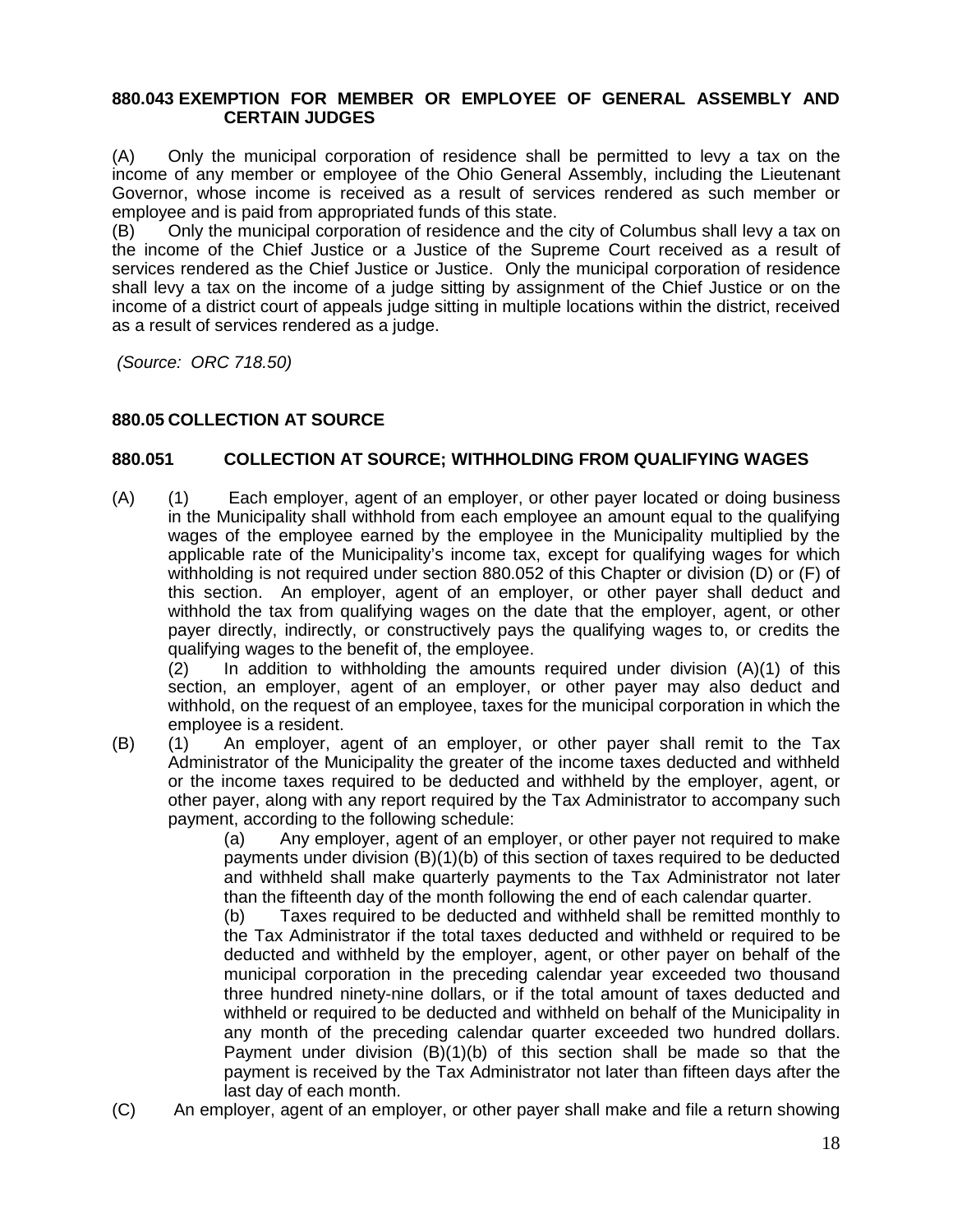#### **880.043 EXEMPTION FOR MEMBER OR EMPLOYEE OF GENERAL ASSEMBLY AND CERTAIN JUDGES**

(A) Only the municipal corporation of residence shall be permitted to levy a tax on the income of any member or employee of the Ohio General Assembly, including the Lieutenant Governor, whose income is received as a result of services rendered as such member or employee and is paid from appropriated funds of this state.

(B) Only the municipal corporation of residence and the city of Columbus shall levy a tax on the income of the Chief Justice or a Justice of the Supreme Court received as a result of services rendered as the Chief Justice or Justice. Only the municipal corporation of residence shall levy a tax on the income of a judge sitting by assignment of the Chief Justice or on the income of a district court of appeals judge sitting in multiple locations within the district, received as a result of services rendered as a judge.

*(Source: ORC 718.50)*

#### **880.05 COLLECTION AT SOURCE**

#### **880.051 COLLECTION AT SOURCE; WITHHOLDING FROM QUALIFYING WAGES**

(A) (1) Each employer, agent of an employer, or other payer located or doing business in the Municipality shall withhold from each employee an amount equal to the qualifying wages of the employee earned by the employee in the Municipality multiplied by the applicable rate of the Municipality's income tax, except for qualifying wages for which withholding is not required under section 880.052 of this Chapter or division (D) or (F) of this section. An employer, agent of an employer, or other payer shall deduct and withhold the tax from qualifying wages on the date that the employer, agent, or other payer directly, indirectly, or constructively pays the qualifying wages to, or credits the qualifying wages to the benefit of, the employee.

 $(2)$  In addition to withholding the amounts required under division  $(A)(1)$  of this section, an employer, agent of an employer, or other payer may also deduct and withhold, on the request of an employee, taxes for the municipal corporation in which the employee is a resident.

(B) (1) An employer, agent of an employer, or other payer shall remit to the Tax Administrator of the Municipality the greater of the income taxes deducted and withheld or the income taxes required to be deducted and withheld by the employer, agent, or other payer, along with any report required by the Tax Administrator to accompany such payment, according to the following schedule:

(a) Any employer, agent of an employer, or other payer not required to make payments under division (B)(1)(b) of this section of taxes required to be deducted and withheld shall make quarterly payments to the Tax Administrator not later than the fifteenth day of the month following the end of each calendar quarter.

(b) Taxes required to be deducted and withheld shall be remitted monthly to the Tax Administrator if the total taxes deducted and withheld or required to be deducted and withheld by the employer, agent, or other payer on behalf of the municipal corporation in the preceding calendar year exceeded two thousand three hundred ninety-nine dollars, or if the total amount of taxes deducted and withheld or required to be deducted and withheld on behalf of the Municipality in any month of the preceding calendar quarter exceeded two hundred dollars. Payment under division (B)(1)(b) of this section shall be made so that the payment is received by the Tax Administrator not later than fifteen days after the last day of each month.

(C) An employer, agent of an employer, or other payer shall make and file a return showing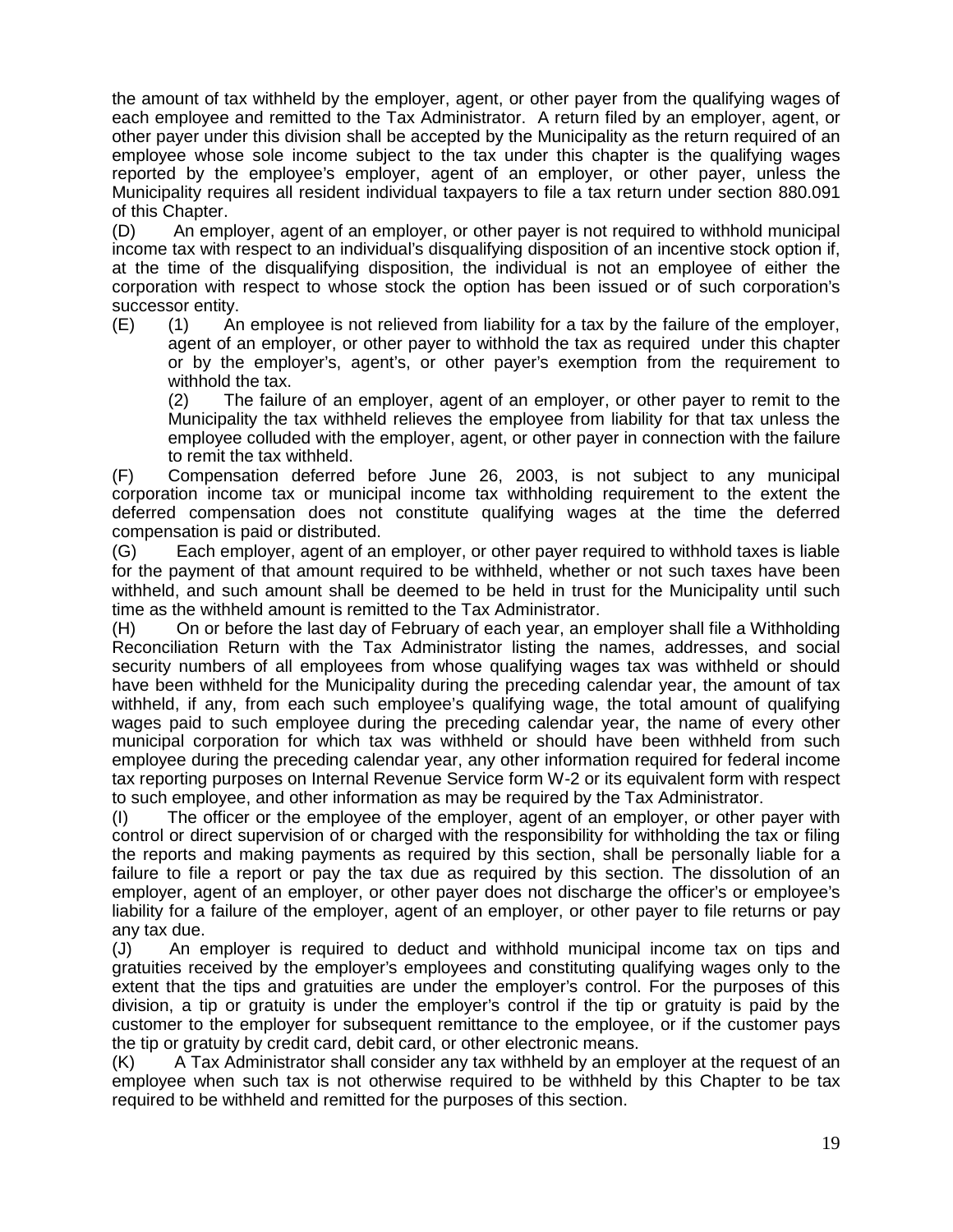the amount of tax withheld by the employer, agent, or other payer from the qualifying wages of each employee and remitted to the Tax Administrator. A return filed by an employer, agent, or other payer under this division shall be accepted by the Municipality as the return required of an employee whose sole income subject to the tax under this chapter is the qualifying wages reported by the employee's employer, agent of an employer, or other payer, unless the Municipality requires all resident individual taxpayers to file a tax return under section 880.091 of this Chapter.

(D) An employer, agent of an employer, or other payer is not required to withhold municipal income tax with respect to an individual's disqualifying disposition of an incentive stock option if, at the time of the disqualifying disposition, the individual is not an employee of either the corporation with respect to whose stock the option has been issued or of such corporation's successor entity.

(E) (1) An employee is not relieved from liability for a tax by the failure of the employer, agent of an employer, or other payer to withhold the tax as required under this chapter or by the employer's, agent's, or other payer's exemption from the requirement to withhold the tax.

(2) The failure of an employer, agent of an employer, or other payer to remit to the Municipality the tax withheld relieves the employee from liability for that tax unless the employee colluded with the employer, agent, or other payer in connection with the failure to remit the tax withheld.

(F) Compensation deferred before June 26, 2003, is not subject to any municipal corporation income tax or municipal income tax withholding requirement to the extent the deferred compensation does not constitute qualifying wages at the time the deferred compensation is paid or distributed.

(G) Each employer, agent of an employer, or other payer required to withhold taxes is liable for the payment of that amount required to be withheld, whether or not such taxes have been withheld, and such amount shall be deemed to be held in trust for the Municipality until such time as the withheld amount is remitted to the Tax Administrator.

(H) On or before the last day of February of each year, an employer shall file a Withholding Reconciliation Return with the Tax Administrator listing the names, addresses, and social security numbers of all employees from whose qualifying wages tax was withheld or should have been withheld for the Municipality during the preceding calendar year, the amount of tax withheld, if any, from each such employee's qualifying wage, the total amount of qualifying wages paid to such employee during the preceding calendar year, the name of every other municipal corporation for which tax was withheld or should have been withheld from such employee during the preceding calendar year, any other information required for federal income tax reporting purposes on Internal Revenue Service form W-2 or its equivalent form with respect to such employee, and other information as may be required by the Tax Administrator.

(I) The officer or the employee of the employer, agent of an employer, or other payer with control or direct supervision of or charged with the responsibility for withholding the tax or filing the reports and making payments as required by this section, shall be personally liable for a failure to file a report or pay the tax due as required by this section. The dissolution of an employer, agent of an employer, or other payer does not discharge the officer's or employee's liability for a failure of the employer, agent of an employer, or other payer to file returns or pay any tax due.

(J) An employer is required to deduct and withhold municipal income tax on tips and gratuities received by the employer's employees and constituting qualifying wages only to the extent that the tips and gratuities are under the employer's control. For the purposes of this division, a tip or gratuity is under the employer's control if the tip or gratuity is paid by the customer to the employer for subsequent remittance to the employee, or if the customer pays the tip or gratuity by credit card, debit card, or other electronic means.

(K) A Tax Administrator shall consider any tax withheld by an employer at the request of an employee when such tax is not otherwise required to be withheld by this Chapter to be tax required to be withheld and remitted for the purposes of this section.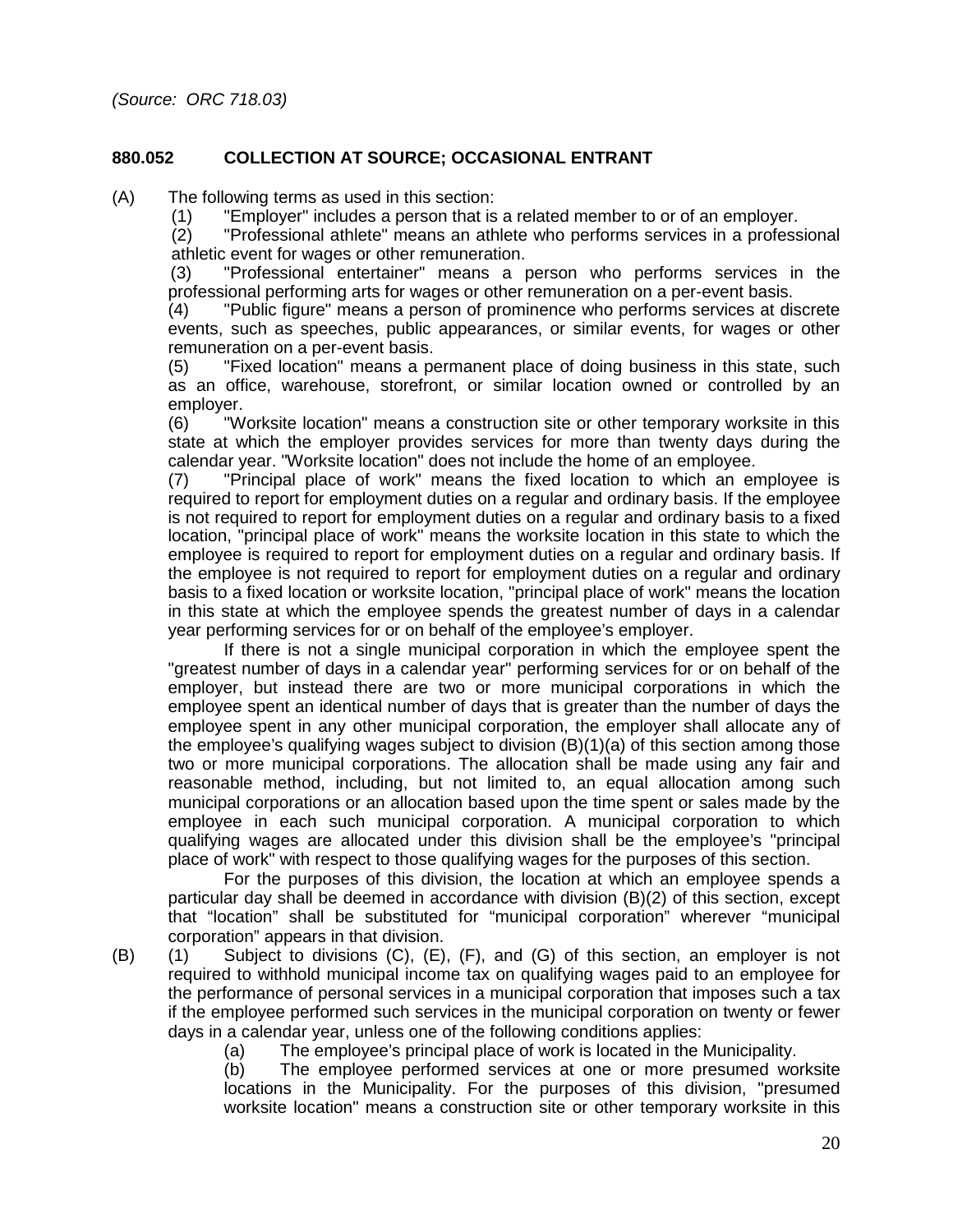#### **880.052 COLLECTION AT SOURCE; OCCASIONAL ENTRANT**

(A) The following terms as used in this section:<br>(1) "Employer" includes a person that is

"Employer" includes a person that is a related member to or of an employer.

(2) "Professional athlete" means an athlete who performs services in a professional athletic event for wages or other remuneration.

(3) "Professional entertainer" means a person who performs services in the professional performing arts for wages or other remuneration on a per-event basis.

(4) "Public figure" means a person of prominence who performs services at discrete events, such as speeches, public appearances, or similar events, for wages or other remuneration on a per-event basis.

(5) "Fixed location" means a permanent place of doing business in this state, such as an office, warehouse, storefront, or similar location owned or controlled by an employer.

(6) "Worksite location" means a construction site or other temporary worksite in this state at which the employer provides services for more than twenty days during the calendar year. "Worksite location" does not include the home of an employee.

(7) "Principal place of work" means the fixed location to which an employee is required to report for employment duties on a regular and ordinary basis. If the employee is not required to report for employment duties on a regular and ordinary basis to a fixed location, "principal place of work" means the worksite location in this state to which the employee is required to report for employment duties on a regular and ordinary basis. If the employee is not required to report for employment duties on a regular and ordinary basis to a fixed location or worksite location, "principal place of work" means the location in this state at which the employee spends the greatest number of days in a calendar year performing services for or on behalf of the employee's employer.

If there is not a single municipal corporation in which the employee spent the "greatest number of days in a calendar year" performing services for or on behalf of the employer, but instead there are two or more municipal corporations in which the employee spent an identical number of days that is greater than the number of days the employee spent in any other municipal corporation, the employer shall allocate any of the employee's qualifying wages subject to division (B)(1)(a) of this section among those two or more municipal corporations. The allocation shall be made using any fair and reasonable method, including, but not limited to, an equal allocation among such municipal corporations or an allocation based upon the time spent or sales made by the employee in each such municipal corporation. A municipal corporation to which qualifying wages are allocated under this division shall be the employee's "principal place of work" with respect to those qualifying wages for the purposes of this section.

For the purposes of this division, the location at which an employee spends a particular day shall be deemed in accordance with division (B)(2) of this section, except that "location" shall be substituted for "municipal corporation" wherever "municipal corporation" appears in that division.

(B) (1) Subject to divisions (C), (E), (F), and (G) of this section, an employer is not required to withhold municipal income tax on qualifying wages paid to an employee for the performance of personal services in a municipal corporation that imposes such a tax if the employee performed such services in the municipal corporation on twenty or fewer days in a calendar year, unless one of the following conditions applies:

(a) The employee's principal place of work is located in the Municipality.<br>(b) The employee performed services at one or more presumed wo

The employee performed services at one or more presumed worksite locations in the Municipality. For the purposes of this division, "presumed worksite location" means a construction site or other temporary worksite in this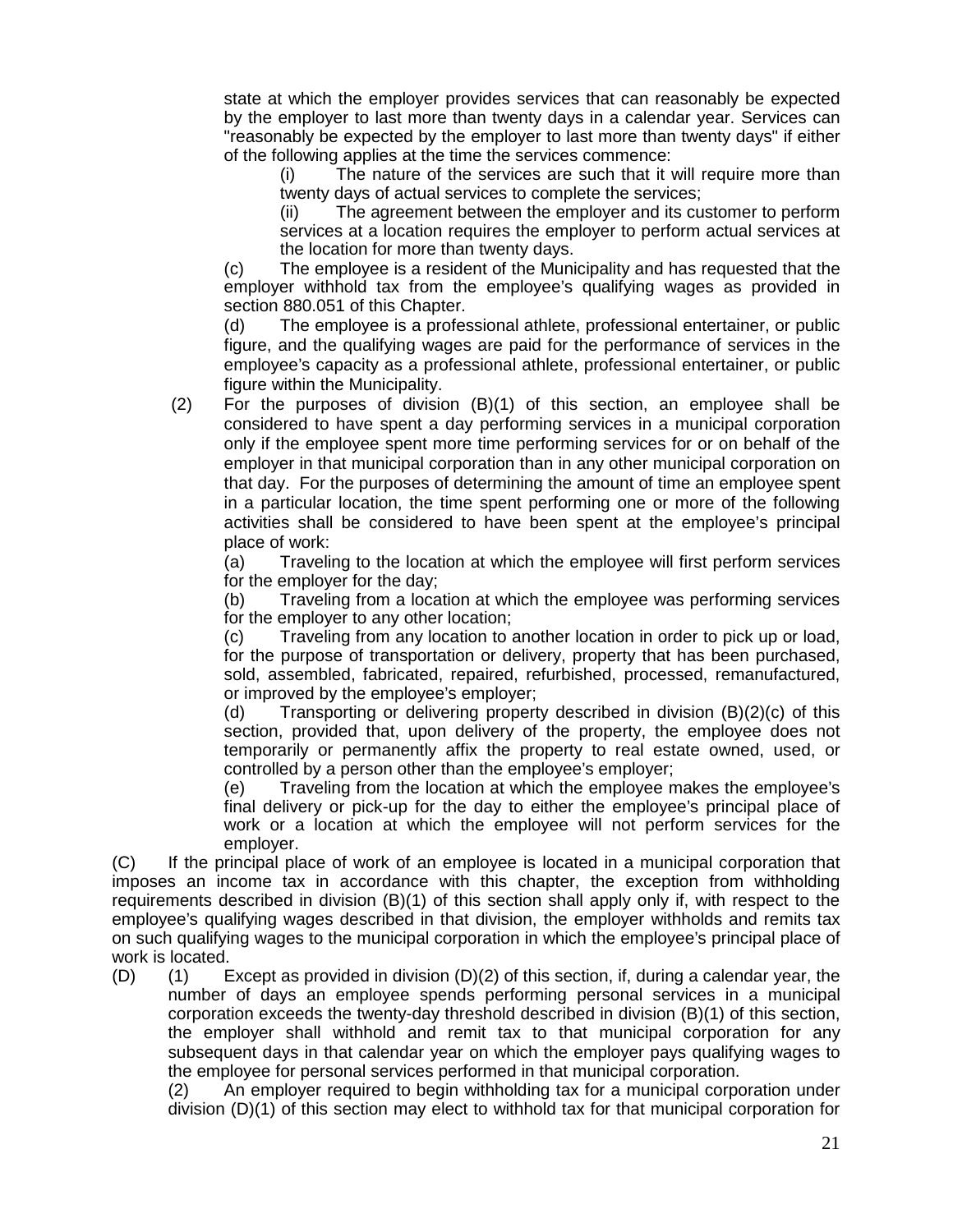state at which the employer provides services that can reasonably be expected by the employer to last more than twenty days in a calendar year. Services can "reasonably be expected by the employer to last more than twenty days" if either of the following applies at the time the services commence:

(i) The nature of the services are such that it will require more than twenty days of actual services to complete the services;

(ii) The agreement between the employer and its customer to perform services at a location requires the employer to perform actual services at the location for more than twenty days.

(c) The employee is a resident of the Municipality and has requested that the employer withhold tax from the employee's qualifying wages as provided in section 880.051 of this Chapter.

(d) The employee is a professional athlete, professional entertainer, or public figure, and the qualifying wages are paid for the performance of services in the employee's capacity as a professional athlete, professional entertainer, or public figure within the Municipality.

(2) For the purposes of division (B)(1) of this section, an employee shall be considered to have spent a day performing services in a municipal corporation only if the employee spent more time performing services for or on behalf of the employer in that municipal corporation than in any other municipal corporation on that day. For the purposes of determining the amount of time an employee spent in a particular location, the time spent performing one or more of the following activities shall be considered to have been spent at the employee's principal place of work:

(a) Traveling to the location at which the employee will first perform services for the employer for the day;

(b) Traveling from a location at which the employee was performing services for the employer to any other location;

(c) Traveling from any location to another location in order to pick up or load, for the purpose of transportation or delivery, property that has been purchased, sold, assembled, fabricated, repaired, refurbished, processed, remanufactured, or improved by the employee's employer;

(d) Transporting or delivering property described in division (B)(2)(c) of this section, provided that, upon delivery of the property, the employee does not temporarily or permanently affix the property to real estate owned, used, or controlled by a person other than the employee's employer;

(e) Traveling from the location at which the employee makes the employee's final delivery or pick-up for the day to either the employee's principal place of work or a location at which the employee will not perform services for the employer.

(C) If the principal place of work of an employee is located in a municipal corporation that imposes an income tax in accordance with this chapter, the exception from withholding requirements described in division (B)(1) of this section shall apply only if, with respect to the employee's qualifying wages described in that division, the employer withholds and remits tax on such qualifying wages to the municipal corporation in which the employee's principal place of work is located.

(D) (1) Except as provided in division (D)(2) of this section, if, during a calendar year, the number of days an employee spends performing personal services in a municipal corporation exceeds the twenty-day threshold described in division (B)(1) of this section, the employer shall withhold and remit tax to that municipal corporation for any subsequent days in that calendar year on which the employer pays qualifying wages to the employee for personal services performed in that municipal corporation.

(2) An employer required to begin withholding tax for a municipal corporation under division (D)(1) of this section may elect to withhold tax for that municipal corporation for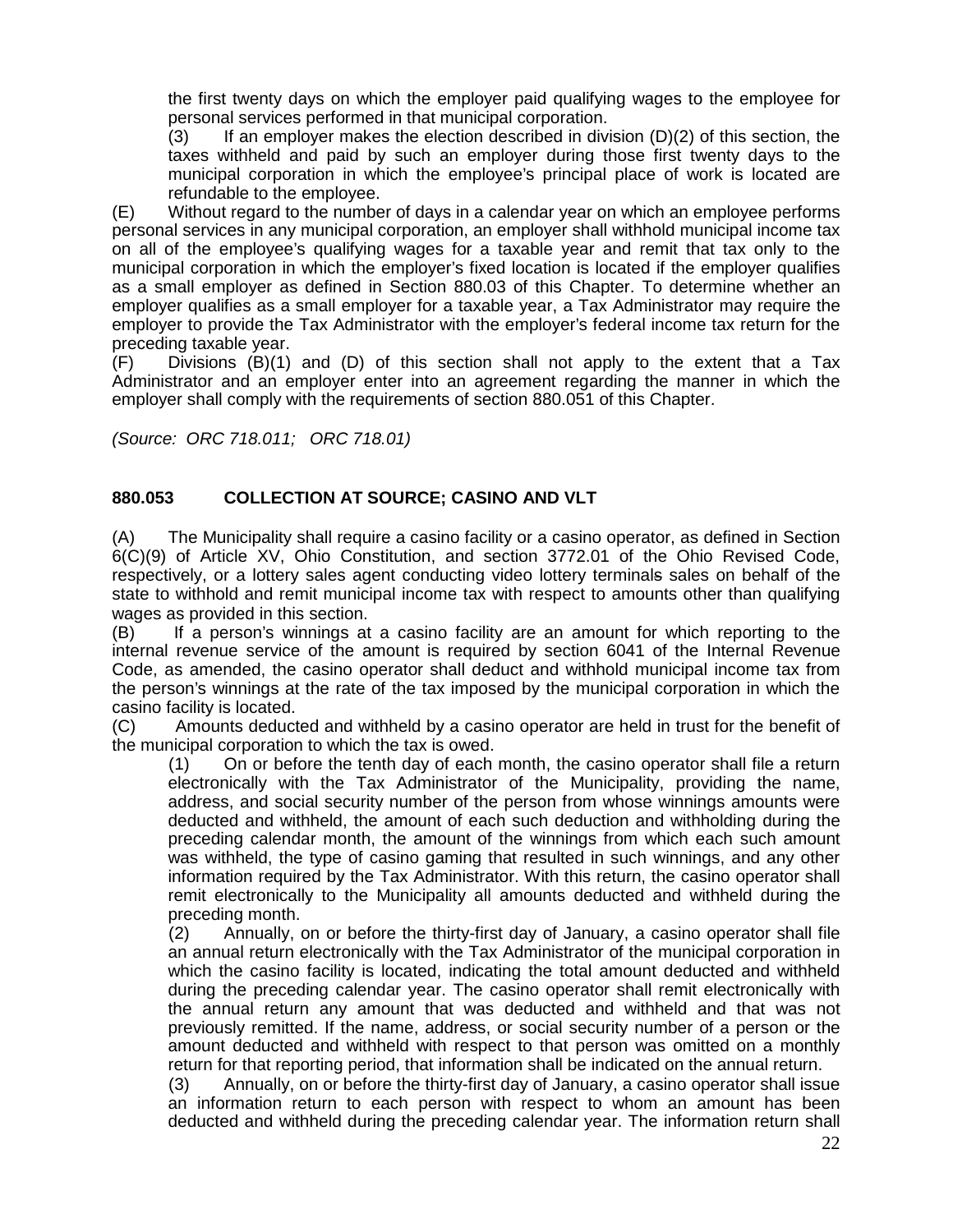the first twenty days on which the employer paid qualifying wages to the employee for personal services performed in that municipal corporation.

(3) If an employer makes the election described in division (D)(2) of this section, the taxes withheld and paid by such an employer during those first twenty days to the municipal corporation in which the employee's principal place of work is located are refundable to the employee.

(E) Without regard to the number of days in a calendar year on which an employee performs personal services in any municipal corporation, an employer shall withhold municipal income tax on all of the employee's qualifying wages for a taxable year and remit that tax only to the municipal corporation in which the employer's fixed location is located if the employer qualifies as a small employer as defined in Section 880.03 of this Chapter. To determine whether an employer qualifies as a small employer for a taxable year, a Tax Administrator may require the employer to provide the Tax Administrator with the employer's federal income tax return for the preceding taxable year.

(F) Divisions (B)(1) and (D) of this section shall not apply to the extent that a Tax Administrator and an employer enter into an agreement regarding the manner in which the employer shall comply with the requirements of section 880.051 of this Chapter.

*(Source: ORC 718.011; ORC 718.01)*

#### **880.053 COLLECTION AT SOURCE; CASINO AND VLT**

(A) The Municipality shall require a casino facility or a casino operator, as defined in Section 6(C)(9) of Article XV, Ohio Constitution, and section 3772.01 of the Ohio Revised Code, respectively, or a lottery sales agent conducting video lottery terminals sales on behalf of the state to withhold and remit municipal income tax with respect to amounts other than qualifying wages as provided in this section.

(B) If a person's winnings at a casino facility are an amount for which reporting to the internal revenue service of the amount is required by section 6041 of the Internal Revenue Code, as amended, the casino operator shall deduct and withhold municipal income tax from the person's winnings at the rate of the tax imposed by the municipal corporation in which the casino facility is located.

(C) Amounts deducted and withheld by a casino operator are held in trust for the benefit of the municipal corporation to which the tax is owed.

(1) On or before the tenth day of each month, the casino operator shall file a return electronically with the Tax Administrator of the Municipality, providing the name, address, and social security number of the person from whose winnings amounts were deducted and withheld, the amount of each such deduction and withholding during the preceding calendar month, the amount of the winnings from which each such amount was withheld, the type of casino gaming that resulted in such winnings, and any other information required by the Tax Administrator. With this return, the casino operator shall remit electronically to the Municipality all amounts deducted and withheld during the preceding month.

(2) Annually, on or before the thirty-first day of January, a casino operator shall file an annual return electronically with the Tax Administrator of the municipal corporation in which the casino facility is located, indicating the total amount deducted and withheld during the preceding calendar year. The casino operator shall remit electronically with the annual return any amount that was deducted and withheld and that was not previously remitted. If the name, address, or social security number of a person or the amount deducted and withheld with respect to that person was omitted on a monthly return for that reporting period, that information shall be indicated on the annual return.

(3) Annually, on or before the thirty-first day of January, a casino operator shall issue an information return to each person with respect to whom an amount has been deducted and withheld during the preceding calendar year. The information return shall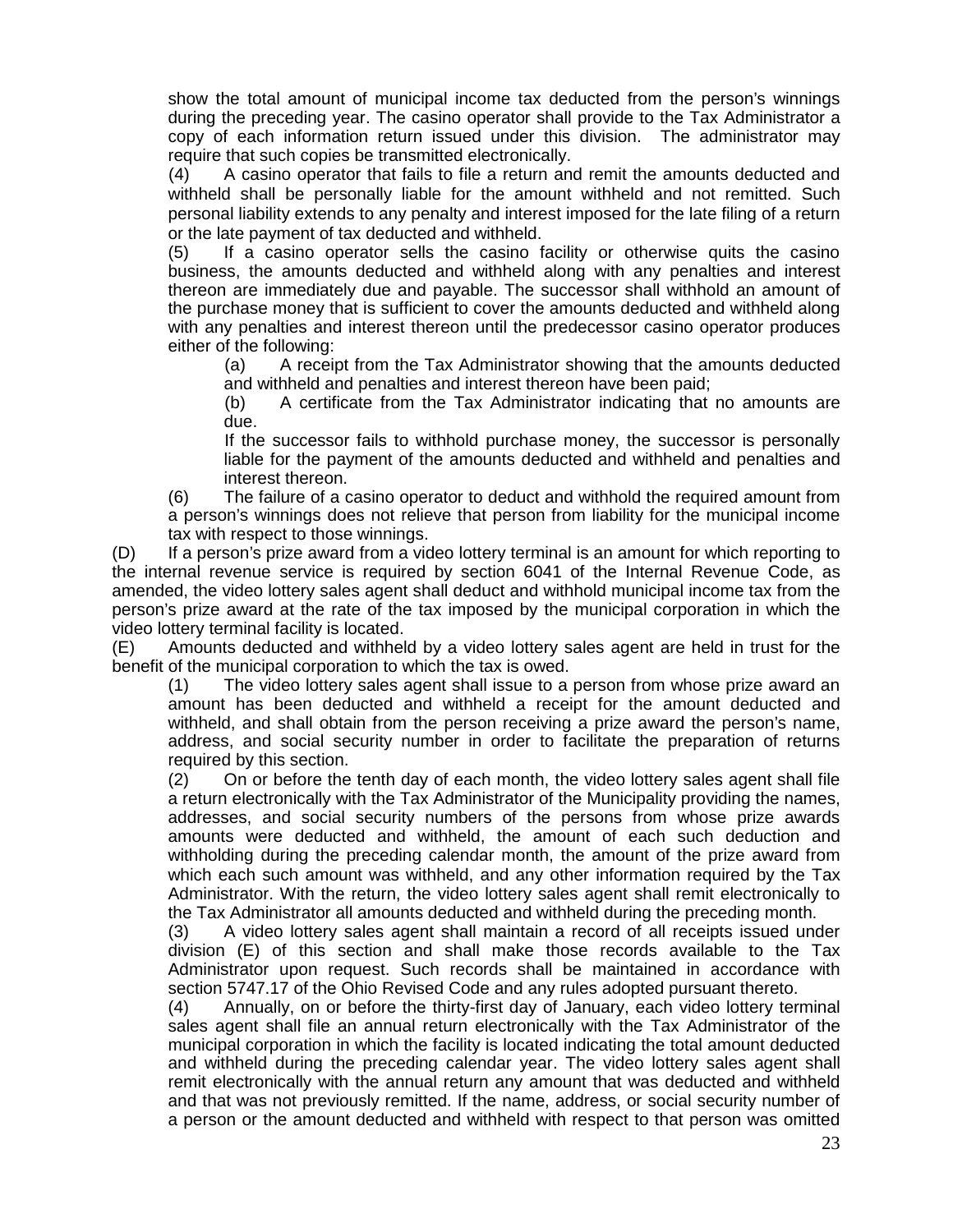show the total amount of municipal income tax deducted from the person's winnings during the preceding year. The casino operator shall provide to the Tax Administrator a copy of each information return issued under this division. The administrator may require that such copies be transmitted electronically.

(4) A casino operator that fails to file a return and remit the amounts deducted and withheld shall be personally liable for the amount withheld and not remitted. Such personal liability extends to any penalty and interest imposed for the late filing of a return or the late payment of tax deducted and withheld.

(5) If a casino operator sells the casino facility or otherwise quits the casino business, the amounts deducted and withheld along with any penalties and interest thereon are immediately due and payable. The successor shall withhold an amount of the purchase money that is sufficient to cover the amounts deducted and withheld along with any penalties and interest thereon until the predecessor casino operator produces either of the following:

(a) A receipt from the Tax Administrator showing that the amounts deducted and withheld and penalties and interest thereon have been paid;

(b) A certificate from the Tax Administrator indicating that no amounts are due.

If the successor fails to withhold purchase money, the successor is personally liable for the payment of the amounts deducted and withheld and penalties and interest thereon.

(6) The failure of a casino operator to deduct and withhold the required amount from a person's winnings does not relieve that person from liability for the municipal income tax with respect to those winnings.

(D) If a person's prize award from a video lottery terminal is an amount for which reporting to the internal revenue service is required by section 6041 of the Internal Revenue Code, as amended, the video lottery sales agent shall deduct and withhold municipal income tax from the person's prize award at the rate of the tax imposed by the municipal corporation in which the video lottery terminal facility is located.

(E) Amounts deducted and withheld by a video lottery sales agent are held in trust for the benefit of the municipal corporation to which the tax is owed.

(1) The video lottery sales agent shall issue to a person from whose prize award an amount has been deducted and withheld a receipt for the amount deducted and withheld, and shall obtain from the person receiving a prize award the person's name, address, and social security number in order to facilitate the preparation of returns required by this section.

(2) On or before the tenth day of each month, the video lottery sales agent shall file a return electronically with the Tax Administrator of the Municipality providing the names, addresses, and social security numbers of the persons from whose prize awards amounts were deducted and withheld, the amount of each such deduction and withholding during the preceding calendar month, the amount of the prize award from which each such amount was withheld, and any other information required by the Tax Administrator. With the return, the video lottery sales agent shall remit electronically to the Tax Administrator all amounts deducted and withheld during the preceding month.

(3) A video lottery sales agent shall maintain a record of all receipts issued under division (E) of this section and shall make those records available to the Tax Administrator upon request. Such records shall be maintained in accordance with section 5747.17 of the Ohio Revised Code and any rules adopted pursuant thereto.

(4) Annually, on or before the thirty-first day of January, each video lottery terminal sales agent shall file an annual return electronically with the Tax Administrator of the municipal corporation in which the facility is located indicating the total amount deducted and withheld during the preceding calendar year. The video lottery sales agent shall remit electronically with the annual return any amount that was deducted and withheld and that was not previously remitted. If the name, address, or social security number of a person or the amount deducted and withheld with respect to that person was omitted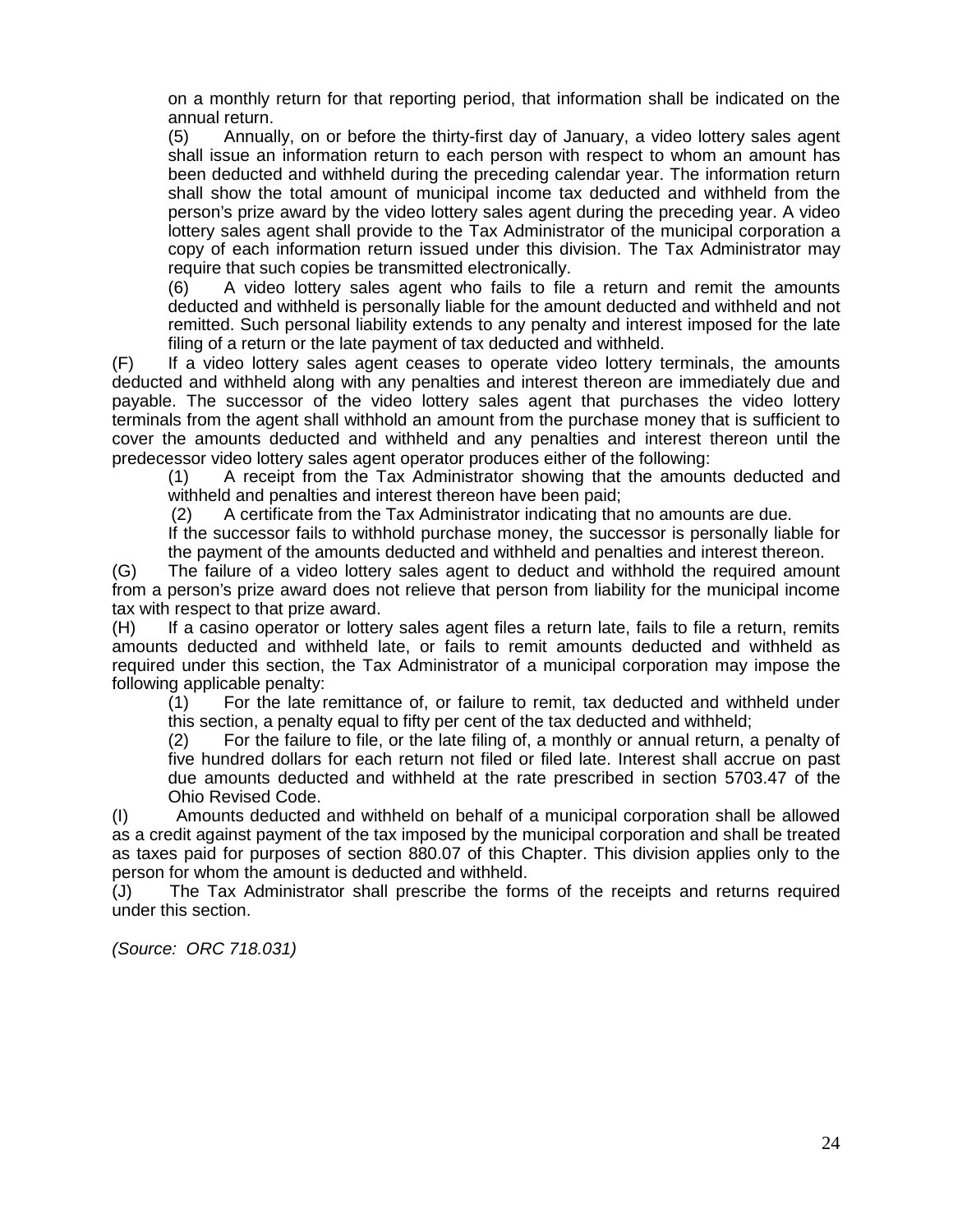on a monthly return for that reporting period, that information shall be indicated on the annual return.

(5) Annually, on or before the thirty-first day of January, a video lottery sales agent shall issue an information return to each person with respect to whom an amount has been deducted and withheld during the preceding calendar year. The information return shall show the total amount of municipal income tax deducted and withheld from the person's prize award by the video lottery sales agent during the preceding year. A video lottery sales agent shall provide to the Tax Administrator of the municipal corporation a copy of each information return issued under this division. The Tax Administrator may require that such copies be transmitted electronically.

(6) A video lottery sales agent who fails to file a return and remit the amounts deducted and withheld is personally liable for the amount deducted and withheld and not remitted. Such personal liability extends to any penalty and interest imposed for the late filing of a return or the late payment of tax deducted and withheld.

(F) If a video lottery sales agent ceases to operate video lottery terminals, the amounts deducted and withheld along with any penalties and interest thereon are immediately due and payable. The successor of the video lottery sales agent that purchases the video lottery terminals from the agent shall withhold an amount from the purchase money that is sufficient to cover the amounts deducted and withheld and any penalties and interest thereon until the predecessor video lottery sales agent operator produces either of the following:

(1) A receipt from the Tax Administrator showing that the amounts deducted and withheld and penalties and interest thereon have been paid;<br>(2) A certificate from the Tax Administrator indicating tha

A certificate from the Tax Administrator indicating that no amounts are due.

If the successor fails to withhold purchase money, the successor is personally liable for the payment of the amounts deducted and withheld and penalties and interest thereon.

(G) The failure of a video lottery sales agent to deduct and withhold the required amount from a person's prize award does not relieve that person from liability for the municipal income tax with respect to that prize award.

(H) If a casino operator or lottery sales agent files a return late, fails to file a return, remits amounts deducted and withheld late, or fails to remit amounts deducted and withheld as required under this section, the Tax Administrator of a municipal corporation may impose the following applicable penalty:

(1) For the late remittance of, or failure to remit, tax deducted and withheld under this section, a penalty equal to fifty per cent of the tax deducted and withheld;

(2) For the failure to file, or the late filing of, a monthly or annual return, a penalty of five hundred dollars for each return not filed or filed late. Interest shall accrue on past due amounts deducted and withheld at the rate prescribed in section 5703.47 of the Ohio Revised Code.

(I) Amounts deducted and withheld on behalf of a municipal corporation shall be allowed as a credit against payment of the tax imposed by the municipal corporation and shall be treated as taxes paid for purposes of section 880.07 of this Chapter. This division applies only to the person for whom the amount is deducted and withheld.

(J) The Tax Administrator shall prescribe the forms of the receipts and returns required under this section.

*(Source: ORC 718.031)*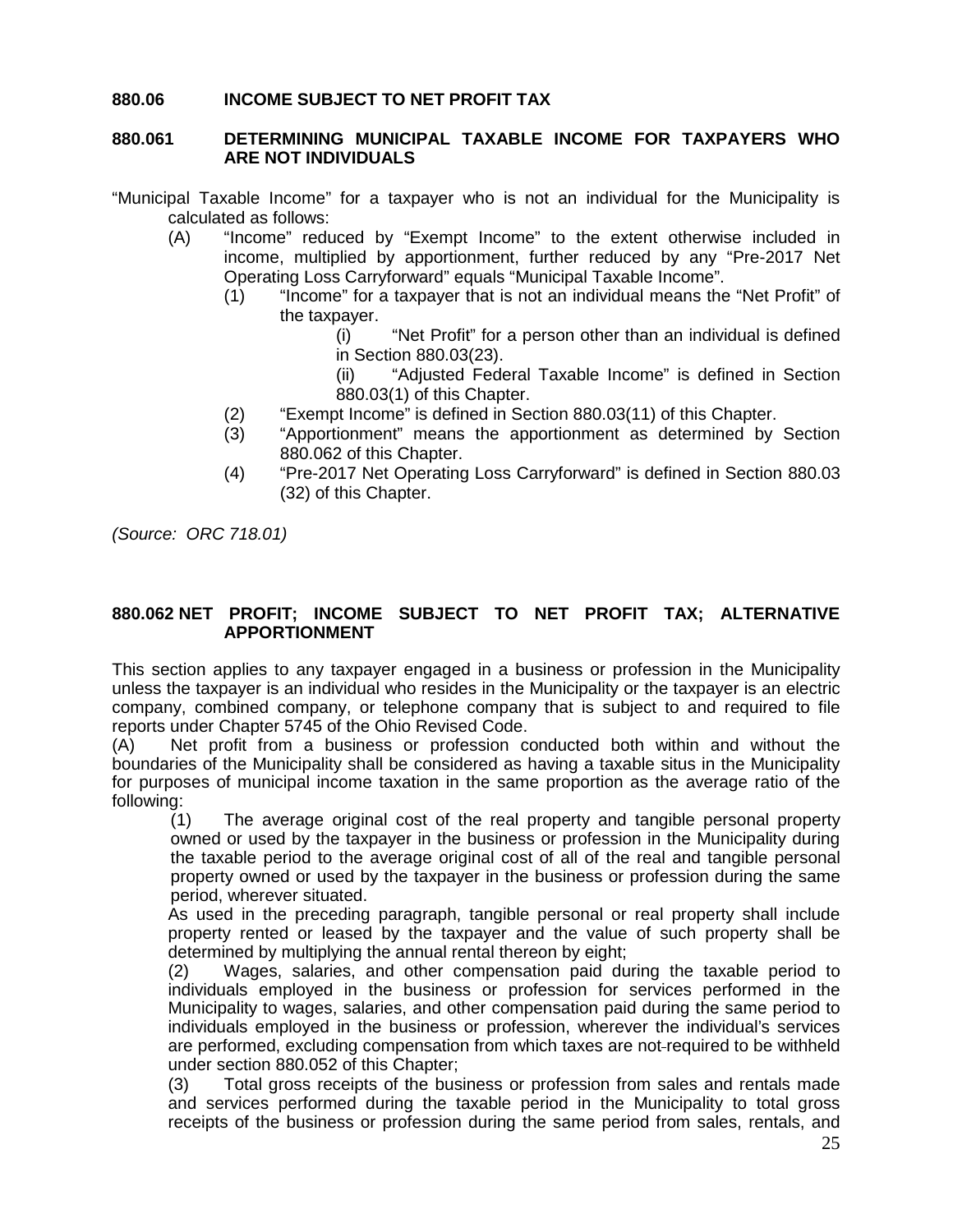#### **880.06 INCOME SUBJECT TO NET PROFIT TAX**

#### **880.061 DETERMINING MUNICIPAL TAXABLE INCOME FOR TAXPAYERS WHO ARE NOT INDIVIDUALS**

"Municipal Taxable Income" for a taxpayer who is not an individual for the Municipality is calculated as follows:

- (A) "Income" reduced by "Exempt Income" to the extent otherwise included in income, multiplied by apportionment, further reduced by any "Pre-2017 Net Operating Loss Carryforward" equals "Municipal Taxable Income".
	- (1) "Income" for a taxpayer that is not an individual means the "Net Profit" of the taxpayer.

(i) "Net Profit" for a person other than an individual is defined in Section 880.03(23).

(ii) "Adjusted Federal Taxable Income" is defined in Section 880.03(1) of this Chapter.

- (2) "Exempt Income" is defined in Section 880.03(11) of this Chapter.
- (3) "Apportionment" means the apportionment as determined by Section 880.062 of this Chapter.
- (4) "Pre-2017 Net Operating Loss Carryforward" is defined in Section 880.03 (32) of this Chapter.

*(Source: ORC 718.01)*

#### **880.062 NET PROFIT; INCOME SUBJECT TO NET PROFIT TAX; ALTERNATIVE APPORTIONMENT**

This section applies to any taxpayer engaged in a business or profession in the Municipality unless the taxpayer is an individual who resides in the Municipality or the taxpayer is an electric company, combined company, or telephone company that is subject to and required to file reports under Chapter 5745 of the Ohio Revised Code.

(A) Net profit from a business or profession conducted both within and without the boundaries of the Municipality shall be considered as having a taxable situs in the Municipality for purposes of municipal income taxation in the same proportion as the average ratio of the following:

(1) The average original cost of the real property and tangible personal property owned or used by the taxpayer in the business or profession in the Municipality during the taxable period to the average original cost of all of the real and tangible personal property owned or used by the taxpayer in the business or profession during the same period, wherever situated.

As used in the preceding paragraph, tangible personal or real property shall include property rented or leased by the taxpayer and the value of such property shall be determined by multiplying the annual rental thereon by eight;

(2) Wages, salaries, and other compensation paid during the taxable period to individuals employed in the business or profession for services performed in the Municipality to wages, salaries, and other compensation paid during the same period to individuals employed in the business or profession, wherever the individual's services are performed, excluding compensation from which taxes are not-required to be withheld under section 880.052 of this Chapter;

(3) Total gross receipts of the business or profession from sales and rentals made and services performed during the taxable period in the Municipality to total gross receipts of the business or profession during the same period from sales, rentals, and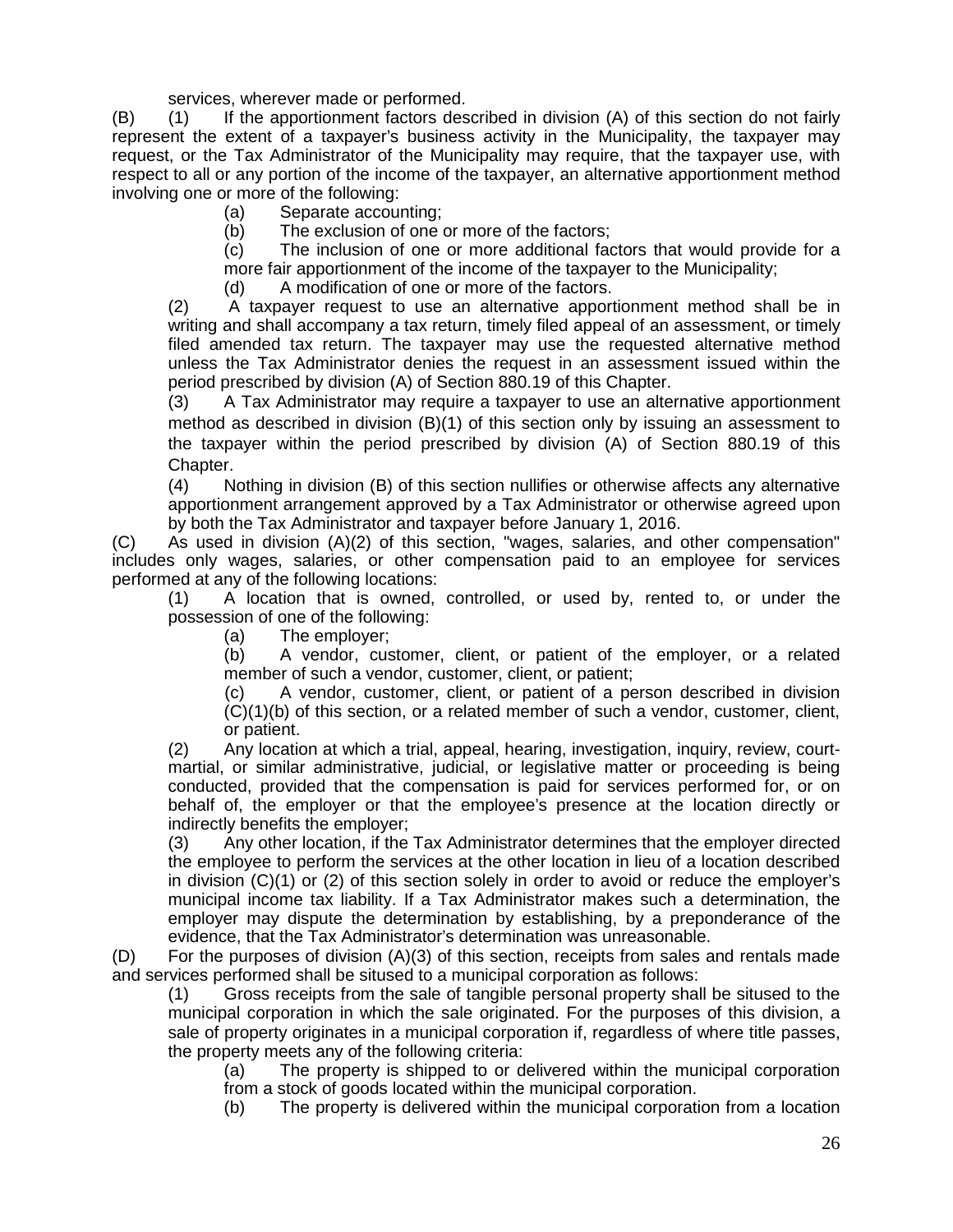services, wherever made or performed.

(B) (1) If the apportionment factors described in division (A) of this section do not fairly represent the extent of a taxpayer's business activity in the Municipality, the taxpayer may request, or the Tax Administrator of the Municipality may require, that the taxpayer use, with respect to all or any portion of the income of the taxpayer, an alternative apportionment method involving one or more of the following:

(a) Separate accounting;

(b) The exclusion of one or more of the factors;

(c) The inclusion of one or more additional factors that would provide for a more fair apportionment of the income of the taxpayer to the Municipality;

(d) A modification of one or more of the factors.

(2) A taxpayer request to use an alternative apportionment method shall be in writing and shall accompany a tax return, timely filed appeal of an assessment, or timely filed amended tax return. The taxpayer may use the requested alternative method unless the Tax Administrator denies the request in an assessment issued within the period prescribed by division (A) of Section 880.19 of this Chapter.

(3) A Tax Administrator may require a taxpayer to use an alternative apportionment method as described in division (B)(1) of this section only by issuing an assessment to the taxpayer within the period prescribed by division (A) of Section 880.19 of this Chapter.

(4) Nothing in division (B) of this section nullifies or otherwise affects any alternative apportionment arrangement approved by a Tax Administrator or otherwise agreed upon by both the Tax Administrator and taxpayer before January 1, 2016.

(C) As used in division (A)(2) of this section, "wages, salaries, and other compensation" includes only wages, salaries, or other compensation paid to an employee for services performed at any of the following locations:

(1) A location that is owned, controlled, or used by, rented to, or under the possession of one of the following:

(a) The employer;

(b) A vendor, customer, client, or patient of the employer, or a related member of such a vendor, customer, client, or patient;

(c) A vendor, customer, client, or patient of a person described in division (C)(1)(b) of this section, or a related member of such a vendor, customer, client, or patient.

(2) Any location at which a trial, appeal, hearing, investigation, inquiry, review, court martial, or similar administrative, judicial, or legislative matter or proceeding is being conducted, provided that the compensation is paid for services performed for, or on behalf of, the employer or that the employee's presence at the location directly or indirectly benefits the employer;

(3) Any other location, if the Tax Administrator determines that the employer directed the employee to perform the services at the other location in lieu of a location described in division (C)(1) or (2) of this section solely in order to avoid or reduce the employer's municipal income tax liability. If a Tax Administrator makes such a determination, the employer may dispute the determination by establishing, by a preponderance of the evidence, that the Tax Administrator's determination was unreasonable.

(D) For the purposes of division (A)(3) of this section, receipts from sales and rentals made and services performed shall be sitused to a municipal corporation as follows:

(1) Gross receipts from the sale of tangible personal property shall be sitused to the municipal corporation in which the sale originated. For the purposes of this division, a sale of property originates in a municipal corporation if, regardless of where title passes, the property meets any of the following criteria:

(a) The property is shipped to or delivered within the municipal corporation from a stock of goods located within the municipal corporation.

(b) The property is delivered within the municipal corporation from a location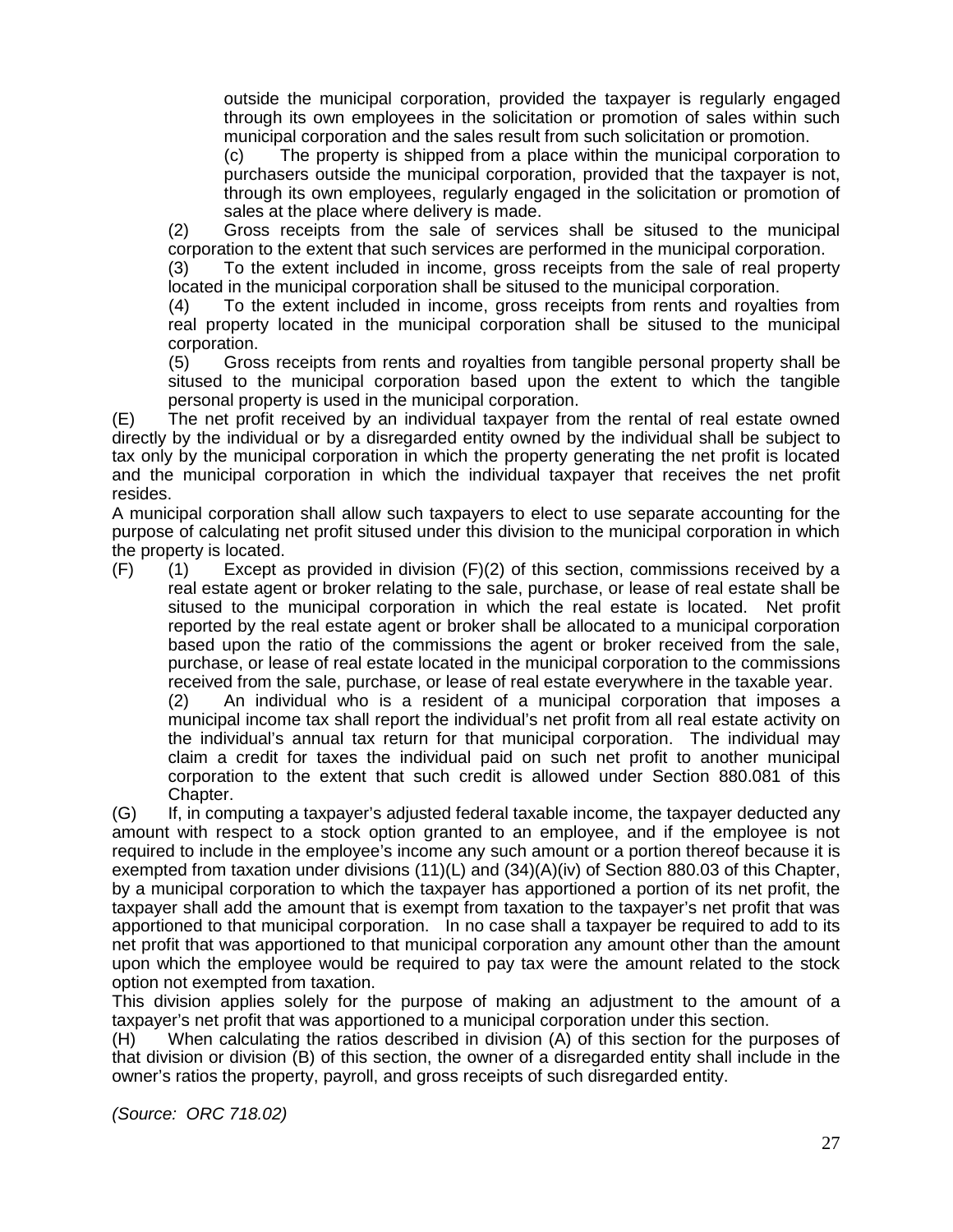outside the municipal corporation, provided the taxpayer is regularly engaged through its own employees in the solicitation or promotion of sales within such municipal corporation and the sales result from such solicitation or promotion.

(c) The property is shipped from a place within the municipal corporation to purchasers outside the municipal corporation, provided that the taxpayer is not, through its own employees, regularly engaged in the solicitation or promotion of sales at the place where delivery is made.

(2) Gross receipts from the sale of services shall be sitused to the municipal corporation to the extent that such services are performed in the municipal corporation.

(3) To the extent included in income, gross receipts from the sale of real property located in the municipal corporation shall be sitused to the municipal corporation.

(4) To the extent included in income, gross receipts from rents and royalties from real property located in the municipal corporation shall be sitused to the municipal corporation.

(5) Gross receipts from rents and royalties from tangible personal property shall be sitused to the municipal corporation based upon the extent to which the tangible personal property is used in the municipal corporation.

(E) The net profit received by an individual taxpayer from the rental of real estate owned directly by the individual or by a disregarded entity owned by the individual shall be subject to tax only by the municipal corporation in which the property generating the net profit is located and the municipal corporation in which the individual taxpayer that receives the net profit resides.

A municipal corporation shall allow such taxpayers to elect to use separate accounting for the purpose of calculating net profit sitused under this division to the municipal corporation in which the property is located.

 $(F)$  (1) Except as provided in division  $(F)(2)$  of this section, commissions received by a real estate agent or broker relating to the sale, purchase, or lease of real estate shall be sitused to the municipal corporation in which the real estate is located. Net profit reported by the real estate agent or broker shall be allocated to a municipal corporation based upon the ratio of the commissions the agent or broker received from the sale, purchase, or lease of real estate located in the municipal corporation to the commissions received from the sale, purchase, or lease of real estate everywhere in the taxable year.

(2) An individual who is a resident of a municipal corporation that imposes a municipal income tax shall report the individual's net profit from all real estate activity on the individual's annual tax return for that municipal corporation. The individual may claim a credit for taxes the individual paid on such net profit to another municipal corporation to the extent that such credit is allowed under Section 880.081 of this Chapter.

(G) If, in computing a taxpayer's adjusted federal taxable income, the taxpayer deducted any amount with respect to a stock option granted to an employee, and if the employee is not required to include in the employee's income any such amount or a portion thereof because it is exempted from taxation under divisions (11)(L) and (34)(A)(iv) of Section 880.03 of this Chapter, by a municipal corporation to which the taxpayer has apportioned a portion of its net profit, the taxpayer shall add the amount that is exempt from taxation to the taxpayer's net profit that was apportioned to that municipal corporation. In no case shall a taxpayer be required to add to its net profit that was apportioned to that municipal corporation any amount other than the amount upon which the employee would be required to pay tax were the amount related to the stock option not exempted from taxation.

This division applies solely for the purpose of making an adjustment to the amount of a taxpayer's net profit that was apportioned to a municipal corporation under this section.

(H) When calculating the ratios described in division (A) of this section for the purposes of that division or division (B) of this section, the owner of a disregarded entity shall include in the owner's ratios the property, payroll, and gross receipts of such disregarded entity.

*(Source: ORC 718.02)*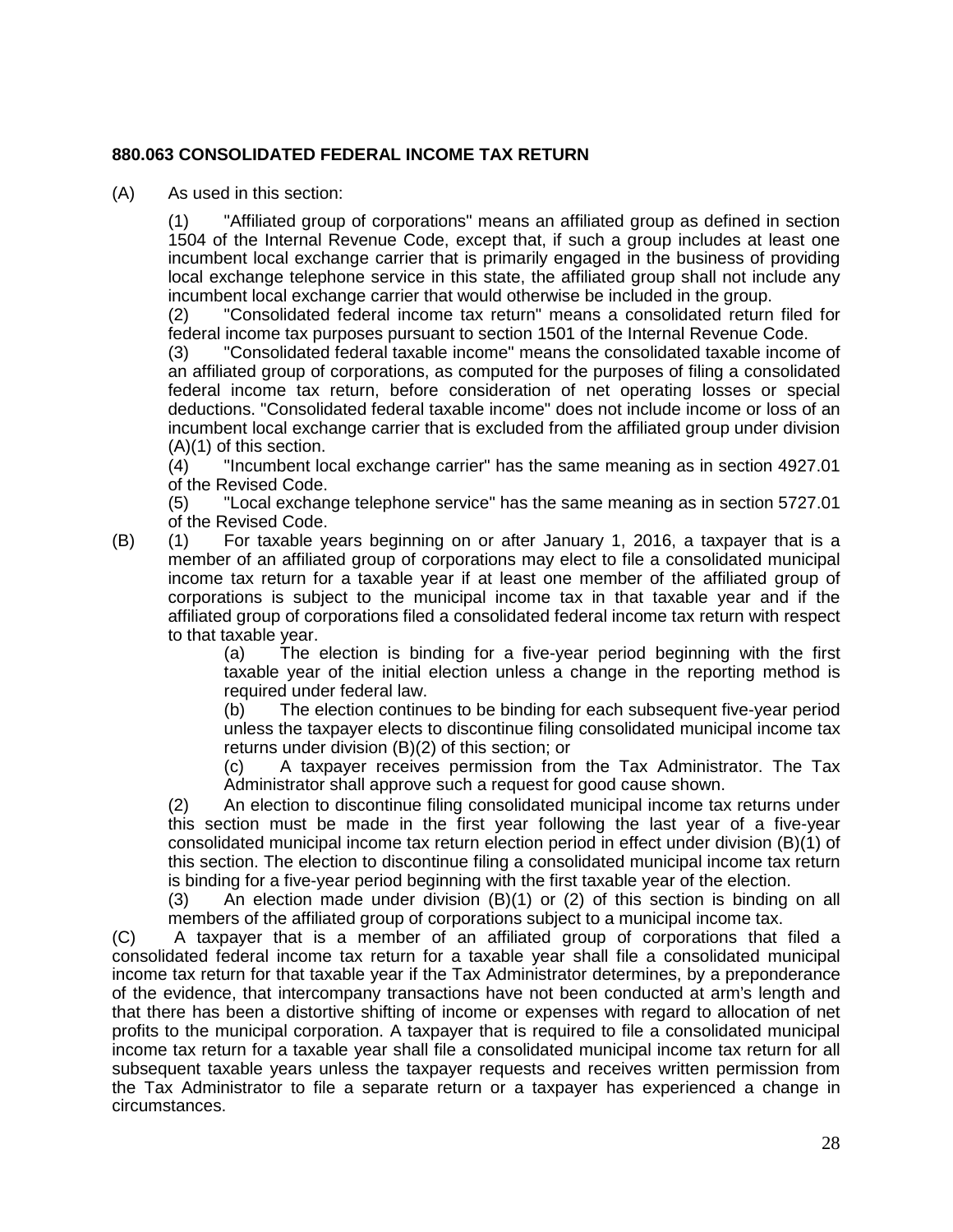#### **880.063 CONSOLIDATED FEDERAL INCOME TAX RETURN**

(A) As used in this section:

(1) "Affiliated group of corporations" means an affiliated group as defined in section 1504 of the Internal Revenue Code, except that, if such a group includes at least one incumbent local exchange carrier that is primarily engaged in the business of providing local exchange telephone service in this state, the affiliated group shall not include any incumbent local exchange carrier that would otherwise be included in the group.

(2) "Consolidated federal income tax return" means a consolidated return filed for federal income tax purposes pursuant to section 1501 of the Internal Revenue Code.

(3) "Consolidated federal taxable income" means the consolidated taxable income of an affiliated group of corporations, as computed for the purposes of filing a consolidated federal income tax return, before consideration of net operating losses or special deductions. "Consolidated federal taxable income" does not include income or loss of an incumbent local exchange carrier that is excluded from the affiliated group under division (A)(1) of this section.

(4) "Incumbent local exchange carrier" has the same meaning as in section 4927.01 of the Revised Code.

(5) "Local exchange telephone service" has the same meaning as in section 5727.01 of the Revised Code.

(B) (1) For taxable years beginning on or after January 1, 2016, a taxpayer that is a member of an affiliated group of corporations may elect to file a consolidated municipal income tax return for a taxable year if at least one member of the affiliated group of corporations is subject to the municipal income tax in that taxable year and if the affiliated group of corporations filed a consolidated federal income tax return with respect to that taxable year.

(a) The election is binding for a five-year period beginning with the first taxable year of the initial election unless a change in the reporting method is required under federal law.

(b) The election continues to be binding for each subsequent five-year period unless the taxpayer elects to discontinue filing consolidated municipal income tax returns under division (B)(2) of this section; or

(c) A taxpayer receives permission from the Tax Administrator. The Tax Administrator shall approve such a request for good cause shown.

(2) An election to discontinue filing consolidated municipal income tax returns under this section must be made in the first year following the last year of a five-year consolidated municipal income tax return election period in effect under division (B)(1) of this section. The election to discontinue filing a consolidated municipal income tax return is binding for a five-year period beginning with the first taxable year of the election.

(3) An election made under division (B)(1) or (2) of this section is binding on all members of the affiliated group of corporations subject to a municipal income tax.

(C) A taxpayer that is a member of an affiliated group of corporations that filed a consolidated federal income tax return for a taxable year shall file a consolidated municipal income tax return for that taxable year if the Tax Administrator determines, by a preponderance of the evidence, that intercompany transactions have not been conducted at arm's length and that there has been a distortive shifting of income or expenses with regard to allocation of net profits to the municipal corporation. A taxpayer that is required to file a consolidated municipal income tax return for a taxable year shall file a consolidated municipal income tax return for all subsequent taxable years unless the taxpayer requests and receives written permission from the Tax Administrator to file a separate return or a taxpayer has experienced a change in circumstances.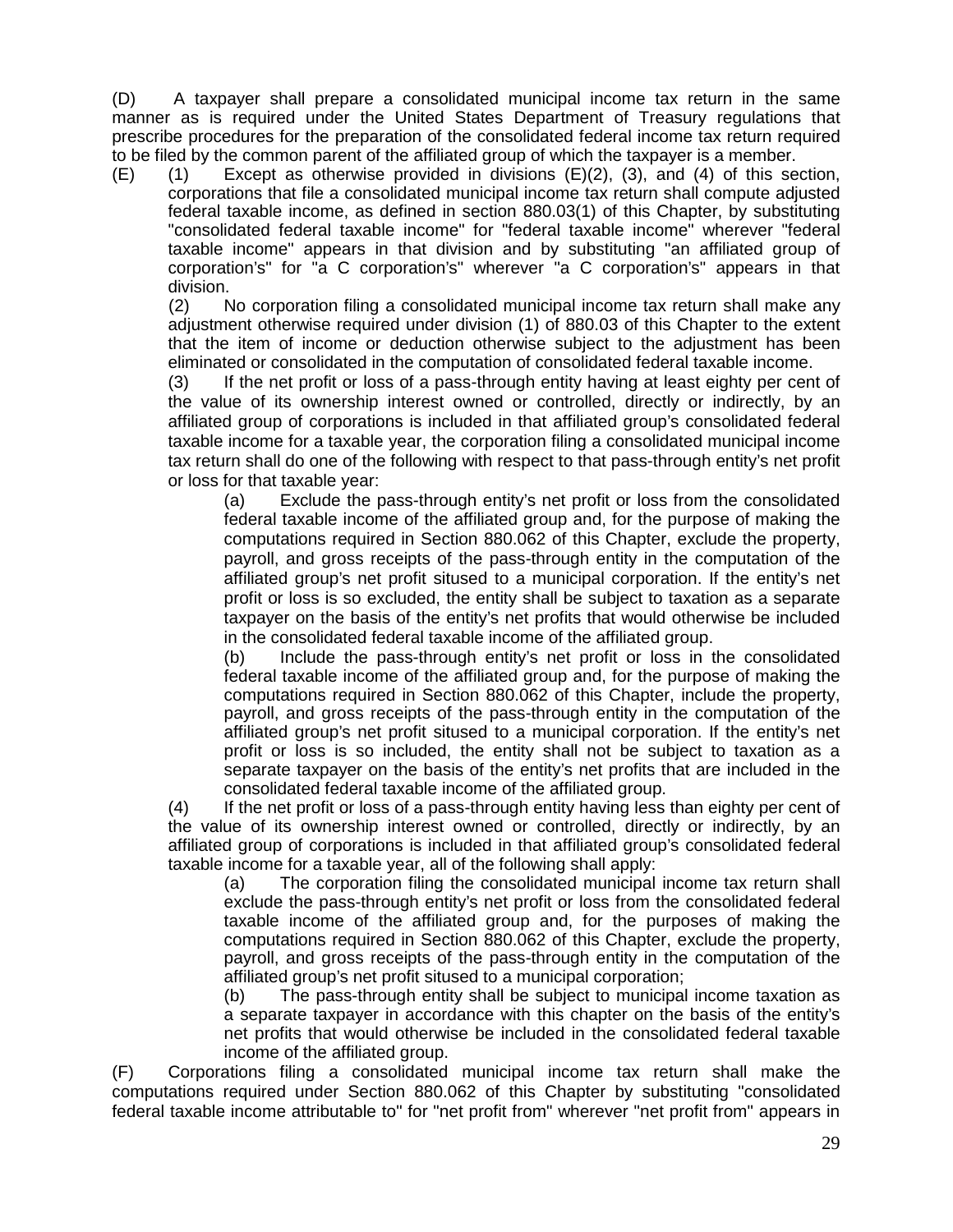(D) A taxpayer shall prepare a consolidated municipal income tax return in the same manner as is required under the United States Department of Treasury regulations that prescribe procedures for the preparation of the consolidated federal income tax return required to be filed by the common parent of the affiliated group of which the taxpayer is a member.

(E) (1) Except as otherwise provided in divisions (E)(2), (3), and (4) of this section, corporations that file a consolidated municipal income tax return shall compute adjusted federal taxable income, as defined in section 880.03(1) of this Chapter, by substituting "consolidated federal taxable income" for "federal taxable income" wherever "federal taxable income" appears in that division and by substituting "an affiliated group of corporation's" for "a C corporation's" wherever "a C corporation's" appears in that division.

(2) No corporation filing a consolidated municipal income tax return shall make any adjustment otherwise required under division (1) of 880.03 of this Chapter to the extent that the item of income or deduction otherwise subject to the adjustment has been eliminated or consolidated in the computation of consolidated federal taxable income.

(3) If the net profit or loss of a pass-through entity having at least eighty per cent of the value of its ownership interest owned or controlled, directly or indirectly, by an affiliated group of corporations is included in that affiliated group's consolidated federal taxable income for a taxable year, the corporation filing a consolidated municipal income tax return shall do one of the following with respect to that pass-through entity's net profit or loss for that taxable year:

(a) Exclude the pass-through entity's net profit or loss from the consolidated federal taxable income of the affiliated group and, for the purpose of making the computations required in Section 880.062 of this Chapter, exclude the property, payroll, and gross receipts of the pass-through entity in the computation of the affiliated group's net profit sitused to a municipal corporation. If the entity's net profit or loss is so excluded, the entity shall be subject to taxation as a separate taxpayer on the basis of the entity's net profits that would otherwise be included in the consolidated federal taxable income of the affiliated group.

(b) Include the pass-through entity's net profit or loss in the consolidated federal taxable income of the affiliated group and, for the purpose of making the computations required in Section 880.062 of this Chapter, include the property, payroll, and gross receipts of the pass-through entity in the computation of the affiliated group's net profit sitused to a municipal corporation. If the entity's net profit or loss is so included, the entity shall not be subject to taxation as a separate taxpayer on the basis of the entity's net profits that are included in the consolidated federal taxable income of the affiliated group.

(4) If the net profit or loss of a pass-through entity having less than eighty per cent of the value of its ownership interest owned or controlled, directly or indirectly, by an affiliated group of corporations is included in that affiliated group's consolidated federal taxable income for a taxable year, all of the following shall apply:

(a) The corporation filing the consolidated municipal income tax return shall exclude the pass-through entity's net profit or loss from the consolidated federal taxable income of the affiliated group and, for the purposes of making the computations required in Section 880.062 of this Chapter, exclude the property, payroll, and gross receipts of the pass-through entity in the computation of the affiliated group's net profit sitused to a municipal corporation;

(b) The pass-through entity shall be subject to municipal income taxation as a separate taxpayer in accordance with this chapter on the basis of the entity's net profits that would otherwise be included in the consolidated federal taxable income of the affiliated group.

(F) Corporations filing a consolidated municipal income tax return shall make the computations required under Section 880.062 of this Chapter by substituting "consolidated federal taxable income attributable to" for "net profit from" wherever "net profit from" appears in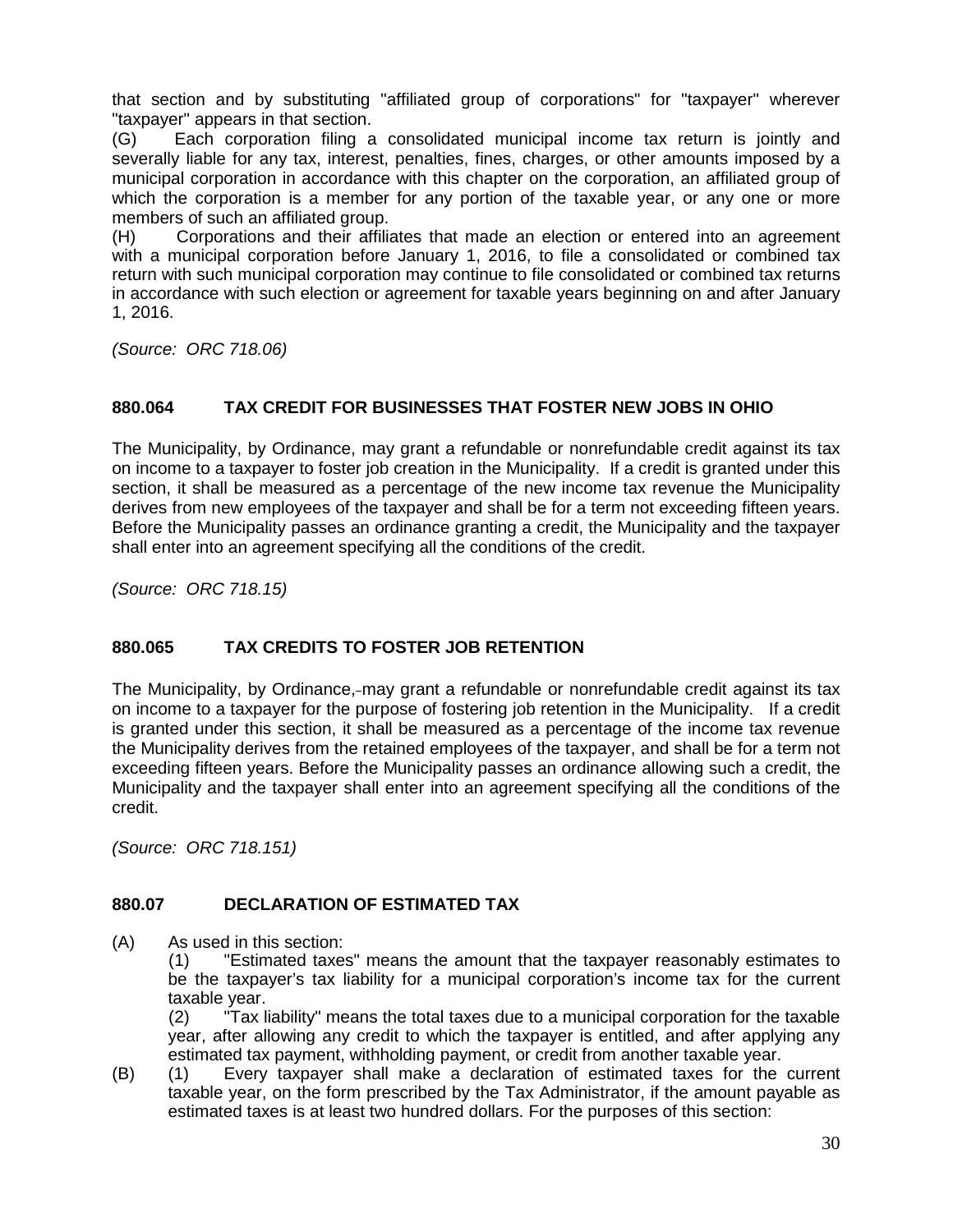that section and by substituting "affiliated group of corporations" for "taxpayer" wherever "taxpayer" appears in that section.

(G) Each corporation filing a consolidated municipal income tax return is jointly and severally liable for any tax, interest, penalties, fines, charges, or other amounts imposed by a municipal corporation in accordance with this chapter on the corporation, an affiliated group of which the corporation is a member for any portion of the taxable year, or any one or more members of such an affiliated group.

(H) Corporations and their affiliates that made an election or entered into an agreement with a municipal corporation before January 1, 2016, to file a consolidated or combined tax return with such municipal corporation may continue to file consolidated or combined tax returns in accordance with such election or agreement for taxable years beginning on and after January 1, 2016.

*(Source: ORC 718.06)*

# **880.064 TAX CREDIT FOR BUSINESSES THAT FOSTER NEW JOBS IN OHIO**

The Municipality, by Ordinance, may grant a refundable or nonrefundable credit against its tax on income to a taxpayer to foster job creation in the Municipality. If a credit is granted under this section, it shall be measured as a percentage of the new income tax revenue the Municipality derives from new employees of the taxpayer and shall be for a term not exceeding fifteen years. Before the Municipality passes an ordinance granting a credit, the Municipality and the taxpayer shall enter into an agreement specifying all the conditions of the credit.

*(Source: ORC 718.15)*

# **880.065 TAX CREDITS TO FOSTER JOB RETENTION**

The Municipality, by Ordinance, may grant a refundable or nonrefundable credit against its tax on income to a taxpayer for the purpose of fostering job retention in the Municipality. If a credit is granted under this section, it shall be measured as a percentage of the income tax revenue the Municipality derives from the retained employees of the taxpayer, and shall be for a term not exceeding fifteen years. Before the Municipality passes an ordinance allowing such a credit, the Municipality and the taxpayer shall enter into an agreement specifying all the conditions of the credit.

*(Source: ORC 718.151)*

#### **880.07 DECLARATION OF ESTIMATED TAX**

(A) As used in this section:

(1) "Estimated taxes" means the amount that the taxpayer reasonably estimates to be the taxpayer's tax liability for a municipal corporation's income tax for the current taxable year.

(2) "Tax liability" means the total taxes due to a municipal corporation for the taxable year, after allowing any credit to which the taxpayer is entitled, and after applying any estimated tax payment, withholding payment, or credit from another taxable year.

(B) (1) Every taxpayer shall make a declaration of estimated taxes for the current taxable year, on the form prescribed by the Tax Administrator, if the amount payable as estimated taxes is at least two hundred dollars. For the purposes of this section: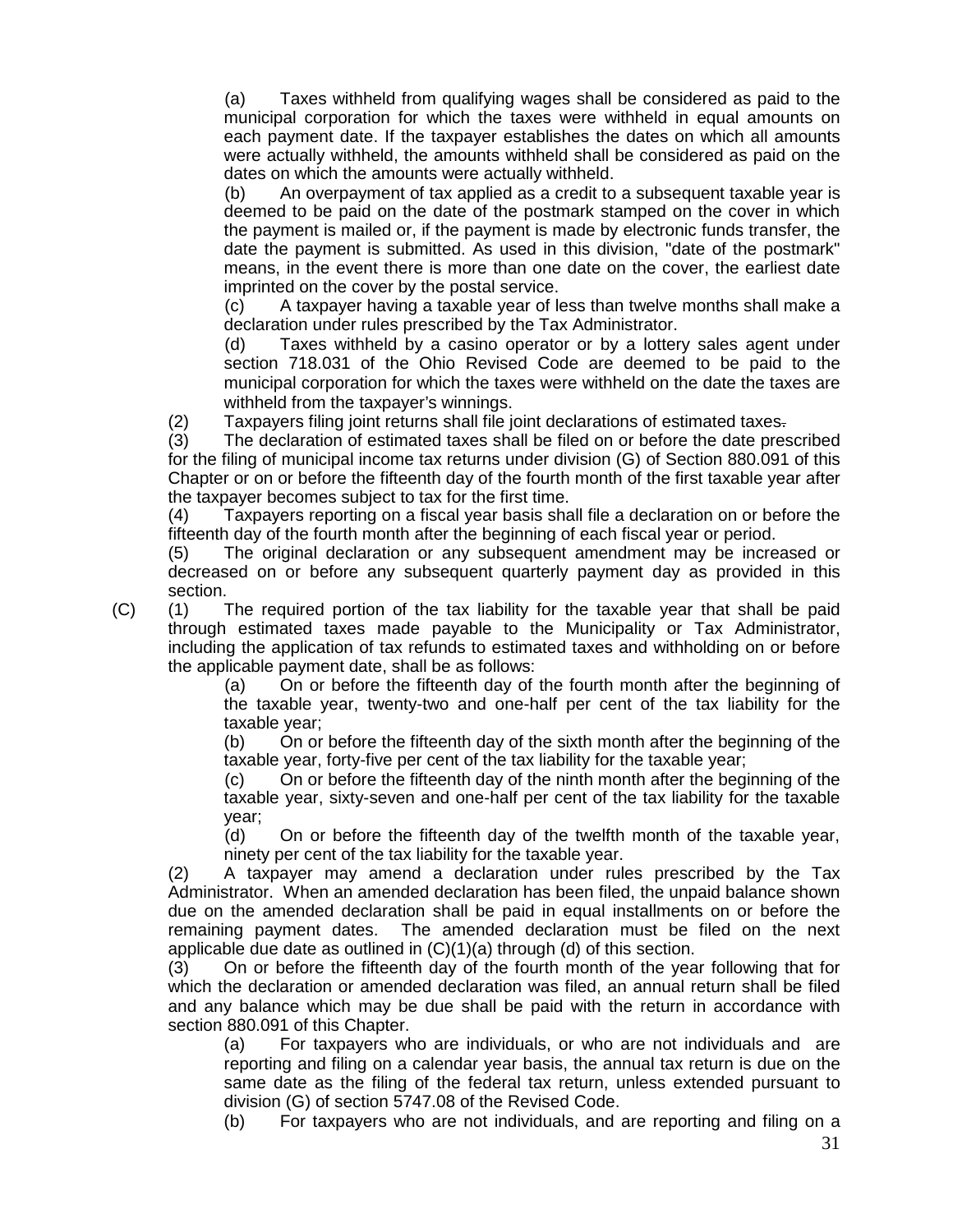(a) Taxes withheld from qualifying wages shall be considered as paid to the municipal corporation for which the taxes were withheld in equal amounts on each payment date. If the taxpayer establishes the dates on which all amounts were actually withheld, the amounts withheld shall be considered as paid on the dates on which the amounts were actually withheld.

(b) An overpayment of tax applied as a credit to a subsequent taxable year is deemed to be paid on the date of the postmark stamped on the cover in which the payment is mailed or, if the payment is made by electronic funds transfer, the date the payment is submitted. As used in this division, "date of the postmark" means, in the event there is more than one date on the cover, the earliest date imprinted on the cover by the postal service.

(c) A taxpayer having a taxable year of less than twelve months shall make a declaration under rules prescribed by the Tax Administrator.

(d) Taxes withheld by a casino operator or by a lottery sales agent under section 718.031 of the Ohio Revised Code are deemed to be paid to the municipal corporation for which the taxes were withheld on the date the taxes are withheld from the taxpayer's winnings.

(2) Taxpayers filing joint returns shall file joint declarations of estimated taxes.

(3) The declaration of estimated taxes shall be filed on or before the date prescribed for the filing of municipal income tax returns under division (G) of Section 880.091 of this Chapter or on or before the fifteenth day of the fourth month of the first taxable year after the taxpayer becomes subject to tax for the first time.

(4) Taxpayers reporting on a fiscal year basis shall file a declaration on or before the fifteenth day of the fourth month after the beginning of each fiscal year or period.

(5) The original declaration or any subsequent amendment may be increased or decreased on or before any subsequent quarterly payment day as provided in this section.

(C) (1) The required portion of the tax liability for the taxable year that shall be paid through estimated taxes made payable to the Municipality or Tax Administrator, including the application of tax refunds to estimated taxes and withholding on or before the applicable payment date, shall be as follows:

(a) On or before the fifteenth day of the fourth month after the beginning of the taxable year, twenty-two and one-half per cent of the tax liability for the taxable year;

(b) On or before the fifteenth day of the sixth month after the beginning of the taxable year, forty-five per cent of the tax liability for the taxable year;

(c) On or before the fifteenth day of the ninth month after the beginning of the taxable year, sixty-seven and one-half per cent of the tax liability for the taxable year;

(d) On or before the fifteenth day of the twelfth month of the taxable year, ninety per cent of the tax liability for the taxable year.

(2) A taxpayer may amend a declaration under rules prescribed by the Tax Administrator. When an amended declaration has been filed, the unpaid balance shown due on the amended declaration shall be paid in equal installments on or before the remaining payment dates. The amended declaration must be filed on the next applicable due date as outlined in (C)(1)(a) through (d) of this section.

(3) On or before the fifteenth day of the fourth month of the year following that for which the declaration or amended declaration was filed, an annual return shall be filed and any balance which may be due shall be paid with the return in accordance with section 880.091 of this Chapter.

(a) For taxpayers who are individuals, or who are not individuals and are reporting and filing on a calendar year basis, the annual tax return is due on the same date as the filing of the federal tax return, unless extended pursuant to division (G) of section 5747.08 of the Revised Code.

(b) For taxpayers who are not individuals, and are reporting and filing on a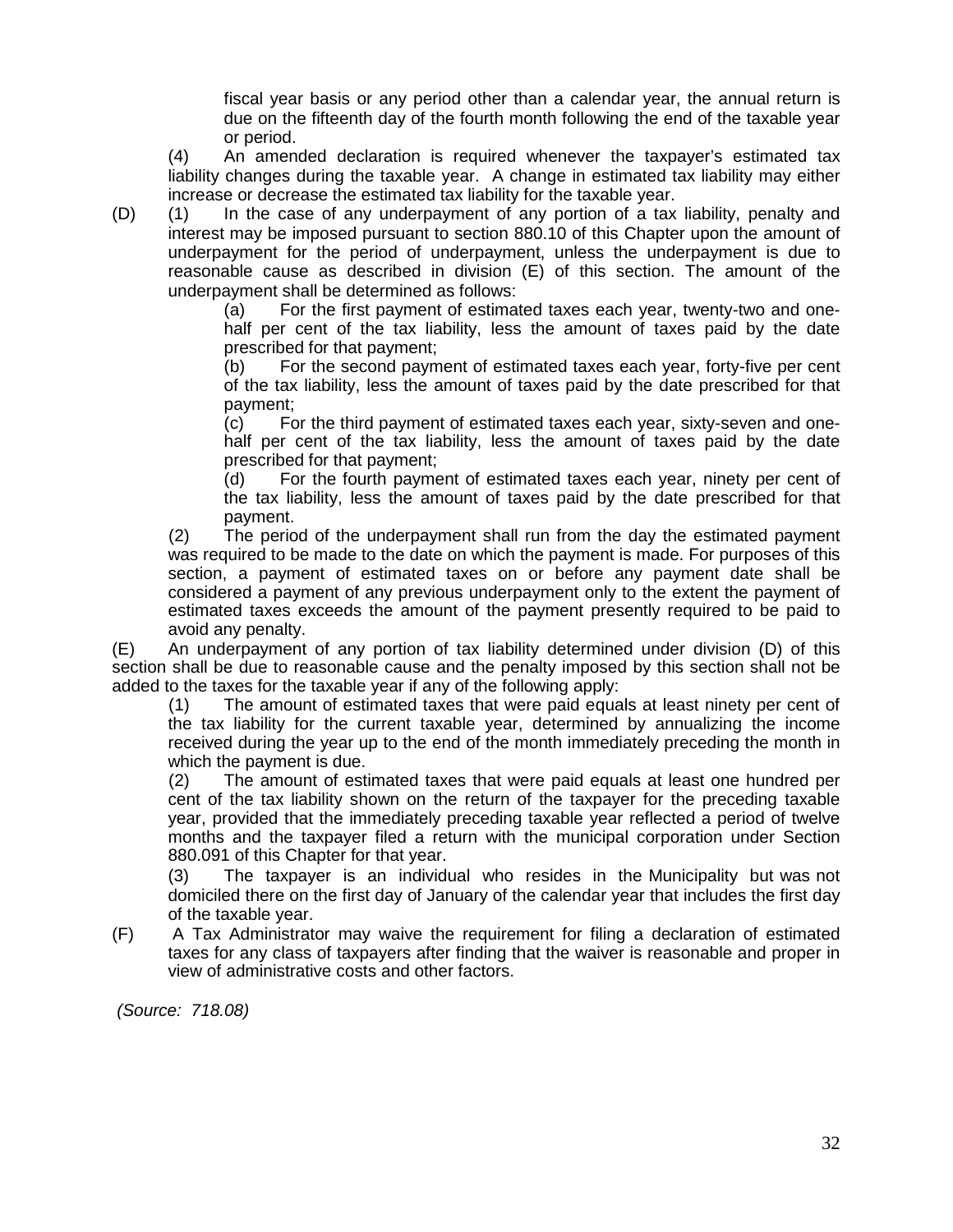fiscal year basis or any period other than a calendar year, the annual return is due on the fifteenth day of the fourth month following the end of the taxable year or period.

(4) An amended declaration is required whenever the taxpayer's estimated tax liability changes during the taxable year. A change in estimated tax liability may either increase or decrease the estimated tax liability for the taxable year.

(D) (1) In the case of any underpayment of any portion of a tax liability, penalty and interest may be imposed pursuant to section 880.10 of this Chapter upon the amount of underpayment for the period of underpayment, unless the underpayment is due to reasonable cause as described in division (E) of this section. The amount of the underpayment shall be determined as follows:

(a) For the first payment of estimated taxes each year, twenty-two and one half per cent of the tax liability, less the amount of taxes paid by the date prescribed for that payment;

(b) For the second payment of estimated taxes each year, forty-five per cent of the tax liability, less the amount of taxes paid by the date prescribed for that payment;

(c) For the third payment of estimated taxes each year, sixty-seven and one half per cent of the tax liability, less the amount of taxes paid by the date prescribed for that payment;

(d) For the fourth payment of estimated taxes each year, ninety per cent of the tax liability, less the amount of taxes paid by the date prescribed for that payment.

(2) The period of the underpayment shall run from the day the estimated payment was required to be made to the date on which the payment is made. For purposes of this section, a payment of estimated taxes on or before any payment date shall be considered a payment of any previous underpayment only to the extent the payment of estimated taxes exceeds the amount of the payment presently required to be paid to avoid any penalty.

(E) An underpayment of any portion of tax liability determined under division (D) of this section shall be due to reasonable cause and the penalty imposed by this section shall not be added to the taxes for the taxable year if any of the following apply:

(1) The amount of estimated taxes that were paid equals at least ninety per cent of the tax liability for the current taxable year, determined by annualizing the income received during the year up to the end of the month immediately preceding the month in which the payment is due.

(2) The amount of estimated taxes that were paid equals at least one hundred per cent of the tax liability shown on the return of the taxpayer for the preceding taxable year, provided that the immediately preceding taxable year reflected a period of twelve months and the taxpayer filed a return with the municipal corporation under Section 880.091 of this Chapter for that year.

(3) The taxpayer is an individual who resides in the Municipality but was not domiciled there on the first day of January of the calendar year that includes the first day of the taxable year.

(F) A Tax Administrator may waive the requirement for filing a declaration of estimated taxes for any class of taxpayers after finding that the waiver is reasonable and proper in view of administrative costs and other factors.

*(Source: 718.08)*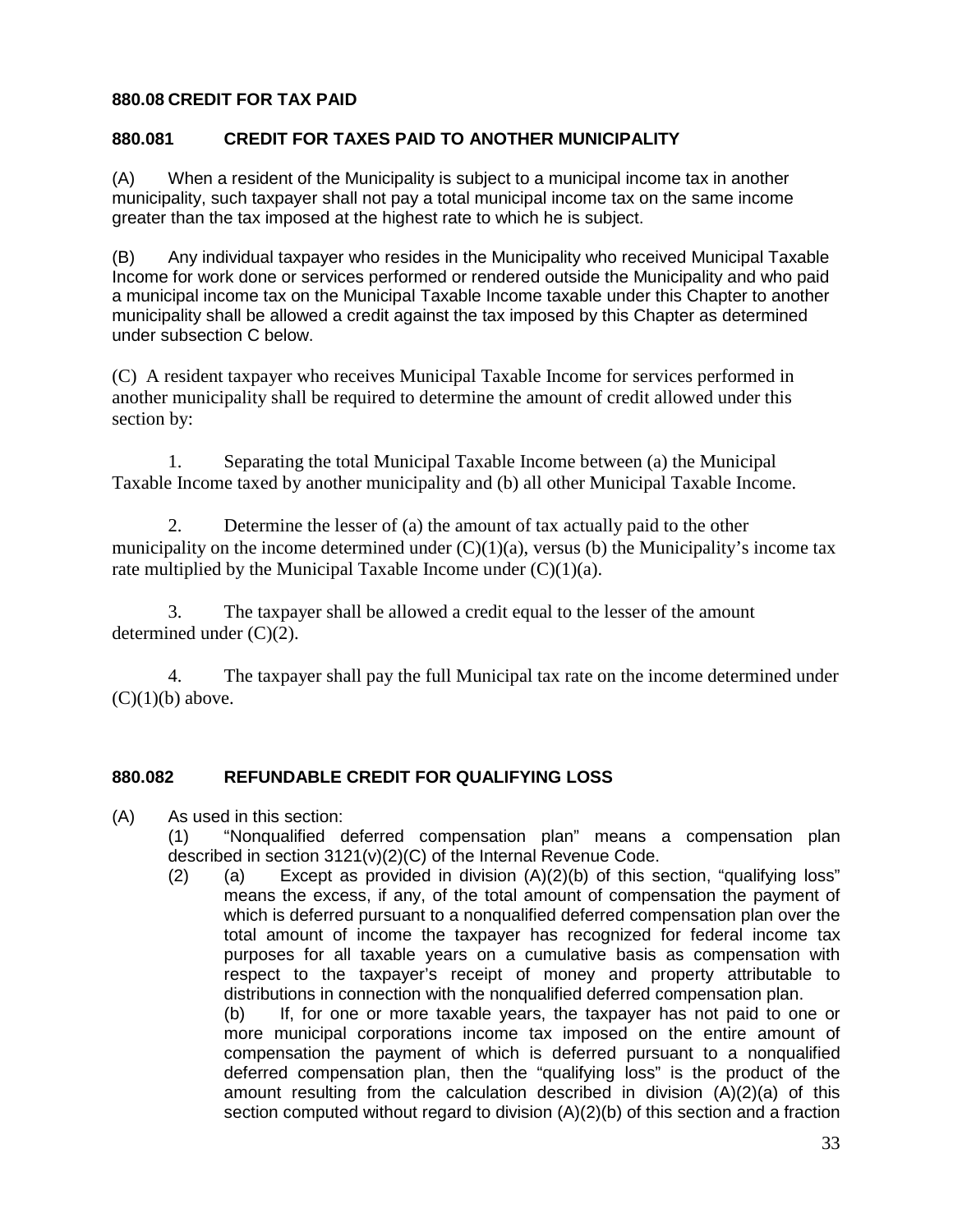# **880.08 CREDIT FOR TAX PAID**

# **880.081 CREDIT FOR TAXES PAID TO ANOTHER MUNICIPALITY**

(A) When a resident of the Municipality is subject to a municipal income tax in another municipality, such taxpayer shall not pay a total municipal income tax on the same income greater than the tax imposed at the highest rate to which he is subject.

(B) Any individual taxpayer who resides in the Municipality who received Municipal Taxable Income for work done or services performed or rendered outside the Municipality and who paid a municipal income tax on the Municipal Taxable Income taxable under this Chapter to another municipality shall be allowed a credit against the tax imposed by this Chapter as determined under subsection C below.

(C) A resident taxpayer who receives Municipal Taxable Income for services performed in another municipality shall be required to determine the amount of credit allowed under this section by:

1. Separating the total Municipal Taxable Income between (a) the Municipal Taxable Income taxed by another municipality and (b) all other Municipal Taxable Income.

2. Determine the lesser of (a) the amount of tax actually paid to the other municipality on the income determined under  $(C)(1)(a)$ , versus (b) the Municipality's income tax rate multiplied by the Municipal Taxable Income under  $(C)(1)(a)$ .

3. The taxpayer shall be allowed a credit equal to the lesser of the amount determined under (C)(2).

4. The taxpayer shall pay the full Municipal tax rate on the income determined under  $(C)(1)(b)$  above.

#### **880.082 REFUNDABLE CREDIT FOR QUALIFYING LOSS**

- (A) As used in this section:
	- (1) "Nonqualified deferred compensation plan" means a compensation plan described in section 3121(v)(2)(C) of the Internal Revenue Code.
	- (2) (a) Except as provided in division  $(A)(2)(b)$  of this section, "qualifying loss" means the excess, if any, of the total amount of compensation the payment of which is deferred pursuant to a nonqualified deferred compensation plan over the total amount of income the taxpayer has recognized for federal income tax purposes for all taxable years on a cumulative basis as compensation with respect to the taxpayer's receipt of money and property attributable to distributions in connection with the nonqualified deferred compensation plan.

(b) If, for one or more taxable years, the taxpayer has not paid to one or more municipal corporations income tax imposed on the entire amount of compensation the payment of which is deferred pursuant to a nonqualified deferred compensation plan, then the "qualifying loss" is the product of the amount resulting from the calculation described in division (A)(2)(a) of this section computed without regard to division (A)(2)(b) of this section and a fraction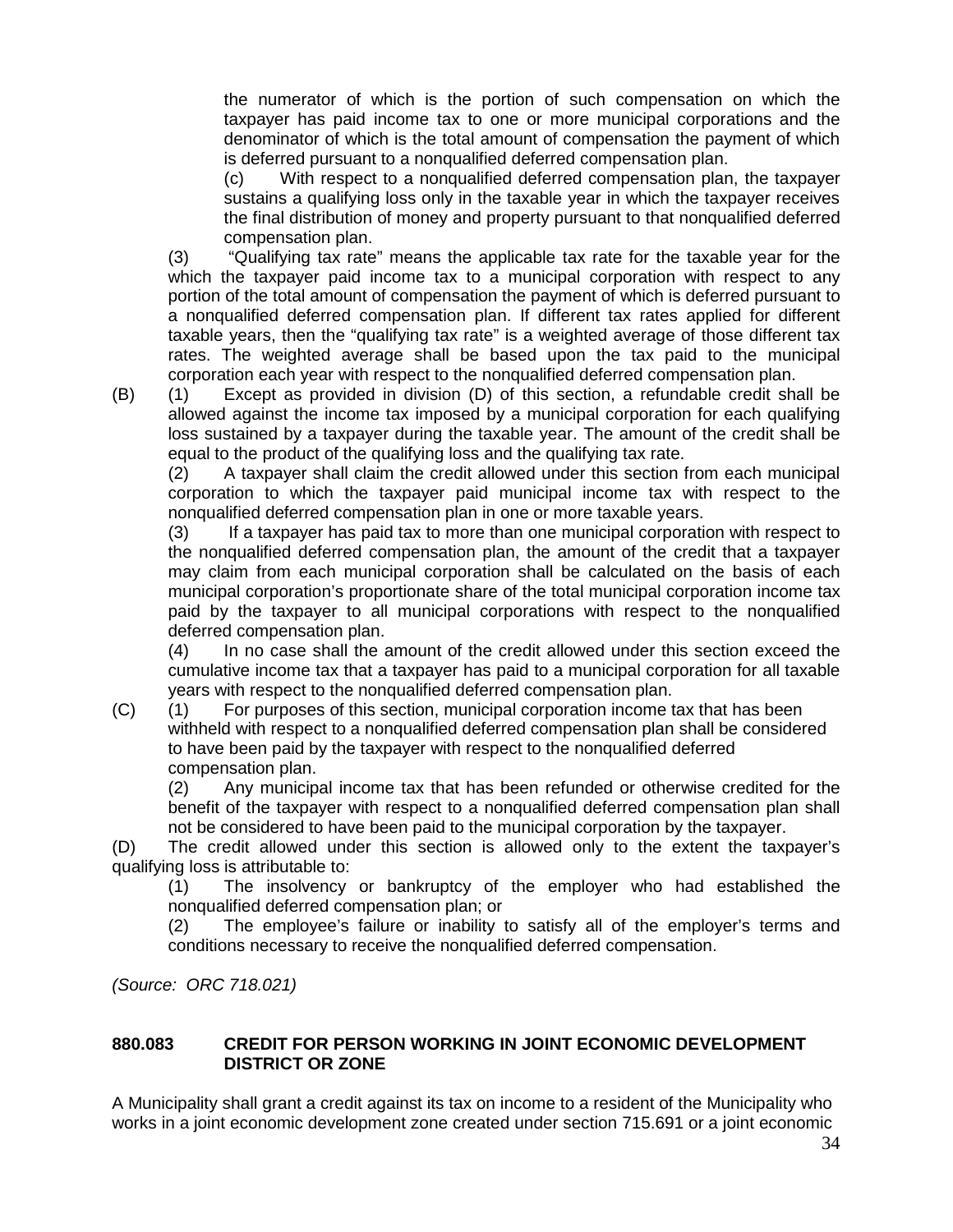the numerator of which is the portion of such compensation on which the taxpayer has paid income tax to one or more municipal corporations and the denominator of which is the total amount of compensation the payment of which is deferred pursuant to a nonqualified deferred compensation plan.

(c) With respect to a nonqualified deferred compensation plan, the taxpayer sustains a qualifying loss only in the taxable year in which the taxpayer receives the final distribution of money and property pursuant to that nonqualified deferred compensation plan.

(3) "Qualifying tax rate" means the applicable tax rate for the taxable year for the which the taxpayer paid income tax to a municipal corporation with respect to any portion of the total amount of compensation the payment of which is deferred pursuant to a nonqualified deferred compensation plan. If different tax rates applied for different taxable years, then the "qualifying tax rate" is a weighted average of those different tax rates. The weighted average shall be based upon the tax paid to the municipal corporation each year with respect to the nonqualified deferred compensation plan.

(B) (1) Except as provided in division (D) of this section, a refundable credit shall be allowed against the income tax imposed by a municipal corporation for each qualifying loss sustained by a taxpayer during the taxable year. The amount of the credit shall be equal to the product of the qualifying loss and the qualifying tax rate.

(2) A taxpayer shall claim the credit allowed under this section from each municipal corporation to which the taxpayer paid municipal income tax with respect to the nonqualified deferred compensation plan in one or more taxable years.

(3) If a taxpayer has paid tax to more than one municipal corporation with respect to the nonqualified deferred compensation plan, the amount of the credit that a taxpayer may claim from each municipal corporation shall be calculated on the basis of each municipal corporation's proportionate share of the total municipal corporation income tax paid by the taxpayer to all municipal corporations with respect to the nonqualified deferred compensation plan.

(4) In no case shall the amount of the credit allowed under this section exceed the cumulative income tax that a taxpayer has paid to a municipal corporation for all taxable years with respect to the nonqualified deferred compensation plan.

(C) (1) For purposes of this section, municipal corporation income tax that has been withheld with respect to a nonqualified deferred compensation plan shall be considered to have been paid by the taxpayer with respect to the nonqualified deferred compensation plan.

(2) Any municipal income tax that has been refunded or otherwise credited for the benefit of the taxpayer with respect to a nonqualified deferred compensation plan shall not be considered to have been paid to the municipal corporation by the taxpayer.

(D) The credit allowed under this section is allowed only to the extent the taxpayer's qualifying loss is attributable to:

(1) The insolvency or bankruptcy of the employer who had established the nonqualified deferred compensation plan; or

(2) The employee's failure or inability to satisfy all of the employer's terms and conditions necessary to receive the nonqualified deferred compensation.

*(Source: ORC 718.021)*

# **880.083 CREDIT FOR PERSON WORKING IN JOINT ECONOMIC DEVELOPMENT DISTRICT OR ZONE**

A Municipality shall grant a credit against its tax on income to a resident of the Municipality who works in a joint economic development zone created under section 715.691 or a joint economic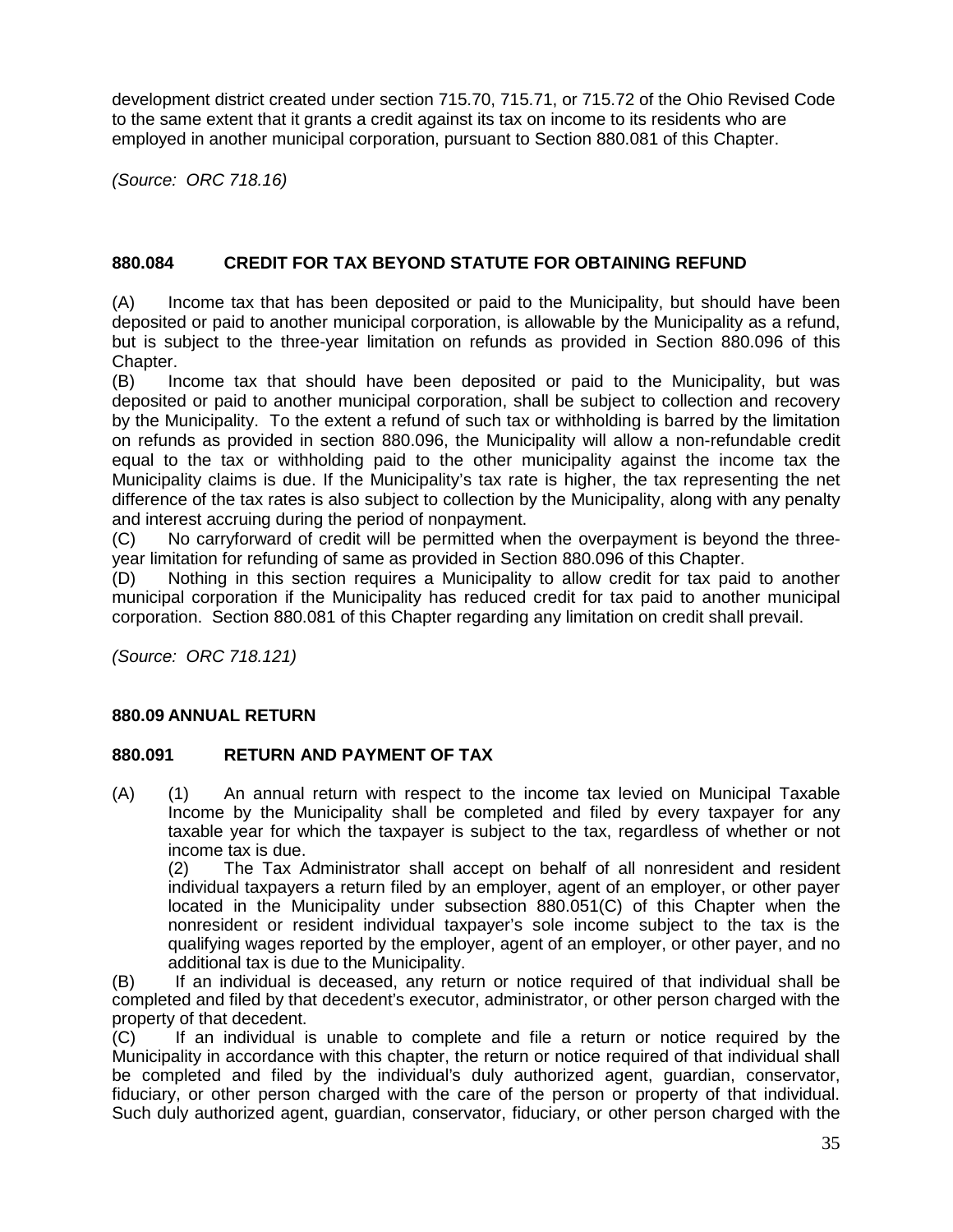development district created under section 715.70, 715.71, or 715.72 of the Ohio Revised Code to the same extent that it grants a credit against its tax on income to its residents who are employed in another municipal corporation, pursuant to Section 880.081 of this Chapter.

*(Source: ORC 718.16)*

# **880.084 CREDIT FOR TAX BEYOND STATUTE FOR OBTAINING REFUND**

(A) Income tax that has been deposited or paid to the Municipality, but should have been deposited or paid to another municipal corporation, is allowable by the Municipality as a refund, but is subject to the three-year limitation on refunds as provided in Section 880.096 of this Chapter.

(B) Income tax that should have been deposited or paid to the Municipality, but was deposited or paid to another municipal corporation, shall be subject to collection and recovery by the Municipality. To the extent a refund of such tax or withholding is barred by the limitation on refunds as provided in section 880.096, the Municipality will allow a non-refundable credit equal to the tax or withholding paid to the other municipality against the income tax the Municipality claims is due. If the Municipality's tax rate is higher, the tax representing the net difference of the tax rates is also subject to collection by the Municipality, along with any penalty and interest accruing during the period of nonpayment.

(C) No carryforward of credit will be permitted when the overpayment is beyond the three year limitation for refunding of same as provided in Section 880.096 of this Chapter.

(D) Nothing in this section requires a Municipality to allow credit for tax paid to another municipal corporation if the Municipality has reduced credit for tax paid to another municipal corporation. Section 880.081 of this Chapter regarding any limitation on credit shall prevail.

*(Source: ORC 718.121)*

#### **880.09 ANNUAL RETURN**

#### **880.091 RETURN AND PAYMENT OF TAX**

(A) (1) An annual return with respect to the income tax levied on Municipal Taxable Income by the Municipality shall be completed and filed by every taxpayer for any taxable year for which the taxpayer is subject to the tax, regardless of whether or not income tax is due.

(2) The Tax Administrator shall accept on behalf of all nonresident and resident individual taxpayers a return filed by an employer, agent of an employer, or other payer located in the Municipality under subsection 880.051(C) of this Chapter when the nonresident or resident individual taxpayer's sole income subject to the tax is the qualifying wages reported by the employer, agent of an employer, or other payer, and no additional tax is due to the Municipality.

(B) If an individual is deceased, any return or notice required of that individual shall be completed and filed by that decedent's executor, administrator, or other person charged with the property of that decedent.

(C) If an individual is unable to complete and file a return or notice required by the Municipality in accordance with this chapter, the return or notice required of that individual shall be completed and filed by the individual's duly authorized agent, guardian, conservator, fiduciary, or other person charged with the care of the person or property of that individual. Such duly authorized agent, guardian, conservator, fiduciary, or other person charged with the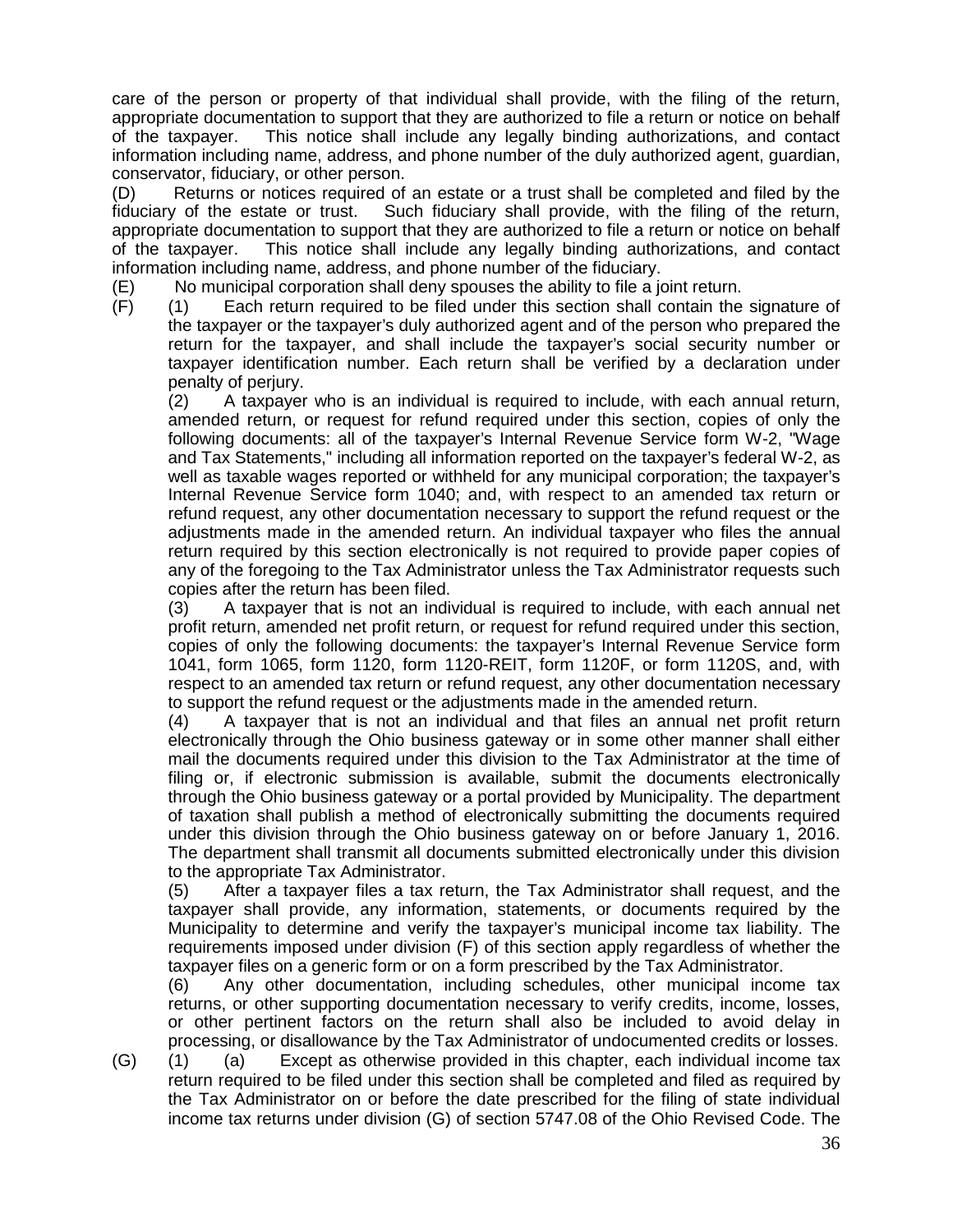care of the person or property of that individual shall provide, with the filing of the return, appropriate documentation to support that they are authorized to file a return or notice on behalf of the taxpayer. This notice shall include any legally binding authorizations, and contact information including name, address, and phone number of the duly authorized agent, guardian, conservator, fiduciary, or other person.

(D) Returns or notices required of an estate or a trust shall be completed and filed by the fiduciary of the estate or trust. Such fiduciary shall provide, with the filing of the return, appropriate documentation to support that they are authorized to file a return or notice on behalf<br>of the taxpayer. This notice shall include any legally binding authorizations, and contact This notice shall include any legally binding authorizations, and contact information including name, address, and phone number of the fiduciary.

(E) No municipal corporation shall deny spouses the ability to file a joint return.

(F) (1) Each return required to be filed under this section shall contain the signature of the taxpayer or the taxpayer's duly authorized agent and of the person who prepared the return for the taxpayer, and shall include the taxpayer's social security number or taxpayer identification number. Each return shall be verified by a declaration under penalty of perjury.

(2) A taxpayer who is an individual is required to include, with each annual return, amended return, or request for refund required under this section, copies of only the following documents: all of the taxpayer's Internal Revenue Service form W-2, "Wage and Tax Statements," including all information reported on the taxpayer's federal W-2, as well as taxable wages reported or withheld for any municipal corporation; the taxpayer's Internal Revenue Service form 1040; and, with respect to an amended tax return or refund request, any other documentation necessary to support the refund request or the adjustments made in the amended return. An individual taxpayer who files the annual return required by this section electronically is not required to provide paper copies of any of the foregoing to the Tax Administrator unless the Tax Administrator requests such copies after the return has been filed.

(3) A taxpayer that is not an individual is required to include, with each annual net profit return, amended net profit return, or request for refund required under this section, copies of only the following documents: the taxpayer's Internal Revenue Service form 1041, form 1065, form 1120, form 1120-REIT, form 1120F, or form 1120S, and, with respect to an amended tax return or refund request, any other documentation necessary to support the refund request or the adjustments made in the amended return.

(4) A taxpayer that is not an individual and that files an annual net profit return electronically through the Ohio business gateway or in some other manner shall either mail the documents required under this division to the Tax Administrator at the time of filing or, if electronic submission is available, submit the documents electronically through the Ohio business gateway or a portal provided by Municipality. The department of taxation shall publish a method of electronically submitting the documents required under this division through the Ohio business gateway on or before January 1, 2016. The department shall transmit all documents submitted electronically under this division to the appropriate Tax Administrator.

(5) After a taxpayer files a tax return, the Tax Administrator shall request, and the taxpayer shall provide, any information, statements, or documents required by the Municipality to determine and verify the taxpayer's municipal income tax liability. The requirements imposed under division (F) of this section apply regardless of whether the taxpayer files on a generic form or on a form prescribed by the Tax Administrator.

(6) Any other documentation, including schedules, other municipal income tax returns, or other supporting documentation necessary to verify credits, income, losses, or other pertinent factors on the return shall also be included to avoid delay in processing, or disallowance by the Tax Administrator of undocumented credits or losses.

(G) (1) (a) Except as otherwise provided in this chapter, each individual income tax return required to be filed under this section shall be completed and filed as required by the Tax Administrator on or before the date prescribed for the filing of state individual income tax returns under division (G) of section 5747.08 of the Ohio Revised Code. The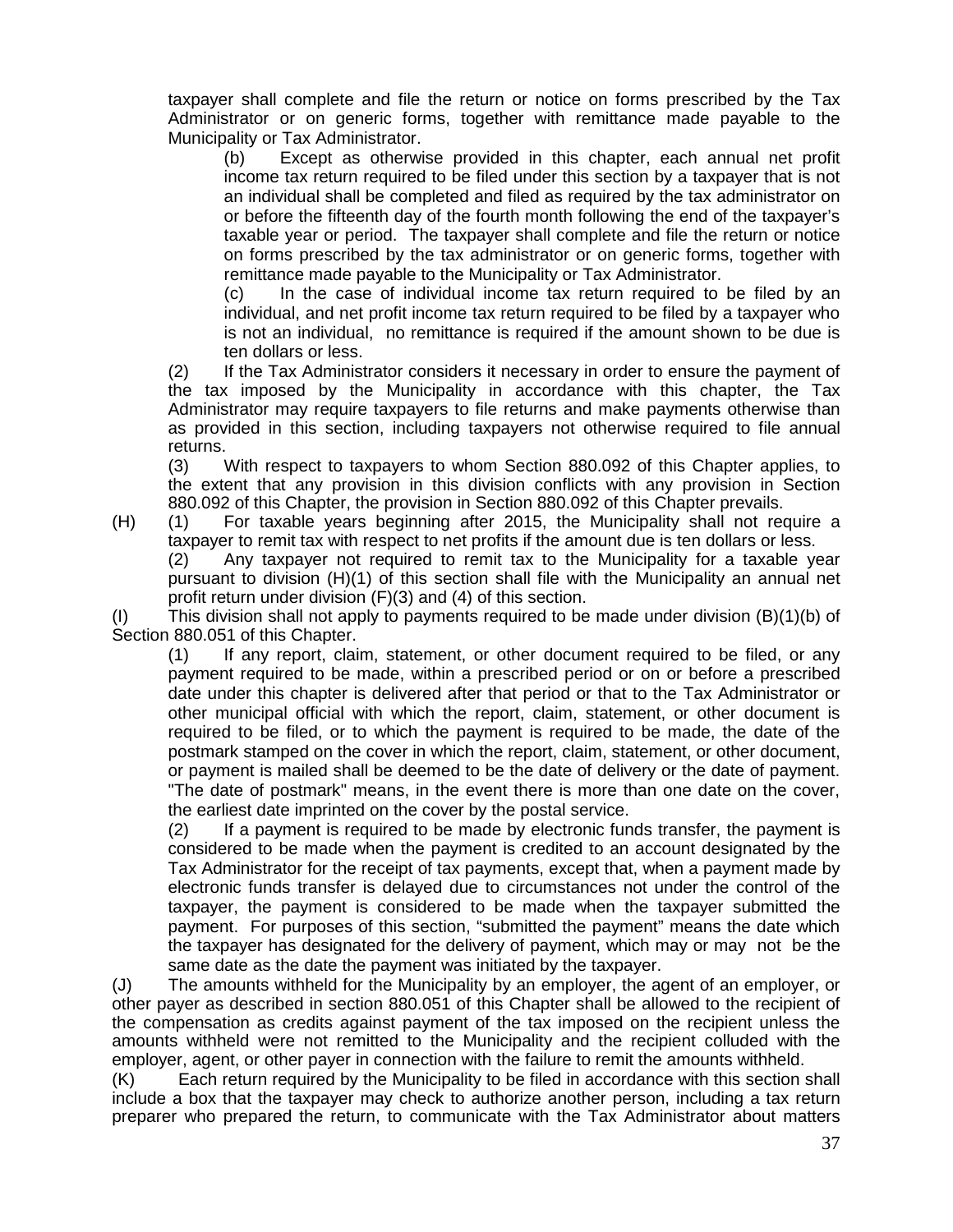taxpayer shall complete and file the return or notice on forms prescribed by the Tax Administrator or on generic forms, together with remittance made payable to the Municipality or Tax Administrator.

(b) Except as otherwise provided in this chapter, each annual net profit income tax return required to be filed under this section by a taxpayer that is not an individual shall be completed and filed as required by the tax administrator on or before the fifteenth day of the fourth month following the end of the taxpayer's taxable year or period. The taxpayer shall complete and file the return or notice on forms prescribed by the tax administrator or on generic forms, together with remittance made payable to the Municipality or Tax Administrator.

(c) In the case of individual income tax return required to be filed by an individual, and net profit income tax return required to be filed by a taxpayer who is not an individual, no remittance is required if the amount shown to be due is ten dollars or less.

(2) If the Tax Administrator considers it necessary in order to ensure the payment of the tax imposed by the Municipality in accordance with this chapter, the Tax Administrator may require taxpayers to file returns and make payments otherwise than as provided in this section, including taxpayers not otherwise required to file annual returns.

(3) With respect to taxpayers to whom Section 880.092 of this Chapter applies, to the extent that any provision in this division conflicts with any provision in Section 880.092 of this Chapter, the provision in Section 880.092 of this Chapter prevails.

(H) (1) For taxable years beginning after 2015, the Municipality shall not require a taxpayer to remit tax with respect to net profits if the amount due is ten dollars or less.

(2) Any taxpayer not required to remit tax to the Municipality for a taxable year pursuant to division (H)(1) of this section shall file with the Municipality an annual net profit return under division (F)(3) and (4) of this section.

(I) This division shall not apply to payments required to be made under division (B)(1)(b) of Section 880.051 of this Chapter.

(1) If any report, claim, statement, or other document required to be filed, or any payment required to be made, within a prescribed period or on or before a prescribed date under this chapter is delivered after that period or that to the Tax Administrator or other municipal official with which the report, claim, statement, or other document is required to be filed, or to which the payment is required to be made, the date of the postmark stamped on the cover in which the report, claim, statement, or other document, or payment is mailed shall be deemed to be the date of delivery or the date of payment. "The date of postmark" means, in the event there is more than one date on the cover, the earliest date imprinted on the cover by the postal service.

(2) If a payment is required to be made by electronic funds transfer, the payment is considered to be made when the payment is credited to an account designated by the Tax Administrator for the receipt of tax payments, except that, when a payment made by electronic funds transfer is delayed due to circumstances not under the control of the taxpayer, the payment is considered to be made when the taxpayer submitted the payment. For purposes of this section, "submitted the payment" means the date which the taxpayer has designated for the delivery of payment, which may or may not be the same date as the date the payment was initiated by the taxpayer.

(J) The amounts withheld for the Municipality by an employer, the agent of an employer, or other payer as described in section 880.051 of this Chapter shall be allowed to the recipient of the compensation as credits against payment of the tax imposed on the recipient unless the amounts withheld were not remitted to the Municipality and the recipient colluded with the employer, agent, or other payer in connection with the failure to remit the amounts withheld.

(K) Each return required by the Municipality to be filed in accordance with this section shall include a box that the taxpayer may check to authorize another person, including a tax return preparer who prepared the return, to communicate with the Tax Administrator about matters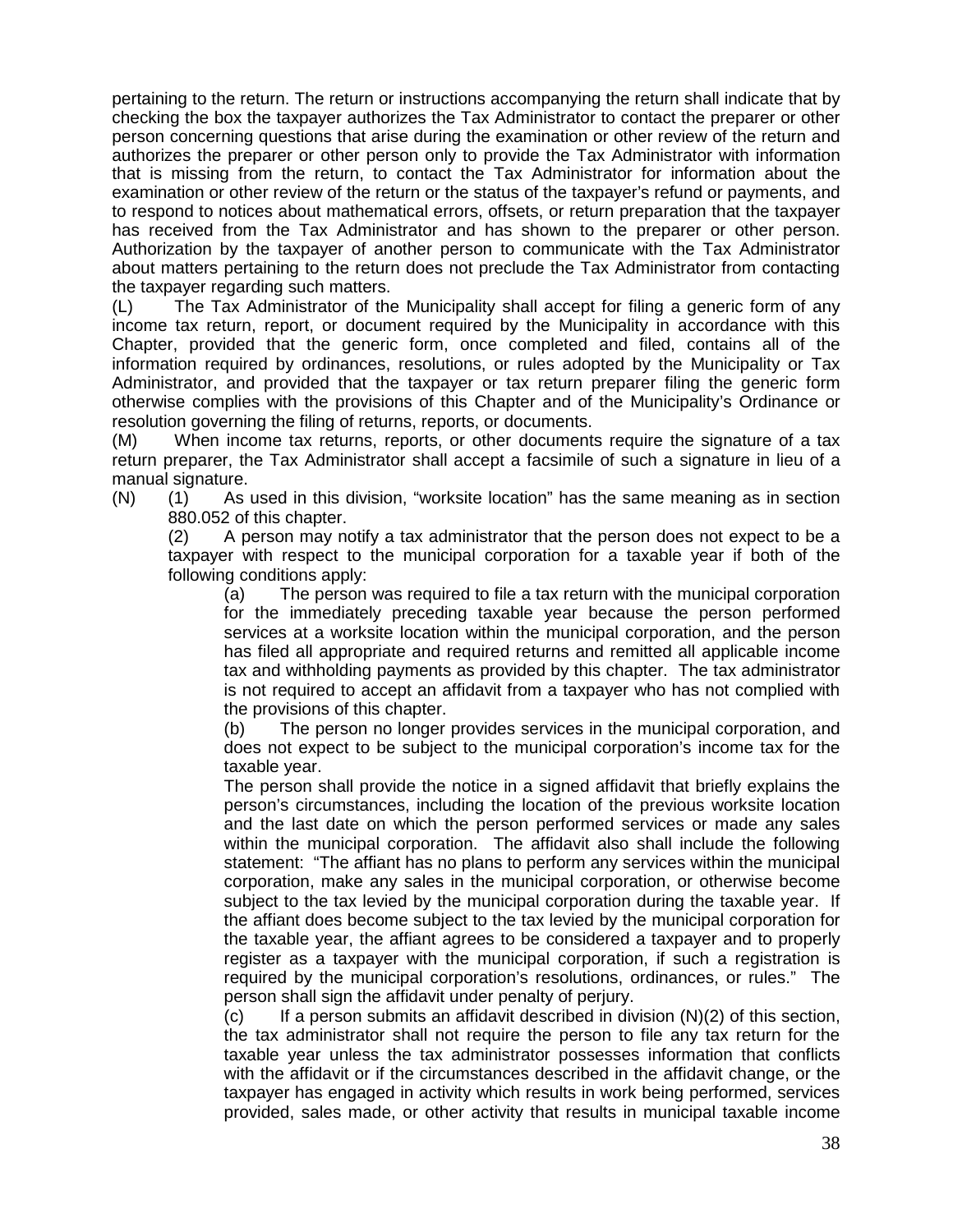pertaining to the return. The return or instructions accompanying the return shall indicate that by checking the box the taxpayer authorizes the Tax Administrator to contact the preparer or other person concerning questions that arise during the examination or other review of the return and authorizes the preparer or other person only to provide the Tax Administrator with information that is missing from the return, to contact the Tax Administrator for information about the examination or other review of the return or the status of the taxpayer's refund or payments, and to respond to notices about mathematical errors, offsets, or return preparation that the taxpayer has received from the Tax Administrator and has shown to the preparer or other person. Authorization by the taxpayer of another person to communicate with the Tax Administrator about matters pertaining to the return does not preclude the Tax Administrator from contacting the taxpayer regarding such matters.

(L) The Tax Administrator of the Municipality shall accept for filing a generic form of any income tax return, report, or document required by the Municipality in accordance with this Chapter, provided that the generic form, once completed and filed, contains all of the information required by ordinances, resolutions, or rules adopted by the Municipality or Tax Administrator, and provided that the taxpayer or tax return preparer filing the generic form otherwise complies with the provisions of this Chapter and of the Municipality's Ordinance or resolution governing the filing of returns, reports, or documents.

(M) When income tax returns, reports, or other documents require the signature of a tax return preparer, the Tax Administrator shall accept a facsimile of such a signature in lieu of a manual signature.

(N) (1) As used in this division, "worksite location" has the same meaning as in section

880.052 of this chapter.

(2) A person may notify a tax administrator that the person does not expect to be a taxpayer with respect to the municipal corporation for a taxable year if both of the following conditions apply:

(a) The person was required to file a tax return with the municipal corporation for the immediately preceding taxable year because the person performed services at a worksite location within the municipal corporation, and the person has filed all appropriate and required returns and remitted all applicable income tax and withholding payments as provided by this chapter. The tax administrator is not required to accept an affidavit from a taxpayer who has not complied with the provisions of this chapter.

(b) The person no longer provides services in the municipal corporation, and does not expect to be subject to the municipal corporation's income tax for the taxable year.

The person shall provide the notice in a signed affidavit that briefly explains the person's circumstances, including the location of the previous worksite location and the last date on which the person performed services or made any sales within the municipal corporation. The affidavit also shall include the following statement: "The affiant has no plans to perform any services within the municipal corporation, make any sales in the municipal corporation, or otherwise become subject to the tax levied by the municipal corporation during the taxable year. If the affiant does become subject to the tax levied by the municipal corporation for the taxable year, the affiant agrees to be considered a taxpayer and to properly register as a taxpayer with the municipal corporation, if such a registration is required by the municipal corporation's resolutions, ordinances, or rules." The person shall sign the affidavit under penalty of perjury.

 $(c)$  If a person submits an affidavit described in division  $(N)(2)$  of this section, the tax administrator shall not require the person to file any tax return for the taxable year unless the tax administrator possesses information that conflicts with the affidavit or if the circumstances described in the affidavit change, or the taxpayer has engaged in activity which results in work being performed, services provided, sales made, or other activity that results in municipal taxable income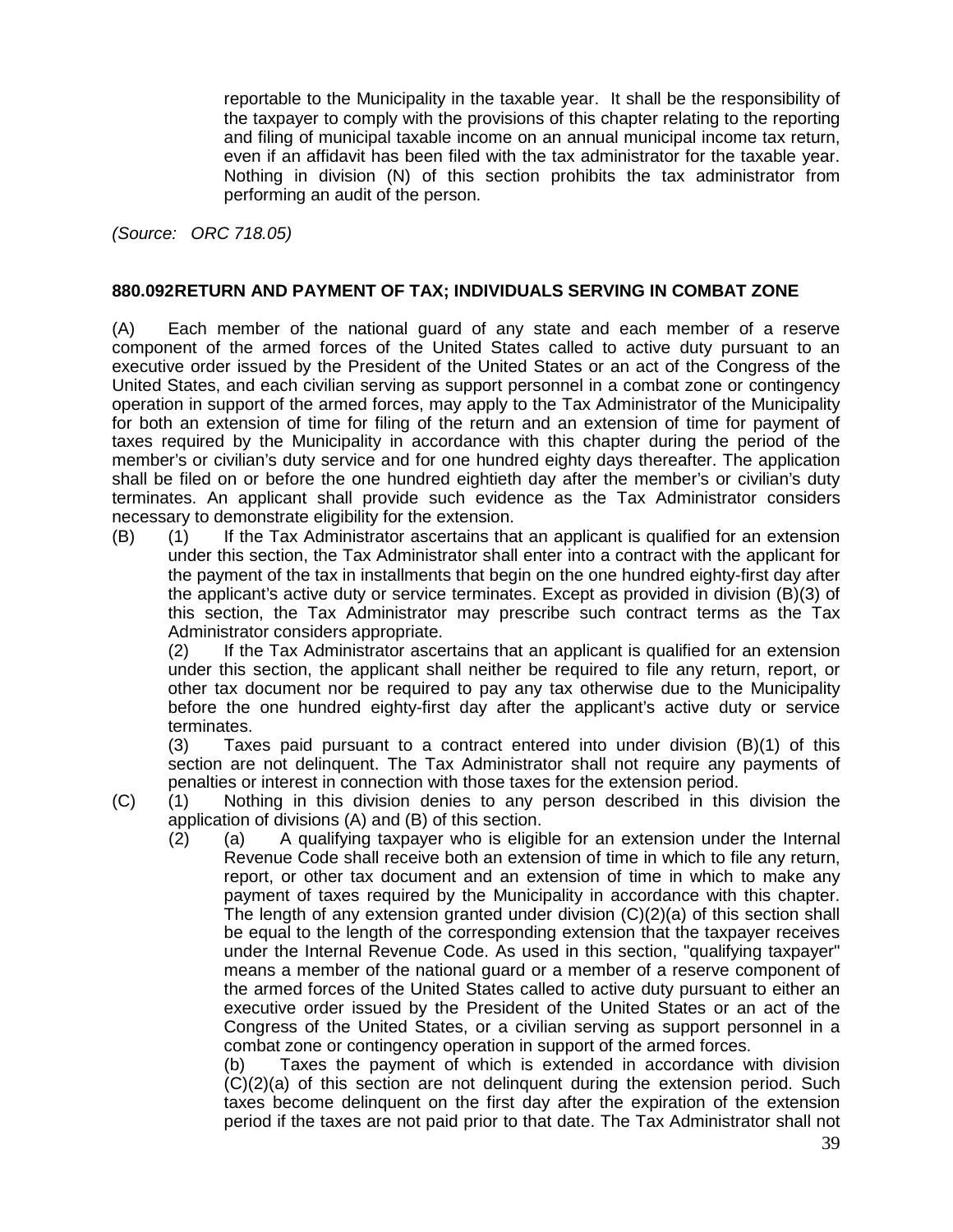reportable to the Municipality in the taxable year. It shall be the responsibility of the taxpayer to comply with the provisions of this chapter relating to the reporting and filing of municipal taxable income on an annual municipal income tax return, even if an affidavit has been filed with the tax administrator for the taxable year. Nothing in division (N) of this section prohibits the tax administrator from performing an audit of the person.

*(Source: ORC 718.05)*

#### **880.092RETURN AND PAYMENT OF TAX; INDIVIDUALS SERVING IN COMBAT ZONE**

(A) Each member of the national guard of any state and each member of a reserve component of the armed forces of the United States called to active duty pursuant to an executive order issued by the President of the United States or an act of the Congress of the United States, and each civilian serving as support personnel in a combat zone or contingency operation in support of the armed forces, may apply to the Tax Administrator of the Municipality for both an extension of time for filing of the return and an extension of time for payment of taxes required by the Municipality in accordance with this chapter during the period of the member's or civilian's duty service and for one hundred eighty days thereafter. The application shall be filed on or before the one hundred eightieth day after the member's or civilian's duty terminates. An applicant shall provide such evidence as the Tax Administrator considers necessary to demonstrate eligibility for the extension.

(B) (1) If the Tax Administrator ascertains that an applicant is qualified for an extension under this section, the Tax Administrator shall enter into a contract with the applicant for the payment of the tax in installments that begin on the one hundred eighty-first day after the applicant's active duty or service terminates. Except as provided in division (B)(3) of this section, the Tax Administrator may prescribe such contract terms as the Tax Administrator considers appropriate.

(2) If the Tax Administrator ascertains that an applicant is qualified for an extension under this section, the applicant shall neither be required to file any return, report, or other tax document nor be required to pay any tax otherwise due to the Municipality before the one hundred eighty-first day after the applicant's active duty or service terminates.

(3) Taxes paid pursuant to a contract entered into under division (B)(1) of this section are not delinquent. The Tax Administrator shall not require any payments of penalties or interest in connection with those taxes for the extension period.

- (C) (1) Nothing in this division denies to any person described in this division the application of divisions (A) and (B) of this section.
	- (2) (a) A qualifying taxpayer who is eligible for an extension under the Internal Revenue Code shall receive both an extension of time in which to file any return, report, or other tax document and an extension of time in which to make any payment of taxes required by the Municipality in accordance with this chapter. The length of any extension granted under division  $(C)(2)(a)$  of this section shall be equal to the length of the corresponding extension that the taxpayer receives under the Internal Revenue Code. As used in this section, "qualifying taxpayer" means a member of the national guard or a member of a reserve component of the armed forces of the United States called to active duty pursuant to either an executive order issued by the President of the United States or an act of the Congress of the United States, or a civilian serving as support personnel in a combat zone or contingency operation in support of the armed forces.

(b) Taxes the payment of which is extended in accordance with division (C)(2)(a) of this section are not delinquent during the extension period. Such taxes become delinquent on the first day after the expiration of the extension period if the taxes are not paid prior to that date. The Tax Administrator shall not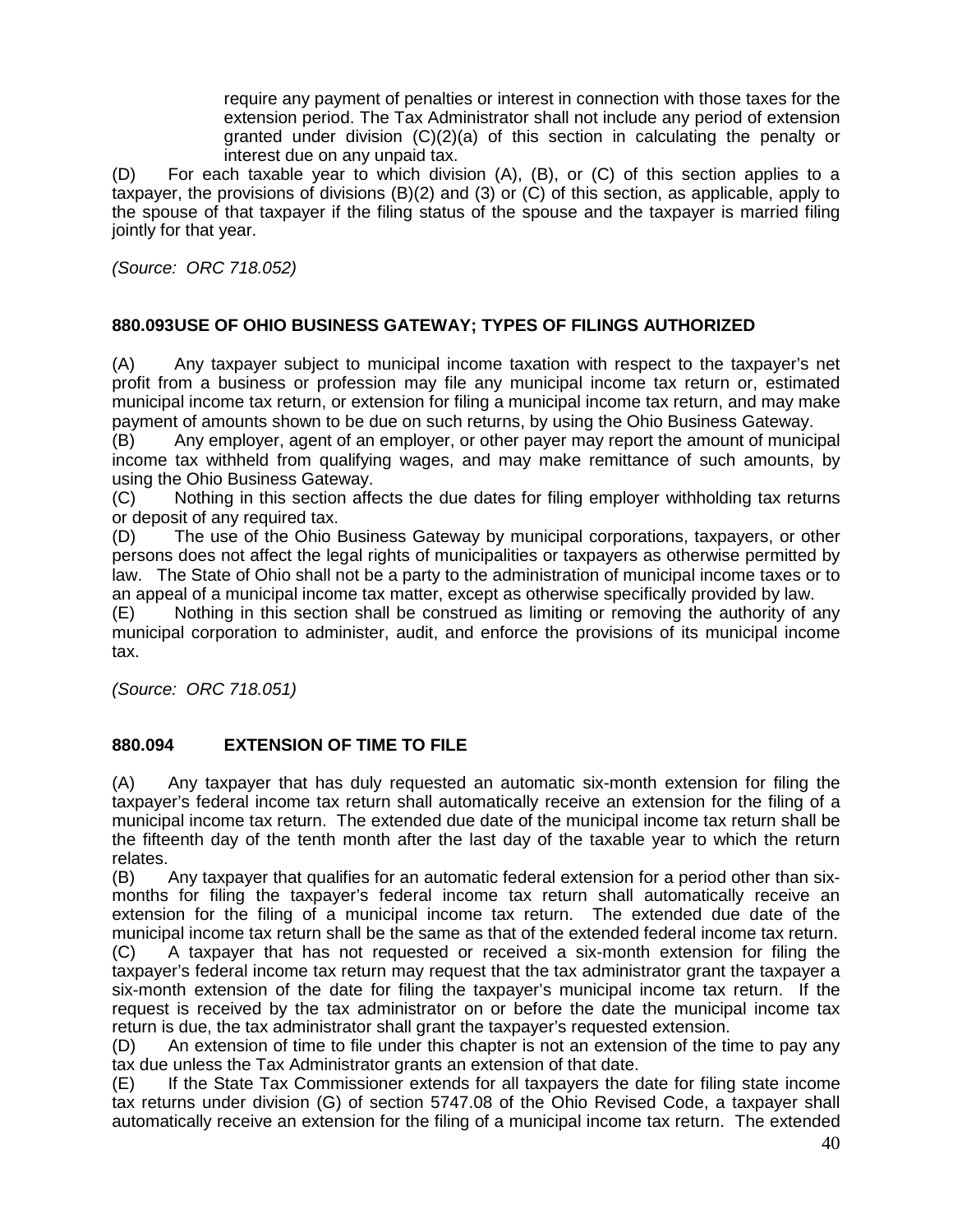require any payment of penalties or interest in connection with those taxes for the extension period. The Tax Administrator shall not include any period of extension granted under division (C)(2)(a) of this section in calculating the penalty or interest due on any unpaid tax.

(D) For each taxable year to which division (A), (B), or (C) of this section applies to a taxpayer, the provisions of divisions (B)(2) and (3) or (C) of this section, as applicable, apply to the spouse of that taxpayer if the filing status of the spouse and the taxpayer is married filing jointly for that year.

*(Source: ORC 718.052)*

# **880.093USE OF OHIO BUSINESS GATEWAY; TYPES OF FILINGS AUTHORIZED**

(A) Any taxpayer subject to municipal income taxation with respect to the taxpayer's net profit from a business or profession may file any municipal income tax return or, estimated municipal income tax return, or extension for filing a municipal income tax return, and may make payment of amounts shown to be due on such returns, by using the Ohio Business Gateway.

(B) Any employer, agent of an employer, or other payer may report the amount of municipal income tax withheld from qualifying wages, and may make remittance of such amounts, by using the Ohio Business Gateway.

(C) Nothing in this section affects the due dates for filing employer withholding tax returns or deposit of any required tax.

(D) The use of the Ohio Business Gateway by municipal corporations, taxpayers, or other persons does not affect the legal rights of municipalities or taxpayers as otherwise permitted by law. The State of Ohio shall not be a party to the administration of municipal income taxes or to an appeal of a municipal income tax matter, except as otherwise specifically provided by law.

(E) Nothing in this section shall be construed as limiting or removing the authority of any municipal corporation to administer, audit, and enforce the provisions of its municipal income tax.

*(Source: ORC 718.051)*

# **880.094 EXTENSION OF TIME TO FILE**

(A) Any taxpayer that has duly requested an automatic six-month extension for filing the taxpayer's federal income tax return shall automatically receive an extension for the filing of a municipal income tax return. The extended due date of the municipal income tax return shall be the fifteenth day of the tenth month after the last day of the taxable year to which the return relates.

(B) Any taxpayer that qualifies for an automatic federal extension for a period other than six months for filing the taxpayer's federal income tax return shall automatically receive an extension for the filing of a municipal income tax return. The extended due date of the municipal income tax return shall be the same as that of the extended federal income tax return.

(C) A taxpayer that has not requested or received a six-month extension for filing the taxpayer's federal income tax return may request that the tax administrator grant the taxpayer a six-month extension of the date for filing the taxpayer's municipal income tax return. If the request is received by the tax administrator on or before the date the municipal income tax return is due, the tax administrator shall grant the taxpayer's requested extension.

(D) An extension of time to file under this chapter is not an extension of the time to pay any tax due unless the Tax Administrator grants an extension of that date.

(E) If the State Tax Commissioner extends for all taxpayers the date for filing state income tax returns under division (G) of section 5747.08 of the Ohio Revised Code, a taxpayer shall automatically receive an extension for the filing of a municipal income tax return. The extended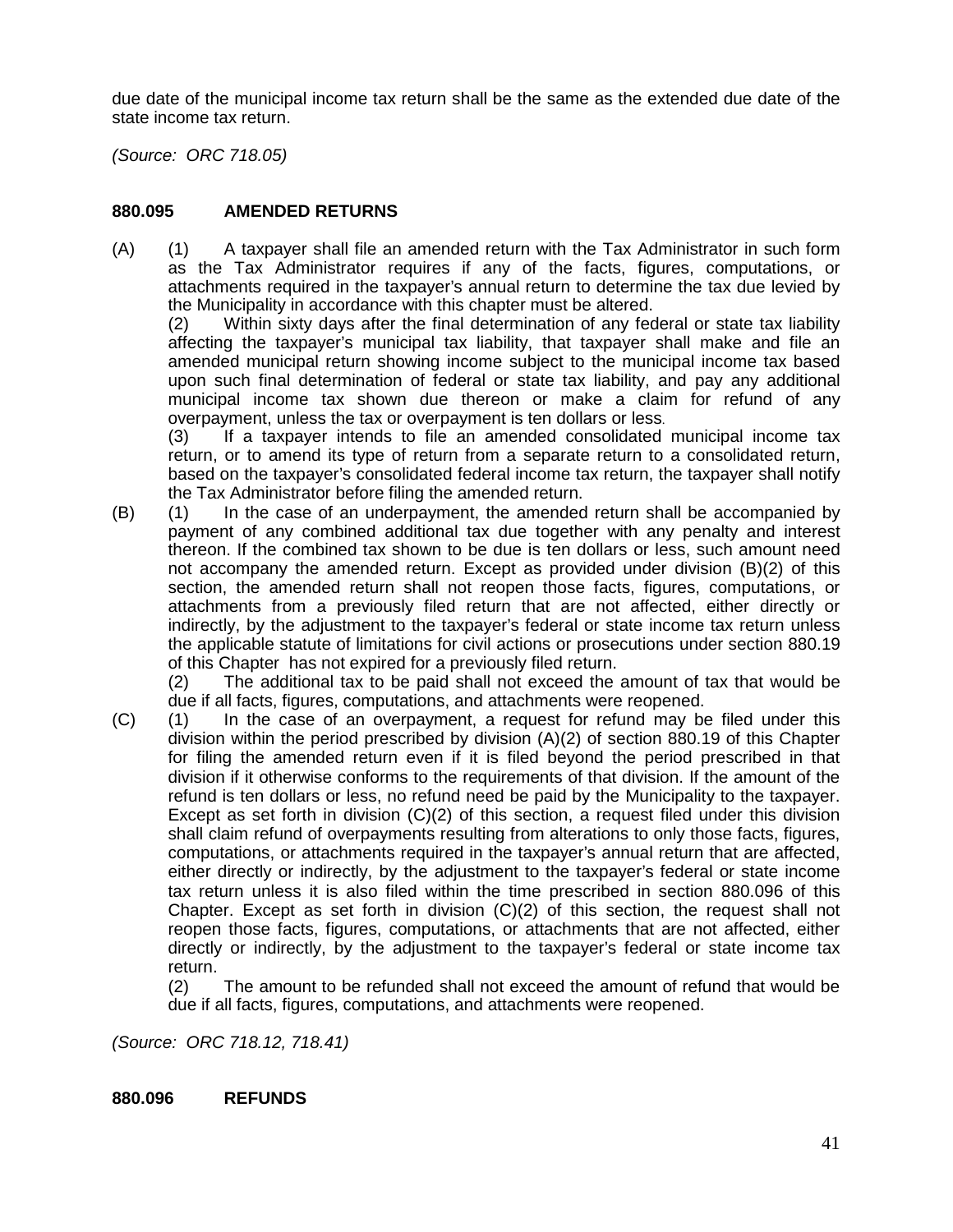due date of the municipal income tax return shall be the same as the extended due date of the state income tax return.

*(Source: ORC 718.05)*

# **880.095 AMENDED RETURNS**

(A) (1) A taxpayer shall file an amended return with the Tax Administrator in such form as the Tax Administrator requires if any of the facts, figures, computations, or attachments required in the taxpayer's annual return to determine the tax due levied by the Municipality in accordance with this chapter must be altered.

(2) Within sixty days after the final determination of any federal or state tax liability affecting the taxpayer's municipal tax liability, that taxpayer shall make and file an amended municipal return showing income subject to the municipal income tax based upon such final determination of federal or state tax liability, and pay any additional municipal income tax shown due thereon or make a claim for refund of any overpayment, unless the tax or overpayment is ten dollars or less.

(3) If a taxpayer intends to file an amended consolidated municipal income tax return, or to amend its type of return from a separate return to a consolidated return, based on the taxpayer's consolidated federal income tax return, the taxpayer shall notify the Tax Administrator before filing the amended return.

(B) (1) In the case of an underpayment, the amended return shall be accompanied by payment of any combined additional tax due together with any penalty and interest thereon. If the combined tax shown to be due is ten dollars or less, such amount need not accompany the amended return. Except as provided under division (B)(2) of this section, the amended return shall not reopen those facts, figures, computations, or attachments from a previously filed return that are not affected, either directly or indirectly, by the adjustment to the taxpayer's federal or state income tax return unless the applicable statute of limitations for civil actions or prosecutions under section 880.19 of this Chapter has not expired for a previously filed return.

(2) The additional tax to be paid shall not exceed the amount of tax that would be due if all facts, figures, computations, and attachments were reopened.

(C) (1) In the case of an overpayment, a request for refund may be filed under this division within the period prescribed by division (A)(2) of section 880.19 of this Chapter for filing the amended return even if it is filed beyond the period prescribed in that division if it otherwise conforms to the requirements of that division. If the amount of the refund is ten dollars or less, no refund need be paid by the Municipality to the taxpayer. Except as set forth in division (C)(2) of this section, a request filed under this division shall claim refund of overpayments resulting from alterations to only those facts, figures, computations, or attachments required in the taxpayer's annual return that are affected, either directly or indirectly, by the adjustment to the taxpayer's federal or state income tax return unless it is also filed within the time prescribed in section 880.096 of this Chapter. Except as set forth in division  $(C)(2)$  of this section, the request shall not reopen those facts, figures, computations, or attachments that are not affected, either directly or indirectly, by the adjustment to the taxpayer's federal or state income tax return.

(2) The amount to be refunded shall not exceed the amount of refund that would be due if all facts, figures, computations, and attachments were reopened.

*(Source: ORC 718.12, 718.41)*

#### **880.096 REFUNDS**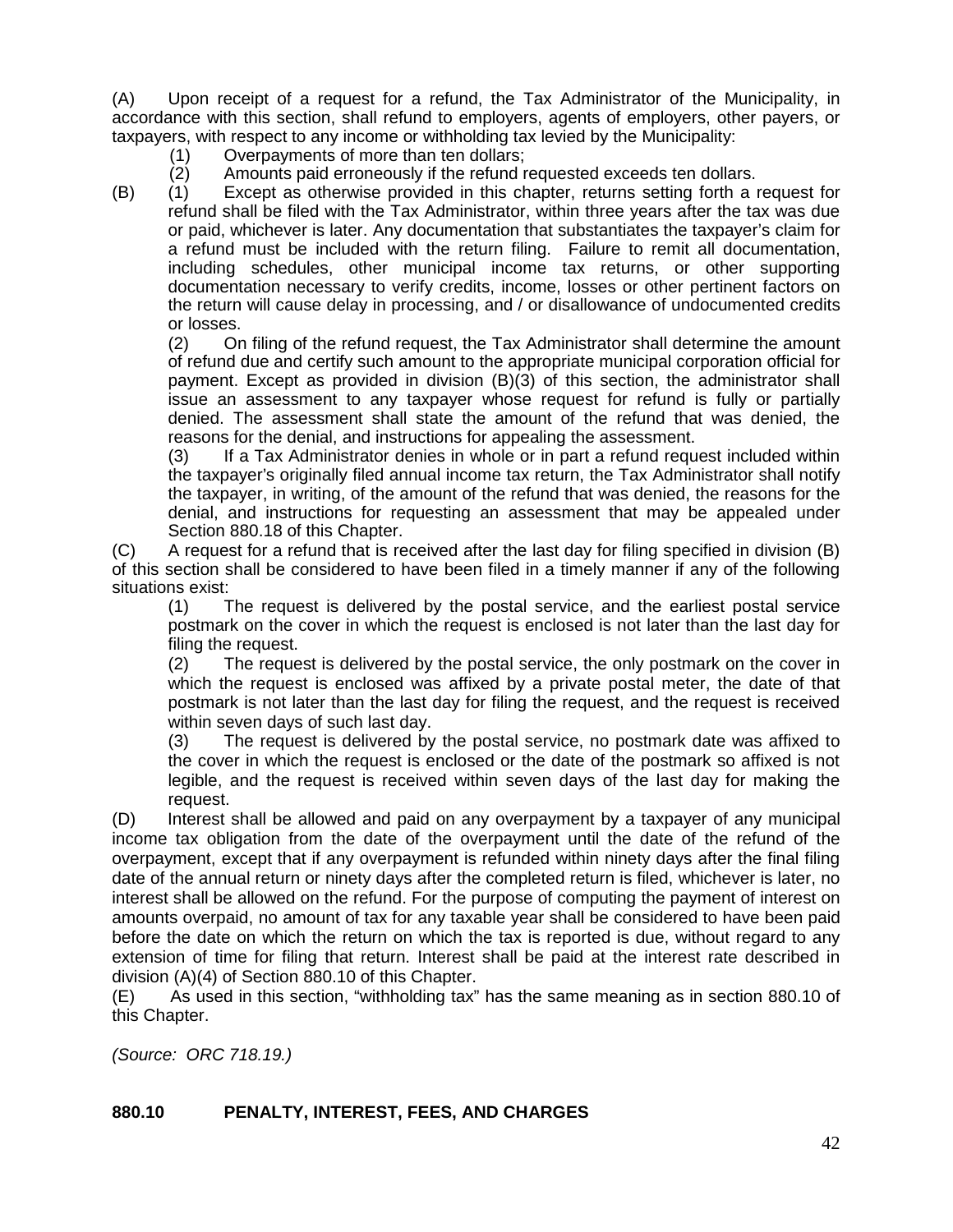(A) Upon receipt of a request for a refund, the Tax Administrator of the Municipality, in accordance with this section, shall refund to employers, agents of employers, other payers, or taxpayers, with respect to any income or withholding tax levied by the Municipality:

- (1) Overpayments of more than ten dollars;<br>(2) Amounts paid erroneously if the refund r
- (2) Amounts paid erroneously if the refund requested exceeds ten dollars.<br>(1) Except as otherwise provided in this chapter, returns setting forth a r

(B) (1) Except as otherwise provided in this chapter, returns setting forth a request for refund shall be filed with the Tax Administrator, within three years after the tax was due or paid, whichever is later. Any documentation that substantiates the taxpayer's claim for a refund must be included with the return filing. Failure to remit all documentation, including schedules, other municipal income tax returns, or other supporting documentation necessary to verify credits, income, losses or other pertinent factors on the return will cause delay in processing, and / or disallowance of undocumented credits or losses.

(2) On filing of the refund request, the Tax Administrator shall determine the amount of refund due and certify such amount to the appropriate municipal corporation official for payment. Except as provided in division (B)(3) of this section, the administrator shall issue an assessment to any taxpayer whose request for refund is fully or partially denied. The assessment shall state the amount of the refund that was denied, the reasons for the denial, and instructions for appealing the assessment.

(3) If a Tax Administrator denies in whole or in part a refund request included within the taxpayer's originally filed annual income tax return, the Tax Administrator shall notify the taxpayer, in writing, of the amount of the refund that was denied, the reasons for the denial, and instructions for requesting an assessment that may be appealed under Section 880.18 of this Chapter.

(C) A request for a refund that is received after the last day for filing specified in division (B) of this section shall be considered to have been filed in a timely manner if any of the following situations exist:

(1) The request is delivered by the postal service, and the earliest postal service postmark on the cover in which the request is enclosed is not later than the last day for filing the request.

(2) The request is delivered by the postal service, the only postmark on the cover in which the request is enclosed was affixed by a private postal meter, the date of that postmark is not later than the last day for filing the request, and the request is received within seven days of such last day.

(3) The request is delivered by the postal service, no postmark date was affixed to the cover in which the request is enclosed or the date of the postmark so affixed is not legible, and the request is received within seven days of the last day for making the request.

(D) Interest shall be allowed and paid on any overpayment by a taxpayer of any municipal income tax obligation from the date of the overpayment until the date of the refund of the overpayment, except that if any overpayment is refunded within ninety days after the final filing date of the annual return or ninety days after the completed return is filed, whichever is later, no interest shall be allowed on the refund. For the purpose of computing the payment of interest on amounts overpaid, no amount of tax for any taxable year shall be considered to have been paid before the date on which the return on which the tax is reported is due, without regard to any extension of time for filing that return. Interest shall be paid at the interest rate described in division (A)(4) of Section 880.10 of this Chapter.

(E) As used in this section, "withholding tax" has the same meaning as in section 880.10 of this Chapter.

*(Source: ORC 718.19.)*

# **880.10 PENALTY, INTEREST, FEES, AND CHARGES**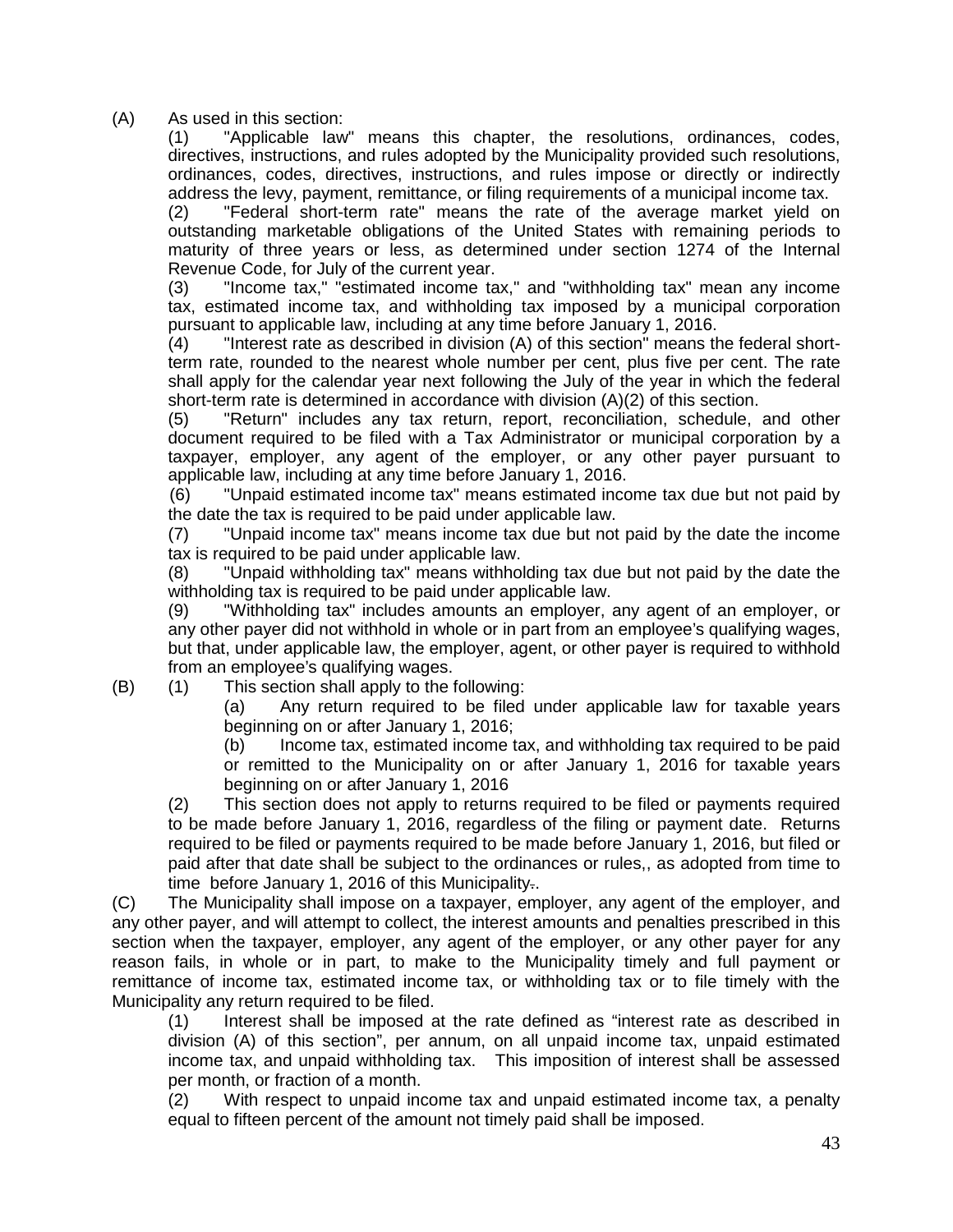(A) As used in this section:

(1) "Applicable law" means this chapter, the resolutions, ordinances, codes, directives, instructions, and rules adopted by the Municipality provided such resolutions, ordinances, codes, directives, instructions, and rules impose or directly or indirectly address the levy, payment, remittance, or filing requirements of a municipal income tax.

(2) "Federal short-term rate" means the rate of the average market yield on outstanding marketable obligations of the United States with remaining periods to maturity of three years or less, as determined under section 1274 of the Internal Revenue Code, for July of the current year.

(3) "Income tax," "estimated income tax," and "withholding tax" mean any income tax, estimated income tax, and withholding tax imposed by a municipal corporation pursuant to applicable law, including at any time before January 1, 2016.

(4) "Interest rate as described in division (A) of this section" means the federal shortterm rate, rounded to the nearest whole number per cent, plus five per cent. The rate shall apply for the calendar year next following the July of the year in which the federal short-term rate is determined in accordance with division (A)(2) of this section.

(5) "Return" includes any tax return, report, reconciliation, schedule, and other document required to be filed with a Tax Administrator or municipal corporation by a taxpayer, employer, any agent of the employer, or any other payer pursuant to applicable law, including at any time before January 1, 2016.

(6) "Unpaid estimated income tax" means estimated income tax due but not paid by the date the tax is required to be paid under applicable law.

(7) "Unpaid income tax" means income tax due but not paid by the date the income tax is required to be paid under applicable law.

(8) "Unpaid withholding tax" means withholding tax due but not paid by the date the withholding tax is required to be paid under applicable law.

(9) "Withholding tax" includes amounts an employer, any agent of an employer, or any other payer did not withhold in whole or in part from an employee's qualifying wages, but that, under applicable law, the employer, agent, or other payer is required to withhold from an employee's qualifying wages.

(B) (1) This section shall apply to the following:

(a) Any return required to be filed under applicable law for taxable years beginning on or after January 1, 2016;

(b) Income tax, estimated income tax, and withholding tax required to be paid or remitted to the Municipality on or after January 1, 2016 for taxable years beginning on or after January 1, 2016

(2) This section does not apply to returns required to be filed or payments required to be made before January 1, 2016, regardless of the filing or payment date. Returns required to be filed or payments required to be made before January 1, 2016, but filed or paid after that date shall be subject to the ordinances or rules,, as adopted from time to time before January 1, 2016 of this Municipality..

(C) The Municipality shall impose on a taxpayer, employer, any agent of the employer, and any other payer, and will attempt to collect, the interest amounts and penalties prescribed in this section when the taxpayer, employer, any agent of the employer, or any other payer for any reason fails, in whole or in part, to make to the Municipality timely and full payment or remittance of income tax, estimated income tax, or withholding tax or to file timely with the Municipality any return required to be filed.

(1) Interest shall be imposed at the rate defined as "interest rate as described in division (A) of this section", per annum, on all unpaid income tax, unpaid estimated income tax, and unpaid withholding tax. This imposition of interest shall be assessed per month, or fraction of a month.

(2) With respect to unpaid income tax and unpaid estimated income tax, a penalty equal to fifteen percent of the amount not timely paid shall be imposed.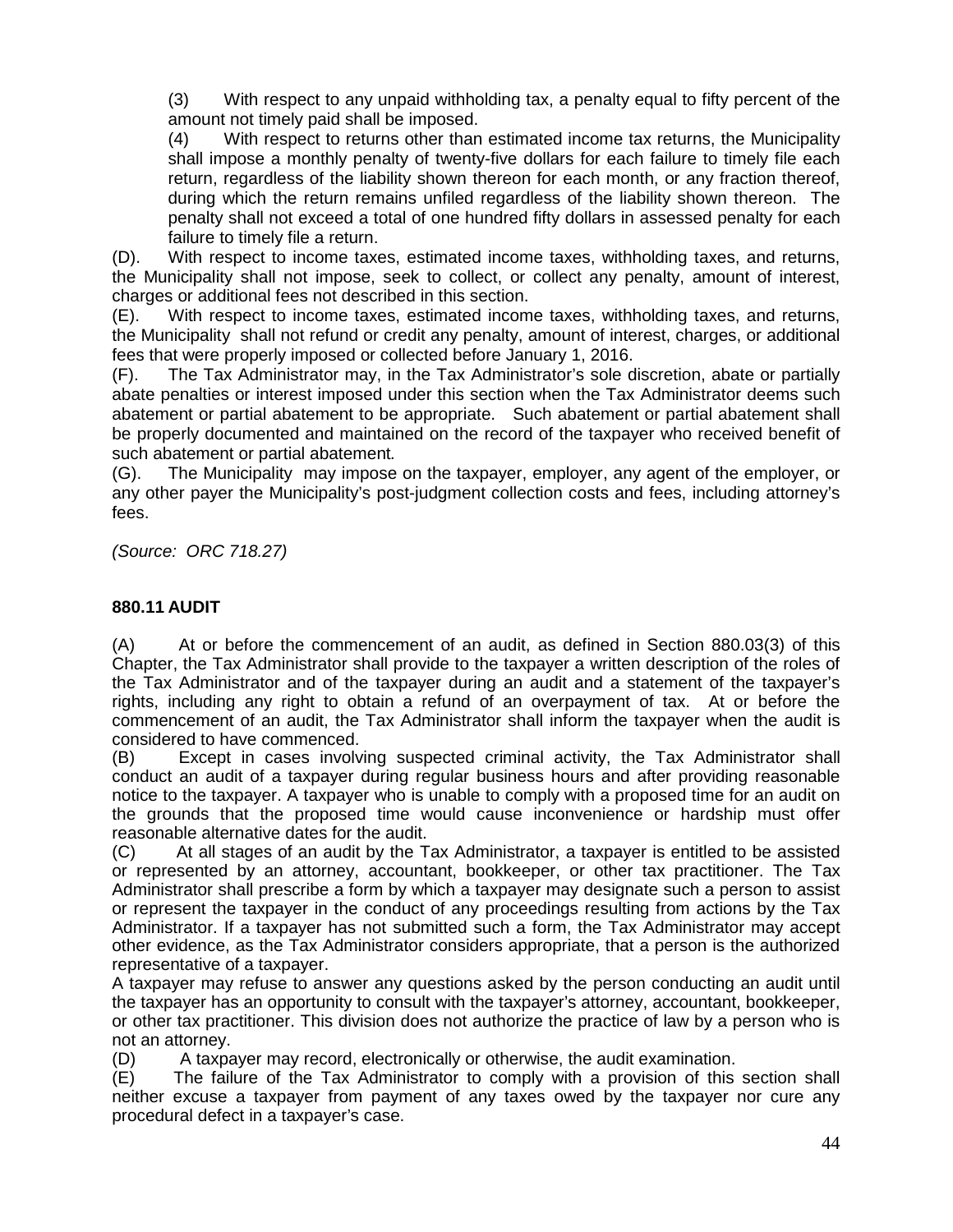(3) With respect to any unpaid withholding tax, a penalty equal to fifty percent of the amount not timely paid shall be imposed.

(4) With respect to returns other than estimated income tax returns, the Municipality shall impose a monthly penalty of twenty-five dollars for each failure to timely file each return, regardless of the liability shown thereon for each month, or any fraction thereof, during which the return remains unfiled regardless of the liability shown thereon. The penalty shall not exceed a total of one hundred fifty dollars in assessed penalty for each failure to timely file a return.

(D). With respect to income taxes, estimated income taxes, withholding taxes, and returns, the Municipality shall not impose, seek to collect, or collect any penalty, amount of interest, charges or additional fees not described in this section.

(E). With respect to income taxes, estimated income taxes, withholding taxes, and returns, the Municipality shall not refund or credit any penalty, amount of interest, charges, or additional fees that were properly imposed or collected before January 1, 2016.

(F). The Tax Administrator may, in the Tax Administrator's sole discretion, abate or partially abate penalties or interest imposed under this section when the Tax Administrator deems such abatement or partial abatement to be appropriate. Such abatement or partial abatement shall be properly documented and maintained on the record of the taxpayer who received benefit of such abatement or partial abatement*.*

(G). The Municipality may impose on the taxpayer, employer, any agent of the employer, or any other payer the Municipality's post-judgment collection costs and fees, including attorney's fees.

*(Source: ORC 718.27)*

# **880.11 AUDIT**

(A) At or before the commencement of an audit, as defined in Section 880.03(3) of this Chapter, the Tax Administrator shall provide to the taxpayer a written description of the roles of the Tax Administrator and of the taxpayer during an audit and a statement of the taxpayer's rights, including any right to obtain a refund of an overpayment of tax. At or before the commencement of an audit, the Tax Administrator shall inform the taxpayer when the audit is considered to have commenced.

(B) Except in cases involving suspected criminal activity, the Tax Administrator shall conduct an audit of a taxpayer during regular business hours and after providing reasonable notice to the taxpayer. A taxpayer who is unable to comply with a proposed time for an audit on the grounds that the proposed time would cause inconvenience or hardship must offer reasonable alternative dates for the audit.

(C) At all stages of an audit by the Tax Administrator, a taxpayer is entitled to be assisted or represented by an attorney, accountant, bookkeeper, or other tax practitioner. The Tax Administrator shall prescribe a form by which a taxpayer may designate such a person to assist or represent the taxpayer in the conduct of any proceedings resulting from actions by the Tax Administrator. If a taxpayer has not submitted such a form, the Tax Administrator may accept other evidence, as the Tax Administrator considers appropriate, that a person is the authorized representative of a taxpayer.

A taxpayer may refuse to answer any questions asked by the person conducting an audit until the taxpayer has an opportunity to consult with the taxpayer's attorney, accountant, bookkeeper, or other tax practitioner. This division does not authorize the practice of law by a person who is not an attorney.

(D) A taxpayer may record, electronically or otherwise, the audit examination.

(E) The failure of the Tax Administrator to comply with a provision of this section shall neither excuse a taxpayer from payment of any taxes owed by the taxpayer nor cure any procedural defect in a taxpayer's case.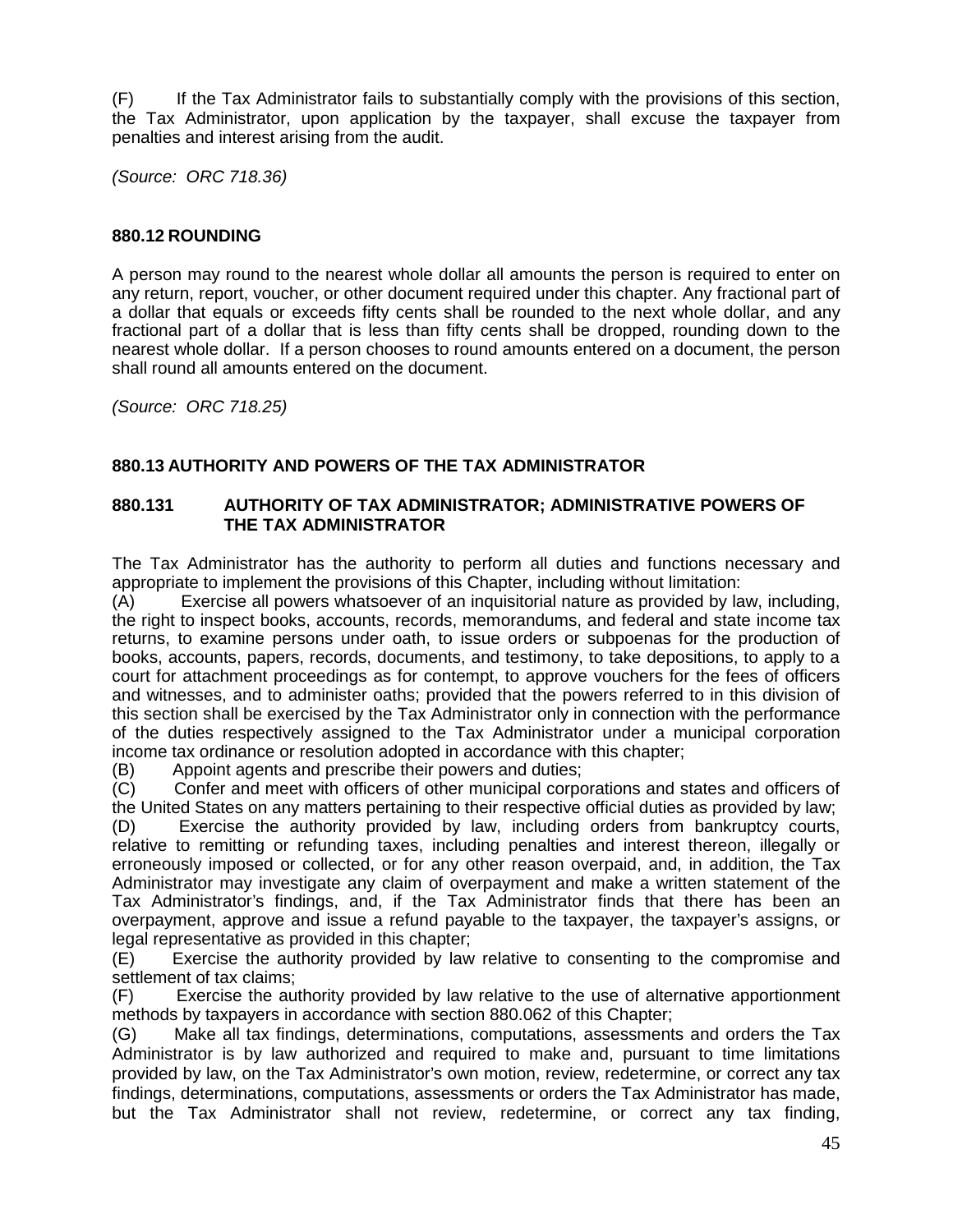(F) If the Tax Administrator fails to substantially comply with the provisions of this section, the Tax Administrator, upon application by the taxpayer, shall excuse the taxpayer from penalties and interest arising from the audit.

*(Source: ORC 718.36)*

# **880.12 ROUNDING**

A person may round to the nearest whole dollar all amounts the person is required to enter on any return, report, voucher, or other document required under this chapter. Any fractional part of a dollar that equals or exceeds fifty cents shall be rounded to the next whole dollar, and any fractional part of a dollar that is less than fifty cents shall be dropped, rounding down to the nearest whole dollar. If a person chooses to round amounts entered on a document, the person shall round all amounts entered on the document.

*(Source: ORC 718.25)*

# **880.13 AUTHORITY AND POWERS OF THE TAX ADMINISTRATOR**

#### **880.131 AUTHORITY OF TAX ADMINISTRATOR; ADMINISTRATIVE POWERS OF THE TAX ADMINISTRATOR**

The Tax Administrator has the authority to perform all duties and functions necessary and appropriate to implement the provisions of this Chapter, including without limitation:

(A) Exercise all powers whatsoever of an inquisitorial nature as provided by law, including, the right to inspect books, accounts, records, memorandums, and federal and state income tax returns, to examine persons under oath, to issue orders or subpoenas for the production of books, accounts, papers, records, documents, and testimony, to take depositions, to apply to a court for attachment proceedings as for contempt, to approve vouchers for the fees of officers and witnesses, and to administer oaths; provided that the powers referred to in this division of this section shall be exercised by the Tax Administrator only in connection with the performance of the duties respectively assigned to the Tax Administrator under a municipal corporation income tax ordinance or resolution adopted in accordance with this chapter;

(B) Appoint agents and prescribe their powers and duties;<br>(C) Confer and meet with officers of other municipal corpo

Confer and meet with officers of other municipal corporations and states and officers of the United States on any matters pertaining to their respective official duties as provided by law;

(D) Exercise the authority provided by law, including orders from bankruptcy courts, relative to remitting or refunding taxes, including penalties and interest thereon, illegally or erroneously imposed or collected, or for any other reason overpaid, and, in addition, the Tax Administrator may investigate any claim of overpayment and make a written statement of the Tax Administrator's findings, and, if the Tax Administrator finds that there has been an overpayment, approve and issue a refund payable to the taxpayer, the taxpayer's assigns, or legal representative as provided in this chapter;

(E) Exercise the authority provided by law relative to consenting to the compromise and settlement of tax claims;

(F) Exercise the authority provided by law relative to the use of alternative apportionment methods by taxpayers in accordance with section 880.062 of this Chapter;

(G) Make all tax findings, determinations, computations, assessments and orders the Tax Administrator is by law authorized and required to make and, pursuant to time limitations provided by law, on the Tax Administrator's own motion, review, redetermine, or correct any tax findings, determinations, computations, assessments or orders the Tax Administrator has made, but the Tax Administrator shall not review, redetermine, or correct any tax finding,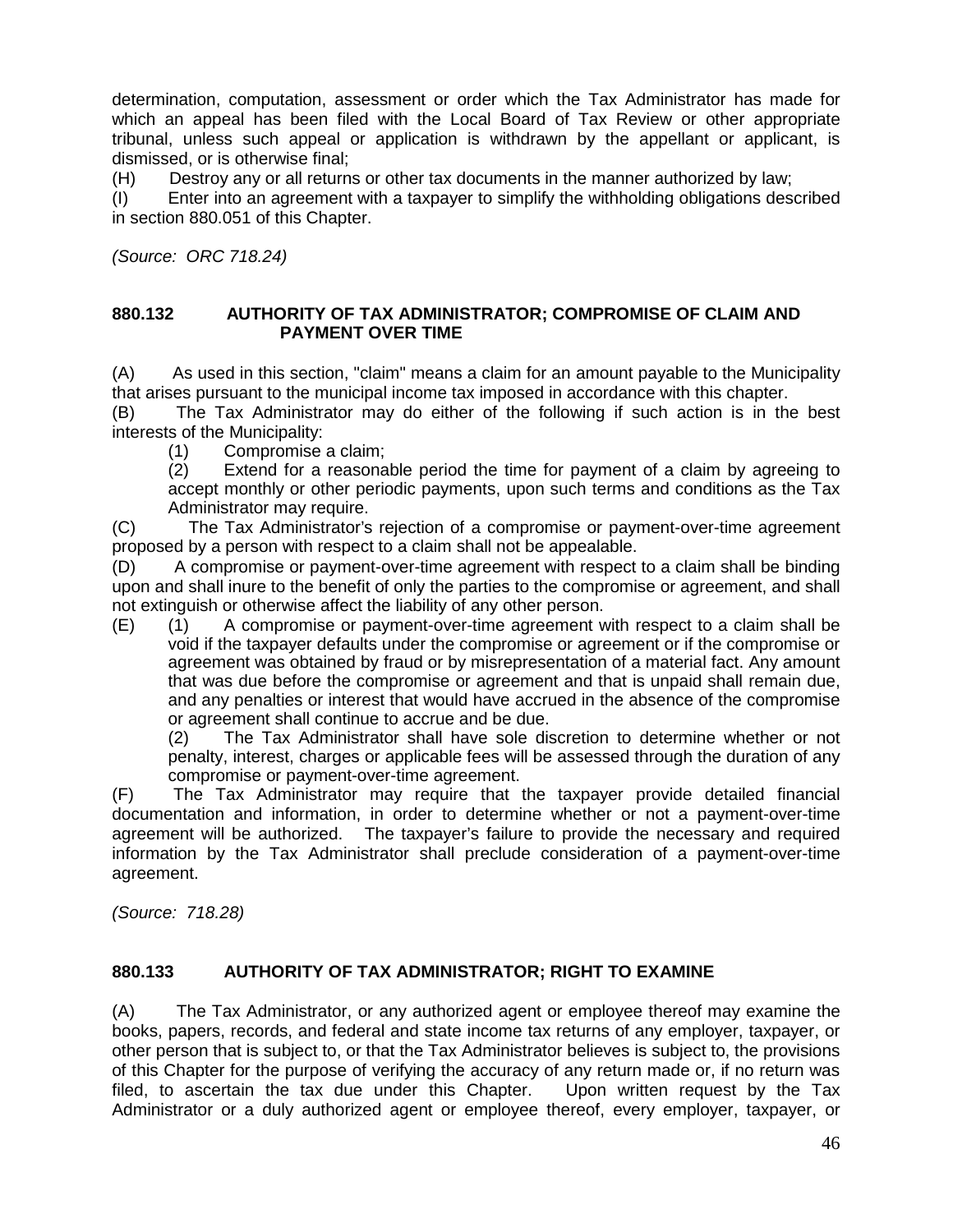determination, computation, assessment or order which the Tax Administrator has made for which an appeal has been filed with the Local Board of Tax Review or other appropriate tribunal, unless such appeal or application is withdrawn by the appellant or applicant, is dismissed, or is otherwise final;

(H) Destroy any or all returns or other tax documents in the manner authorized by law;

(I) Enter into an agreement with a taxpayer to simplify the withholding obligations described in section 880.051 of this Chapter.

*(Source: ORC 718.24)*

#### **880.132 AUTHORITY OF TAX ADMINISTRATOR; COMPROMISE OF CLAIM AND PAYMENT OVER TIME**

(A) As used in this section, "claim" means a claim for an amount payable to the Municipality that arises pursuant to the municipal income tax imposed in accordance with this chapter.

(B) The Tax Administrator may do either of the following if such action is in the best interests of the Municipality:

(1) Compromise a claim;

Extend for a reasonable period the time for payment of a claim by agreeing to accept monthly or other periodic payments, upon such terms and conditions as the Tax Administrator may require.

(C) The Tax Administrator's rejection of a compromise or payment-over-time agreement proposed by a person with respect to a claim shall not be appealable.

(D) A compromise or payment-over-time agreement with respect to a claim shall be binding upon and shall inure to the benefit of only the parties to the compromise or agreement, and shall not extinguish or otherwise affect the liability of any other person.

(E) (1) A compromise or payment-over-time agreement with respect to a claim shall be void if the taxpayer defaults under the compromise or agreement or if the compromise or agreement was obtained by fraud or by misrepresentation of a material fact. Any amount that was due before the compromise or agreement and that is unpaid shall remain due, and any penalties or interest that would have accrued in the absence of the compromise or agreement shall continue to accrue and be due.

(2) The Tax Administrator shall have sole discretion to determine whether or not penalty, interest, charges or applicable fees will be assessed through the duration of any compromise or payment-over-time agreement.

(F) The Tax Administrator may require that the taxpayer provide detailed financial documentation and information, in order to determine whether or not a payment-over-time agreement will be authorized. The taxpayer's failure to provide the necessary and required information by the Tax Administrator shall preclude consideration of a payment-over-time agreement.

*(Source: 718.28)*

#### **880.133 AUTHORITY OF TAX ADMINISTRATOR; RIGHT TO EXAMINE**

(A) The Tax Administrator, or any authorized agent or employee thereof may examine the books, papers, records, and federal and state income tax returns of any employer, taxpayer, or other person that is subject to, or that the Tax Administrator believes is subject to, the provisions of this Chapter for the purpose of verifying the accuracy of any return made or, if no return was filed, to ascertain the tax due under this Chapter. Upon written request by the Tax Administrator or a duly authorized agent or employee thereof, every employer, taxpayer, or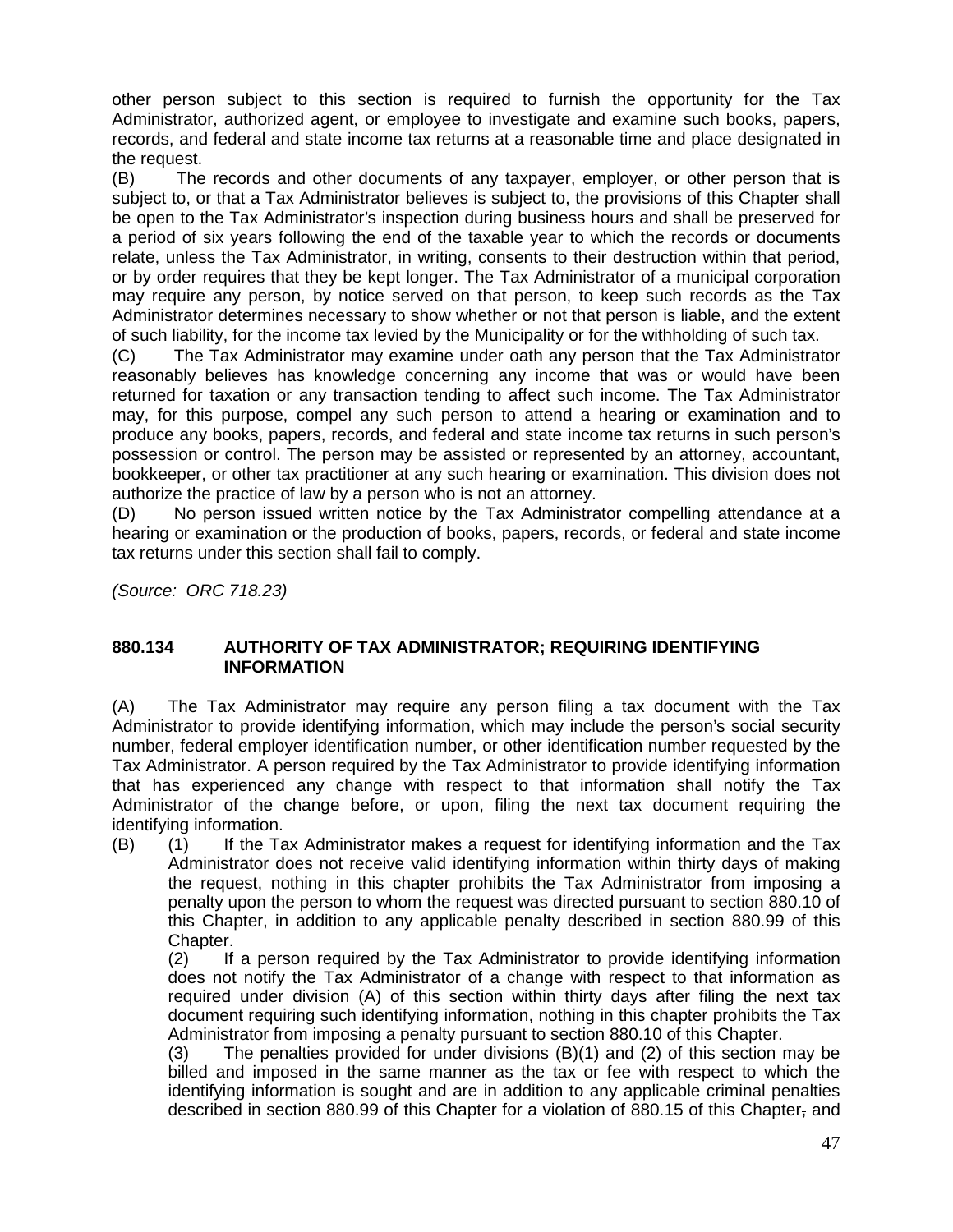other person subject to this section is required to furnish the opportunity for the Tax Administrator, authorized agent, or employee to investigate and examine such books, papers, records, and federal and state income tax returns at a reasonable time and place designated in the request.

(B) The records and other documents of any taxpayer, employer, or other person that is subject to, or that a Tax Administrator believes is subject to, the provisions of this Chapter shall be open to the Tax Administrator's inspection during business hours and shall be preserved for a period of six years following the end of the taxable year to which the records or documents relate, unless the Tax Administrator, in writing, consents to their destruction within that period, or by order requires that they be kept longer. The Tax Administrator of a municipal corporation may require any person, by notice served on that person, to keep such records as the Tax Administrator determines necessary to show whether or not that person is liable, and the extent of such liability, for the income tax levied by the Municipality or for the withholding of such tax.

(C) The Tax Administrator may examine under oath any person that the Tax Administrator reasonably believes has knowledge concerning any income that was or would have been returned for taxation or any transaction tending to affect such income. The Tax Administrator may, for this purpose, compel any such person to attend a hearing or examination and to produce any books, papers, records, and federal and state income tax returns in such person's possession or control. The person may be assisted or represented by an attorney, accountant, bookkeeper, or other tax practitioner at any such hearing or examination. This division does not authorize the practice of law by a person who is not an attorney.

(D) No person issued written notice by the Tax Administrator compelling attendance at a hearing or examination or the production of books, papers, records, or federal and state income tax returns under this section shall fail to comply.

*(Source: ORC 718.23)*

#### **880.134 AUTHORITY OF TAX ADMINISTRATOR; REQUIRING IDENTIFYING INFORMATION**

(A) The Tax Administrator may require any person filing a tax document with the Tax Administrator to provide identifying information, which may include the person's social security number, federal employer identification number, or other identification number requested by the Tax Administrator. A person required by the Tax Administrator to provide identifying information that has experienced any change with respect to that information shall notify the Tax Administrator of the change before, or upon, filing the next tax document requiring the identifying information.

(B) (1) If the Tax Administrator makes a request for identifying information and the Tax Administrator does not receive valid identifying information within thirty days of making the request, nothing in this chapter prohibits the Tax Administrator from imposing a penalty upon the person to whom the request was directed pursuant to section 880.10 of this Chapter, in addition to any applicable penalty described in section 880.99 of this Chapter.<br>(2) If

If a person required by the Tax Administrator to provide identifying information does not notify the Tax Administrator of a change with respect to that information as required under division (A) of this section within thirty days after filing the next tax document requiring such identifying information, nothing in this chapter prohibits the Tax Administrator from imposing a penalty pursuant to section 880.10 of this Chapter.

(3) The penalties provided for under divisions (B)(1) and (2) of this section may be billed and imposed in the same manner as the tax or fee with respect to which the identifying information is sought and are in addition to any applicable criminal penalties described in section 880.99 of this Chapter for a violation of 880.15 of this Chapter, and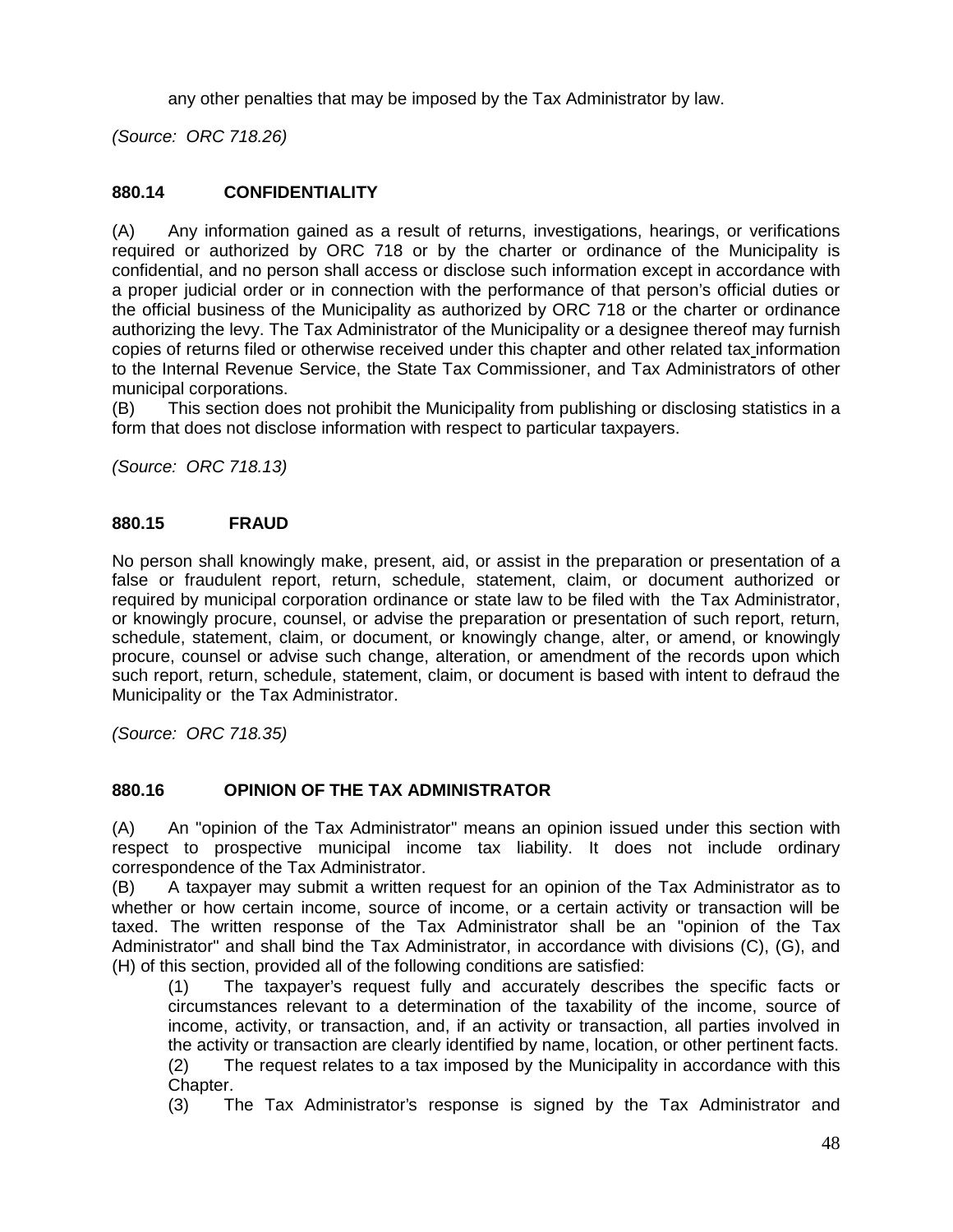any other penalties that may be imposed by the Tax Administrator by law.

*(Source: ORC 718.26)*

# **880.14 CONFIDENTIALITY**

(A) Any information gained as a result of returns, investigations, hearings, or verifications required or authorized by ORC 718 or by the charter or ordinance of the Municipality is confidential, and no person shall access or disclose such information except in accordance with a proper judicial order or in connection with the performance of that person's official duties or the official business of the Municipality as authorized by ORC 718 or the charter or ordinance authorizing the levy. The Tax Administrator of the Municipality or a designee thereof may furnish copies of returns filed or otherwise received under this chapter and other related tax information to the Internal Revenue Service, the State Tax Commissioner, and Tax Administrators of other municipal corporations.

(B) This section does not prohibit the Municipality from publishing or disclosing statistics in a form that does not disclose information with respect to particular taxpayers.

*(Source: ORC 718.13)*

#### **880.15 FRAUD**

No person shall knowingly make, present, aid, or assist in the preparation or presentation of a false or fraudulent report, return, schedule, statement, claim, or document authorized or required by municipal corporation ordinance or state law to be filed with the Tax Administrator, or knowingly procure, counsel, or advise the preparation or presentation of such report, return, schedule, statement, claim, or document, or knowingly change, alter, or amend, or knowingly procure, counsel or advise such change, alteration, or amendment of the records upon which such report, return, schedule, statement, claim, or document is based with intent to defraud the Municipality or the Tax Administrator.

*(Source: ORC 718.35)*

#### **880.16 OPINION OF THE TAX ADMINISTRATOR**

(A) An "opinion of the Tax Administrator" means an opinion issued under this section with respect to prospective municipal income tax liability. It does not include ordinary correspondence of the Tax Administrator.

(B) A taxpayer may submit a written request for an opinion of the Tax Administrator as to whether or how certain income, source of income, or a certain activity or transaction will be taxed. The written response of the Tax Administrator shall be an "opinion of the Tax Administrator" and shall bind the Tax Administrator, in accordance with divisions (C), (G), and (H) of this section, provided all of the following conditions are satisfied:

(1) The taxpayer's request fully and accurately describes the specific facts or circumstances relevant to a determination of the taxability of the income, source of income, activity, or transaction, and, if an activity or transaction, all parties involved in the activity or transaction are clearly identified by name, location, or other pertinent facts.

(2) The request relates to a tax imposed by the Municipality in accordance with this Chapter.

(3) The Tax Administrator's response is signed by the Tax Administrator and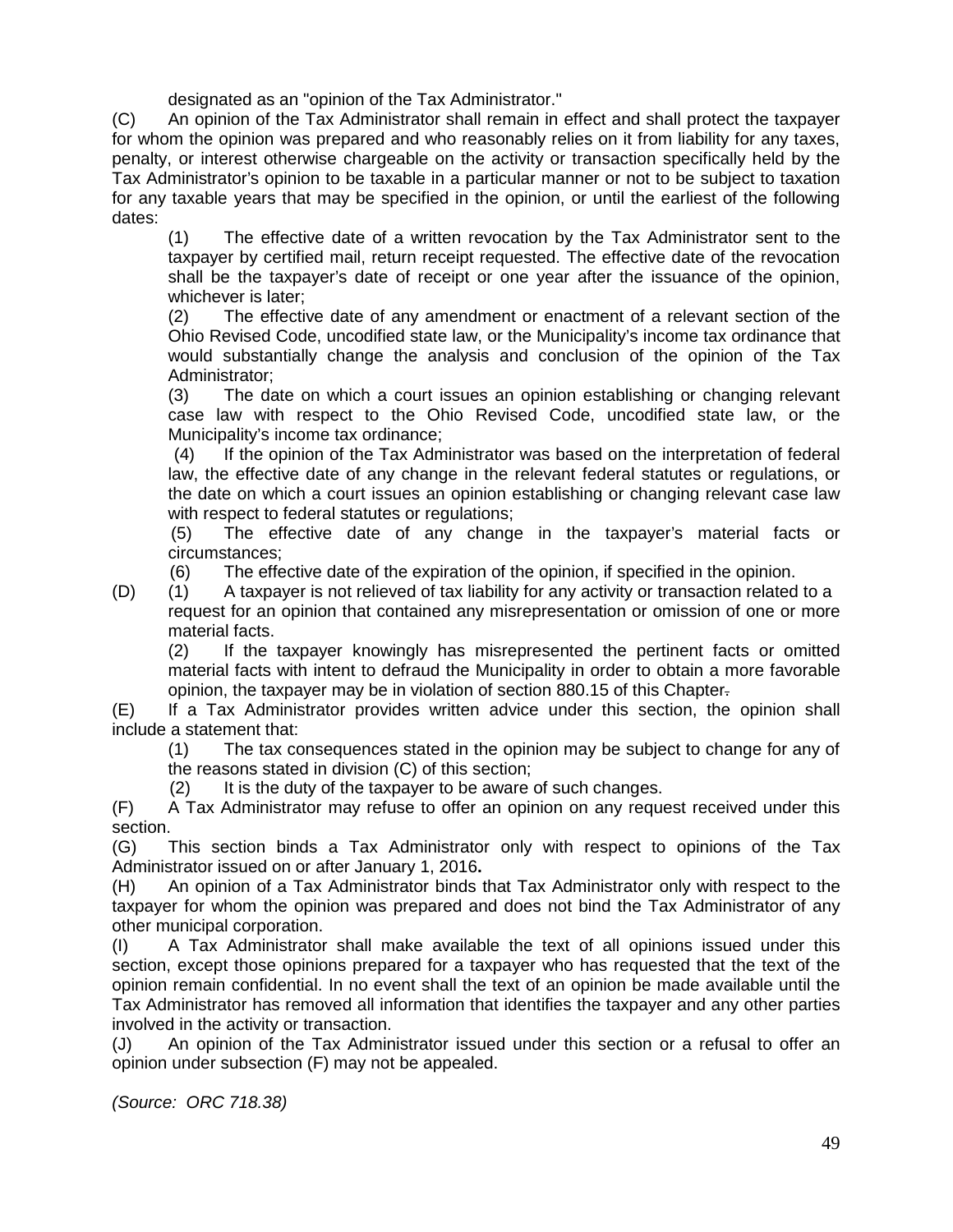designated as an "opinion of the Tax Administrator."

(C) An opinion of the Tax Administrator shall remain in effect and shall protect the taxpayer for whom the opinion was prepared and who reasonably relies on it from liability for any taxes, penalty, or interest otherwise chargeable on the activity or transaction specifically held by the Tax Administrator's opinion to be taxable in a particular manner or not to be subject to taxation for any taxable years that may be specified in the opinion, or until the earliest of the following dates:

(1) The effective date of a written revocation by the Tax Administrator sent to the taxpayer by certified mail, return receipt requested. The effective date of the revocation shall be the taxpayer's date of receipt or one year after the issuance of the opinion, whichever is later;

(2) The effective date of any amendment or enactment of a relevant section of the Ohio Revised Code, uncodified state law, or the Municipality's income tax ordinance that would substantially change the analysis and conclusion of the opinion of the Tax Administrator;

(3) The date on which a court issues an opinion establishing or changing relevant case law with respect to the Ohio Revised Code, uncodified state law, or the Municipality's income tax ordinance;

(4) If the opinion of the Tax Administrator was based on the interpretation of federal law, the effective date of any change in the relevant federal statutes or regulations, or the date on which a court issues an opinion establishing or changing relevant case law with respect to federal statutes or regulations;

(5) The effective date of any change in the taxpayer's material facts or circumstances;

(6) The effective date of the expiration of the opinion, if specified in the opinion.

(D) (1) A taxpayer is not relieved of tax liability for any activity or transaction related to a request for an opinion that contained any misrepresentation or omission of one or more material facts.

(2) If the taxpayer knowingly has misrepresented the pertinent facts or omitted material facts with intent to defraud the Municipality in order to obtain a more favorable opinion, the taxpayer may be in violation of section 880.15 of this Chapter.

(E) If a Tax Administrator provides written advice under this section, the opinion shall include a statement that:

(1) The tax consequences stated in the opinion may be subject to change for any of the reasons stated in division (C) of this section;

(2) It is the duty of the taxpayer to be aware of such changes.

(F) A Tax Administrator may refuse to offer an opinion on any request received under this section.

(G) This section binds a Tax Administrator only with respect to opinions of the Tax Administrator issued on or after January 1, 2016**.**

(H) An opinion of a Tax Administrator binds that Tax Administrator only with respect to the taxpayer for whom the opinion was prepared and does not bind the Tax Administrator of any other municipal corporation.

(I) A Tax Administrator shall make available the text of all opinions issued under this section, except those opinions prepared for a taxpayer who has requested that the text of the opinion remain confidential. In no event shall the text of an opinion be made available until the Tax Administrator has removed all information that identifies the taxpayer and any other parties involved in the activity or transaction.

(J) An opinion of the Tax Administrator issued under this section or a refusal to offer an opinion under subsection (F) may not be appealed.

*(Source: ORC 718.38)*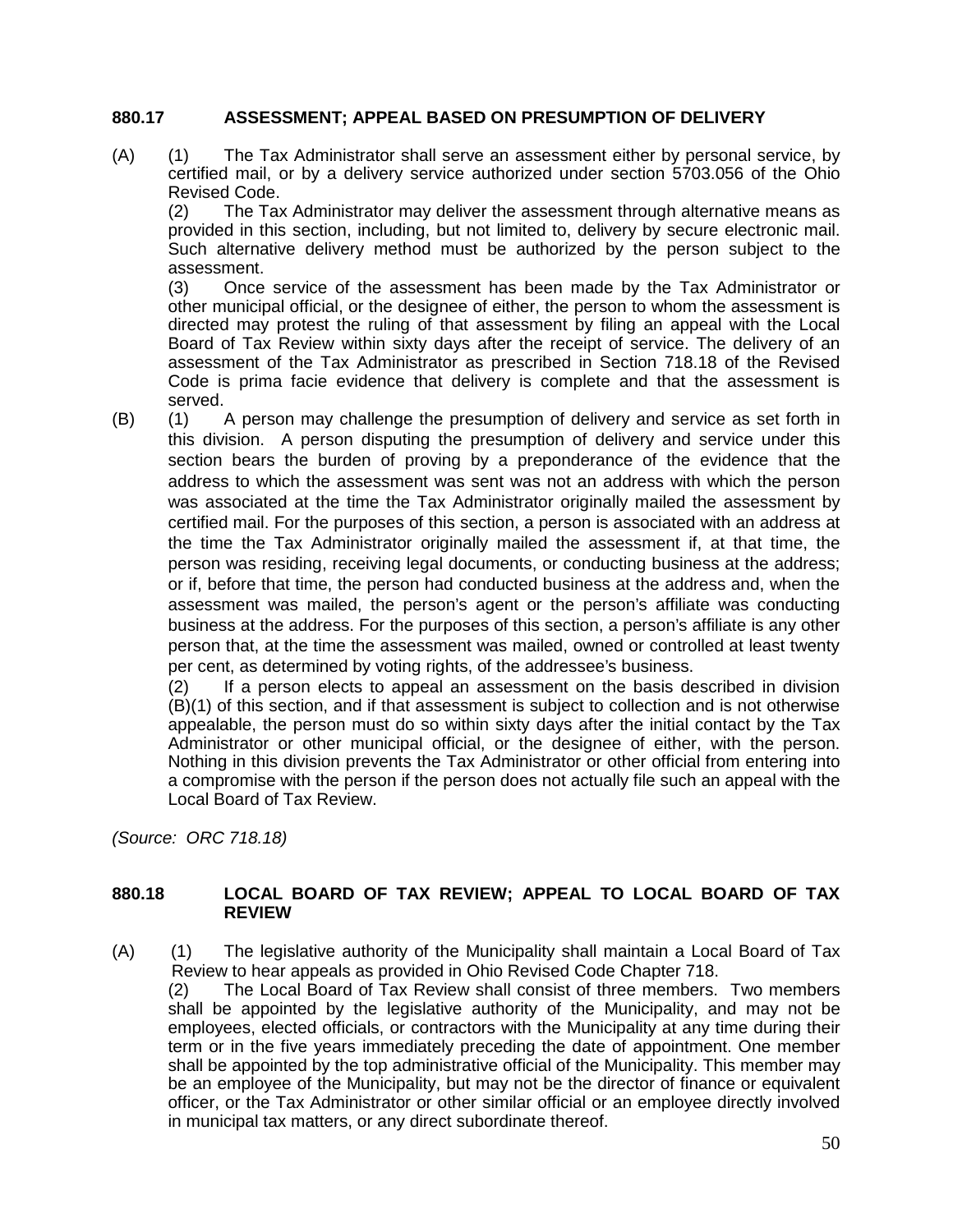#### **880.17 ASSESSMENT; APPEAL BASED ON PRESUMPTION OF DELIVERY**

(A) (1) The Tax Administrator shall serve an assessment either by personal service, by certified mail, or by a delivery service authorized under section 5703.056 of the Ohio Revised Code.

(2) The Tax Administrator may deliver the assessment through alternative means as provided in this section, including, but not limited to, delivery by secure electronic mail. Such alternative delivery method must be authorized by the person subject to the assessment.

(3) Once service of the assessment has been made by the Tax Administrator or other municipal official, or the designee of either, the person to whom the assessment is directed may protest the ruling of that assessment by filing an appeal with the Local Board of Tax Review within sixty days after the receipt of service. The delivery of an assessment of the Tax Administrator as prescribed in Section 718.18 of the Revised Code is prima facie evidence that delivery is complete and that the assessment is served.

(B) (1) A person may challenge the presumption of delivery and service as set forth in this division. A person disputing the presumption of delivery and service under this section bears the burden of proving by a preponderance of the evidence that the address to which the assessment was sent was not an address with which the person was associated at the time the Tax Administrator originally mailed the assessment by certified mail. For the purposes of this section, a person is associated with an address at the time the Tax Administrator originally mailed the assessment if, at that time, the person was residing, receiving legal documents, or conducting business at the address; or if, before that time, the person had conducted business at the address and, when the assessment was mailed, the person's agent or the person's affiliate was conducting business at the address. For the purposes of this section, a person's affiliate is any other person that, at the time the assessment was mailed, owned or controlled at least twenty per cent, as determined by voting rights, of the addressee's business.

(2) If a person elects to appeal an assessment on the basis described in division (B)(1) of this section, and if that assessment is subject to collection and is not otherwise appealable, the person must do so within sixty days after the initial contact by the Tax Administrator or other municipal official, or the designee of either, with the person. Nothing in this division prevents the Tax Administrator or other official from entering into a compromise with the person if the person does not actually file such an appeal with the Local Board of Tax Review.

*(Source: ORC 718.18)*

#### **880.18 LOCAL BOARD OF TAX REVIEW; APPEAL TO LOCAL BOARD OF TAX REVIEW**

(A) (1) The legislative authority of the Municipality shall maintain a Local Board of Tax Review to hear appeals as provided in Ohio Revised Code Chapter 718.

(2) The Local Board of Tax Review shall consist of three members. Two members shall be appointed by the legislative authority of the Municipality, and may not be employees, elected officials, or contractors with the Municipality at any time during their term or in the five years immediately preceding the date of appointment. One member shall be appointed by the top administrative official of the Municipality. This member may be an employee of the Municipality, but may not be the director of finance or equivalent officer, or the Tax Administrator or other similar official or an employee directly involved in municipal tax matters, or any direct subordinate thereof.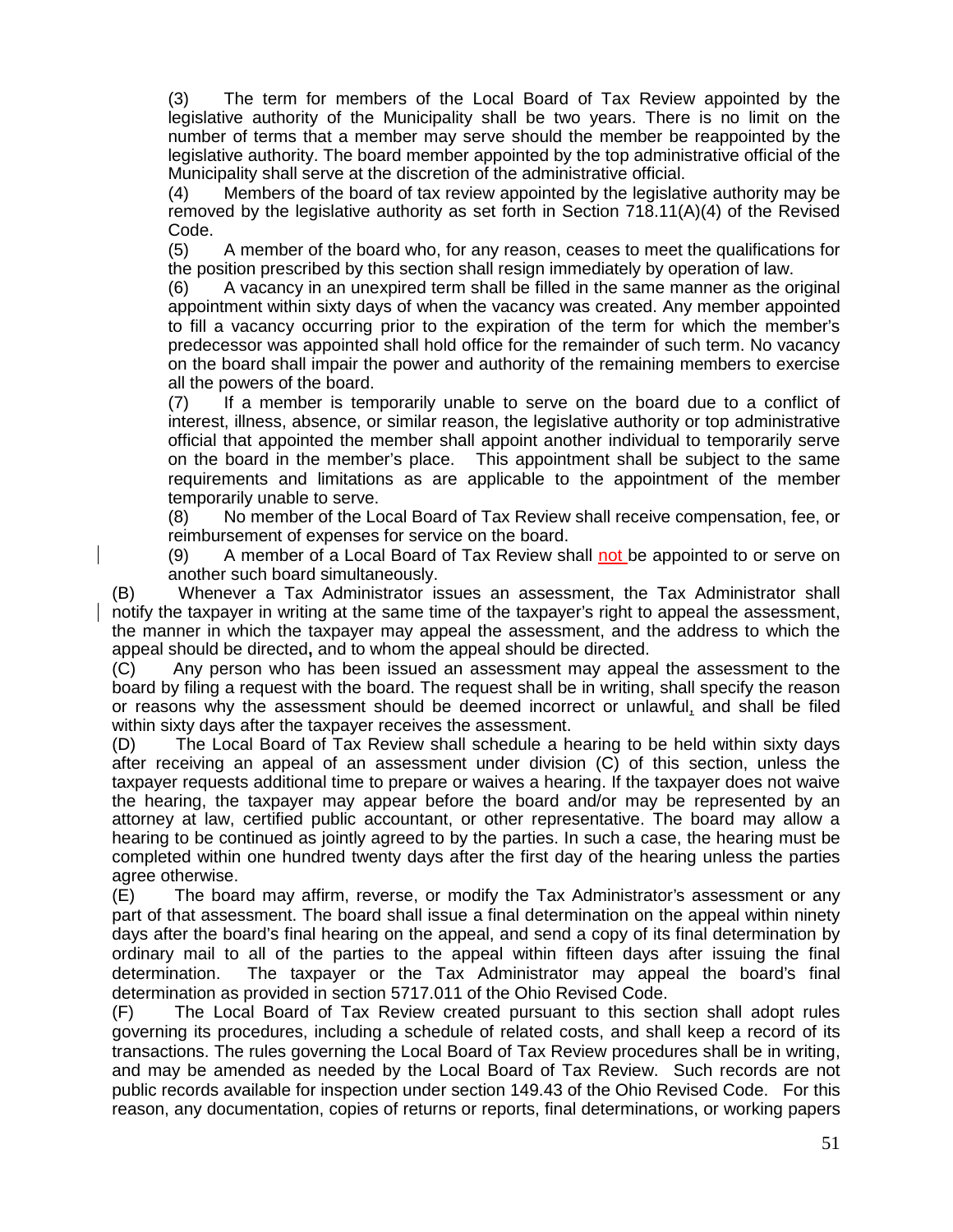(3) The term for members of the Local Board of Tax Review appointed by the legislative authority of the Municipality shall be two years. There is no limit on the number of terms that a member may serve should the member be reappointed by the legislative authority. The board member appointed by the top administrative official of the Municipality shall serve at the discretion of the administrative official.

(4) Members of the board of tax review appointed by the legislative authority may be removed by the legislative authority as set forth in Section 718.11(A)(4) of the Revised Code.

(5) A member of the board who, for any reason, ceases to meet the qualifications for the position prescribed by this section shall resign immediately by operation of law.

(6) A vacancy in an unexpired term shall be filled in the same manner as the original appointment within sixty days of when the vacancy was created. Any member appointed to fill a vacancy occurring prior to the expiration of the term for which the member's predecessor was appointed shall hold office for the remainder of such term. No vacancy on the board shall impair the power and authority of the remaining members to exercise all the powers of the board.

(7) If a member is temporarily unable to serve on the board due to a conflict of interest, illness, absence, or similar reason, the legislative authority or top administrative official that appointed the member shall appoint another individual to temporarily serve on the board in the member's place. This appointment shall be subject to the same requirements and limitations as are applicable to the appointment of the member temporarily unable to serve.

(8) No member of the Local Board of Tax Review shall receive compensation, fee, or reimbursement of expenses for service on the board.

(9) A member of a Local Board of Tax Review shall not be appointed to or serve on another such board simultaneously.

(B) Whenever a Tax Administrator issues an assessment, the Tax Administrator shall notify the taxpayer in writing at the same time of the taxpayer's right to appeal the assessment, the manner in which the taxpayer may appeal the assessment, and the address to which the appeal should be directed**,** and to whom the appeal should be directed.

(C) Any person who has been issued an assessment may appeal the assessment to the board by filing a request with the board. The request shall be in writing, shall specify the reason or reasons why the assessment should be deemed incorrect or unlawful, and shall be filed within sixty days after the taxpayer receives the assessment.

(D) The Local Board of Tax Review shall schedule a hearing to be held within sixty days after receiving an appeal of an assessment under division (C) of this section, unless the taxpayer requests additional time to prepare or waives a hearing. If the taxpayer does not waive the hearing, the taxpayer may appear before the board and/or may be represented by an attorney at law, certified public accountant, or other representative. The board may allow a hearing to be continued as jointly agreed to by the parties. In such a case, the hearing must be completed within one hundred twenty days after the first day of the hearing unless the parties agree otherwise.

(E) The board may affirm, reverse, or modify the Tax Administrator's assessment or any part of that assessment. The board shall issue a final determination on the appeal within ninety days after the board's final hearing on the appeal, and send a copy of its final determination by ordinary mail to all of the parties to the appeal within fifteen days after issuing the final determination. The taxpayer or the Tax Administrator may appeal the board's final determination as provided in section 5717.011 of the Ohio Revised Code.

(F) The Local Board of Tax Review created pursuant to this section shall adopt rules governing its procedures, including a schedule of related costs, and shall keep a record of its transactions. The rules governing the Local Board of Tax Review procedures shall be in writing, and may be amended as needed by the Local Board of Tax Review. Such records are not public records available for inspection under section 149.43 of the Ohio Revised Code. For this reason, any documentation, copies of returns or reports, final determinations, or working papers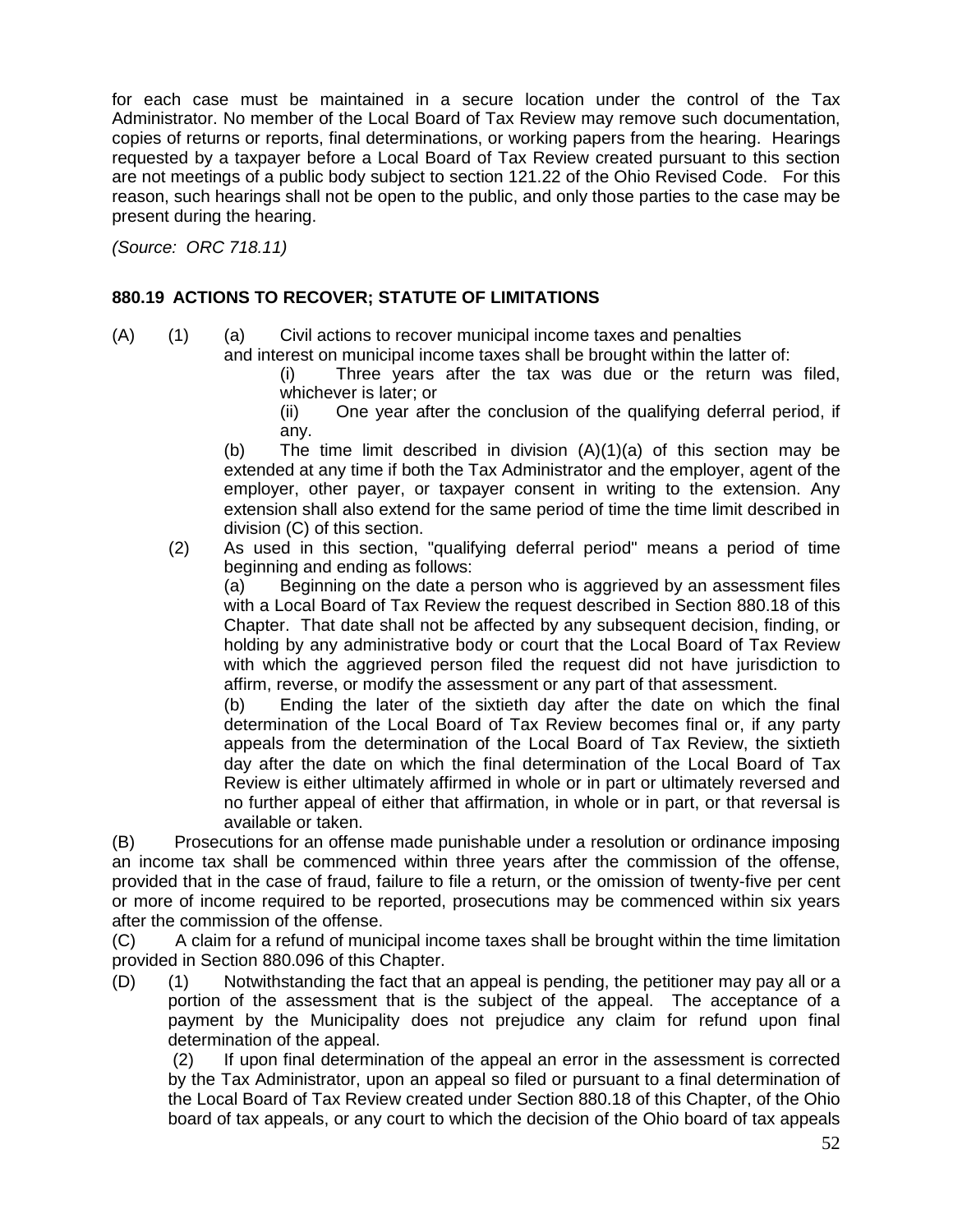for each case must be maintained in a secure location under the control of the Tax Administrator. No member of the Local Board of Tax Review may remove such documentation, copies of returns or reports, final determinations, or working papers from the hearing. Hearings requested by a taxpayer before a Local Board of Tax Review created pursuant to this section are not meetings of a public body subject to section 121.22 of the Ohio Revised Code. For this reason, such hearings shall not be open to the public, and only those parties to the case may be present during the hearing.

*(Source: ORC 718.11)*

#### **880.19 ACTIONS TO RECOVER; STATUTE OF LIMITATIONS**

(A) (1) (a) Civil actions to recover municipal income taxes and penalties and interest on municipal income taxes shall be brought within the latter of:

(i) Three years after the tax was due or the return was filed, whichever is later; or

(ii) One year after the conclusion of the qualifying deferral period, if any.

(b) The time limit described in division  $(A)(1)(a)$  of this section may be extended at any time if both the Tax Administrator and the employer, agent of the employer, other payer, or taxpayer consent in writing to the extension. Any extension shall also extend for the same period of time the time limit described in division (C) of this section.

(2) As used in this section, "qualifying deferral period" means a period of time beginning and ending as follows:

(a) Beginning on the date a person who is aggrieved by an assessment files with a Local Board of Tax Review the request described in Section 880.18 of this Chapter. That date shall not be affected by any subsequent decision, finding, or holding by any administrative body or court that the Local Board of Tax Review with which the aggrieved person filed the request did not have jurisdiction to affirm, reverse, or modify the assessment or any part of that assessment.

(b) Ending the later of the sixtieth day after the date on which the final determination of the Local Board of Tax Review becomes final or, if any party appeals from the determination of the Local Board of Tax Review, the sixtieth day after the date on which the final determination of the Local Board of Tax Review is either ultimately affirmed in whole or in part or ultimately reversed and no further appeal of either that affirmation, in whole or in part, or that reversal is available or taken.

(B) Prosecutions for an offense made punishable under a resolution or ordinance imposing an income tax shall be commenced within three years after the commission of the offense, provided that in the case of fraud, failure to file a return, or the omission of twenty-five per cent or more of income required to be reported, prosecutions may be commenced within six years after the commission of the offense.

(C) A claim for a refund of municipal income taxes shall be brought within the time limitation provided in Section 880.096 of this Chapter.

(D) (1) Notwithstanding the fact that an appeal is pending, the petitioner may pay all or a portion of the assessment that is the subject of the appeal. The acceptance of a payment by the Municipality does not prejudice any claim for refund upon final determination of the appeal.

(2) If upon final determination of the appeal an error in the assessment is corrected by the Tax Administrator, upon an appeal so filed or pursuant to a final determination of the Local Board of Tax Review created under Section 880.18 of this Chapter, of the Ohio board of tax appeals, or any court to which the decision of the Ohio board of tax appeals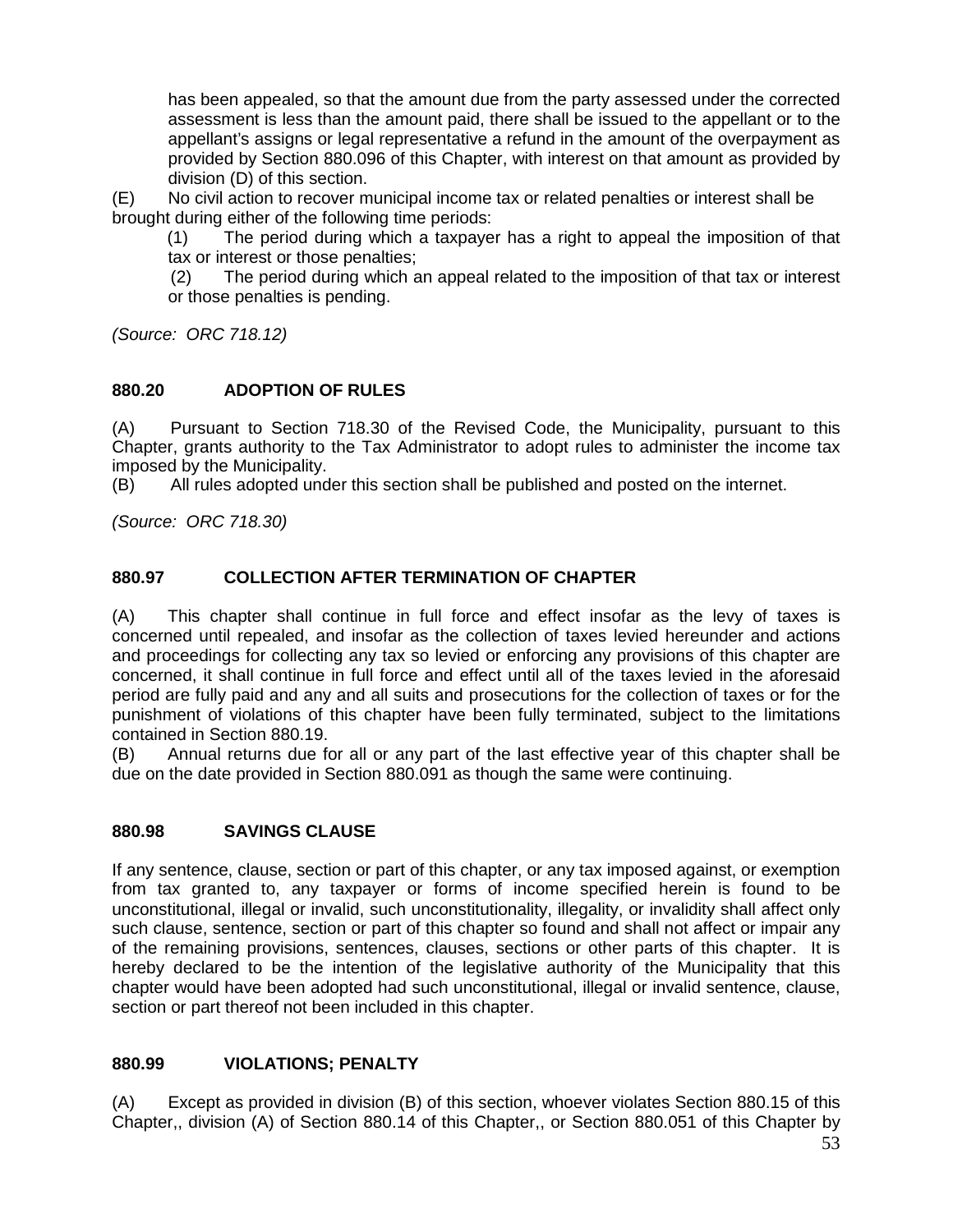has been appealed, so that the amount due from the party assessed under the corrected assessment is less than the amount paid, there shall be issued to the appellant or to the appellant's assigns or legal representative a refund in the amount of the overpayment as provided by Section 880.096 of this Chapter, with interest on that amount as provided by division (D) of this section.

(E) No civil action to recover municipal income tax or related penalties or interest shall be brought during either of the following time periods:

(1) The period during which a taxpayer has a right to appeal the imposition of that tax or interest or those penalties;

(2) The period during which an appeal related to the imposition of that tax or interest or those penalties is pending.

*(Source: ORC 718.12)*

#### **880.20 ADOPTION OF RULES**

(A) Pursuant to Section 718.30 of the Revised Code, the Municipality, pursuant to this Chapter, grants authority to the Tax Administrator to adopt rules to administer the income tax imposed by the Municipality.

(B) All rules adopted under this section shall be published and posted on the internet.

*(Source: ORC 718.30)*

#### **880.97 COLLECTION AFTER TERMINATION OF CHAPTER**

(A) This chapter shall continue in full force and effect insofar as the levy of taxes is concerned until repealed, and insofar as the collection of taxes levied hereunder and actions and proceedings for collecting any tax so levied or enforcing any provisions of this chapter are concerned, it shall continue in full force and effect until all of the taxes levied in the aforesaid period are fully paid and any and all suits and prosecutions for the collection of taxes or for the punishment of violations of this chapter have been fully terminated, subject to the limitations contained in Section 880.19.

(B) Annual returns due for all or any part of the last effective year of this chapter shall be due on the date provided in Section 880.091 as though the same were continuing.

#### **880.98 SAVINGS CLAUSE**

If any sentence, clause, section or part of this chapter, or any tax imposed against, or exemption from tax granted to, any taxpayer or forms of income specified herein is found to be unconstitutional, illegal or invalid, such unconstitutionality, illegality, or invalidity shall affect only such clause, sentence, section or part of this chapter so found and shall not affect or impair any of the remaining provisions, sentences, clauses, sections or other parts of this chapter. It is hereby declared to be the intention of the legislative authority of the Municipality that this chapter would have been adopted had such unconstitutional, illegal or invalid sentence, clause, section or part thereof not been included in this chapter.

#### **880.99 VIOLATIONS; PENALTY**

(A) Except as provided in division (B) of this section, whoever violates Section 880.15 of this Chapter,, division (A) of Section 880.14 of this Chapter,, or Section 880.051 of this Chapter by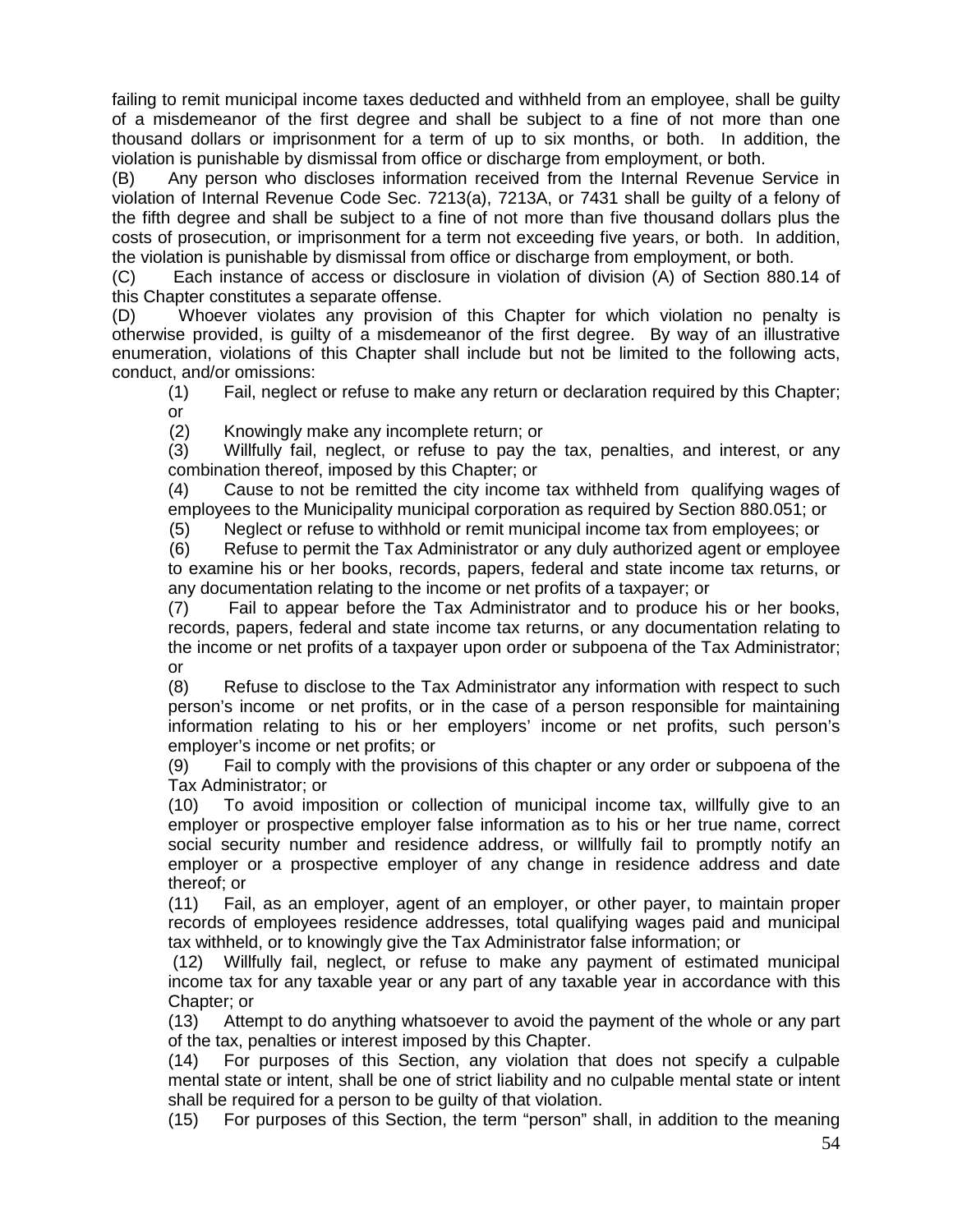failing to remit municipal income taxes deducted and withheld from an employee, shall be guilty of a misdemeanor of the first degree and shall be subject to a fine of not more than one thousand dollars or imprisonment for a term of up to six months, or both. In addition, the violation is punishable by dismissal from office or discharge from employment, or both.

(B) Any person who discloses information received from the Internal Revenue Service in violation of Internal Revenue Code Sec. 7213(a), 7213A, or 7431 shall be quilty of a felony of the fifth degree and shall be subject to a fine of not more than five thousand dollars plus the costs of prosecution, or imprisonment for a term not exceeding five years, or both. In addition, the violation is punishable by dismissal from office or discharge from employment, or both.

(C) Each instance of access or disclosure in violation of division (A) of Section 880.14 of this Chapter constitutes a separate offense.

(D) Whoever violates any provision of this Chapter for which violation no penalty is otherwise provided, is quilty of a misdemeanor of the first degree. By way of an illustrative enumeration, violations of this Chapter shall include but not be limited to the following acts, conduct, and/or omissions:

(1) Fail, neglect or refuse to make any return or declaration required by this Chapter; or

(2) Knowingly make any incomplete return; or<br>(3) Willfully fail, neglect, or refuse to pay th

Willfully fail, neglect, or refuse to pay the tax, penalties, and interest, or any combination thereof, imposed by this Chapter; or

(4) Cause to not be remitted the city income tax withheld from qualifying wages of employees to the Municipality municipal corporation as required by Section 880.051; or

(5) Neglect or refuse to withhold or remit municipal income tax from employees; or

(6) Refuse to permit the Tax Administrator or any duly authorized agent or employee to examine his or her books, records, papers, federal and state income tax returns, or any documentation relating to the income or net profits of a taxpayer; or

(7) Fail to appear before the Tax Administrator and to produce his or her books, records, papers, federal and state income tax returns, or any documentation relating to the income or net profits of a taxpayer upon order or subpoena of the Tax Administrator; or

(8) Refuse to disclose to the Tax Administrator any information with respect to such person's income or net profits, or in the case of a person responsible for maintaining information relating to his or her employers' income or net profits, such person's employer's income or net profits; or

(9) Fail to comply with the provisions of this chapter or any order or subpoena of the Tax Administrator; or

(10) To avoid imposition or collection of municipal income tax, willfully give to an employer or prospective employer false information as to his or her true name, correct social security number and residence address, or willfully fail to promptly notify an employer or a prospective employer of any change in residence address and date thereof; or

(11) Fail, as an employer, agent of an employer, or other payer, to maintain proper records of employees residence addresses, total qualifying wages paid and municipal tax withheld, or to knowingly give the Tax Administrator false information; or

(12) Willfully fail, neglect, or refuse to make any payment of estimated municipal income tax for any taxable year or any part of any taxable year in accordance with this Chapter; or

(13) Attempt to do anything whatsoever to avoid the payment of the whole or any part of the tax, penalties or interest imposed by this Chapter.

(14) For purposes of this Section, any violation that does not specify a culpable mental state or intent, shall be one of strict liability and no culpable mental state or intent shall be required for a person to be guilty of that violation.

(15) For purposes of this Section, the term "person" shall, in addition to the meaning